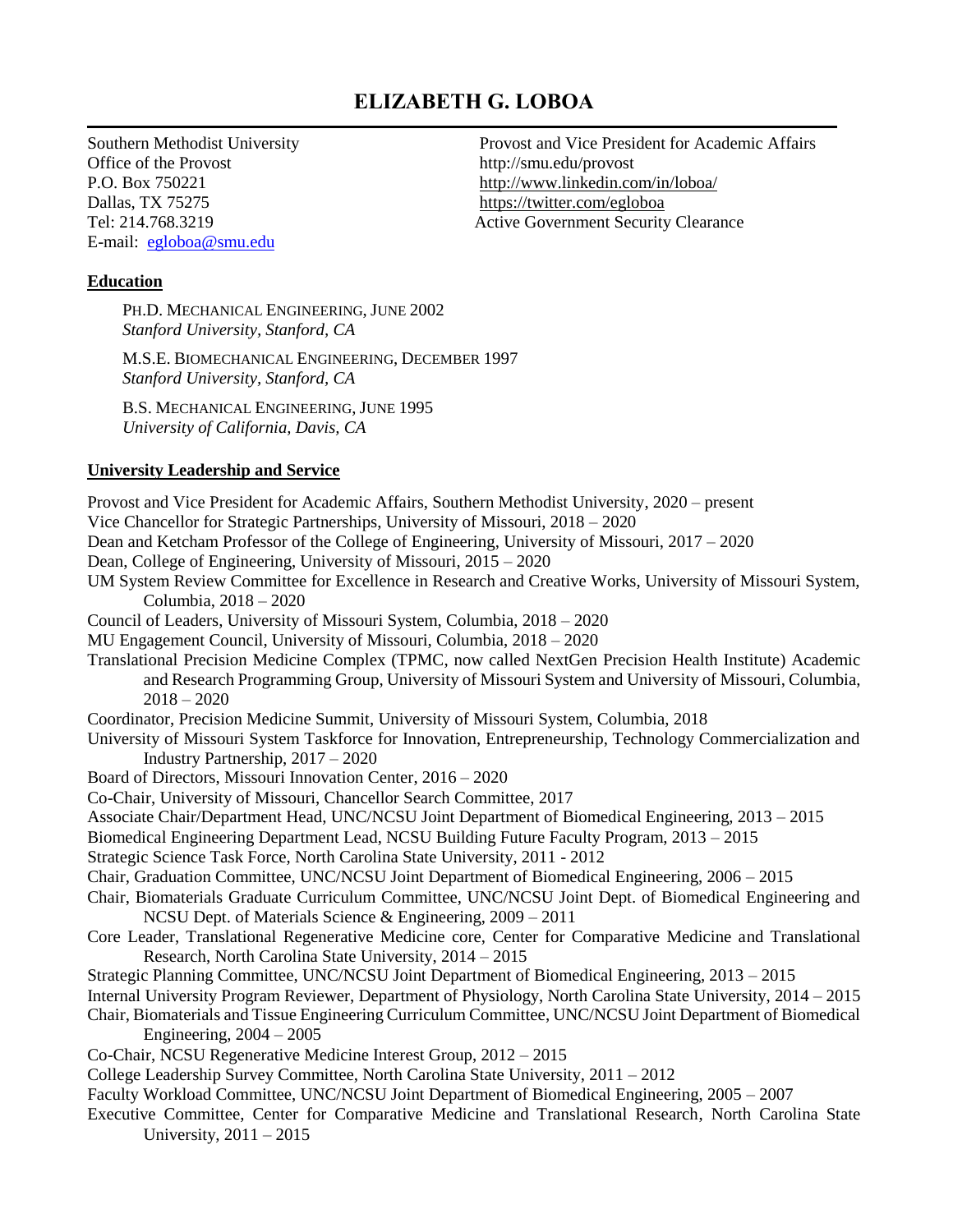# **ELIZABETH G. LOBOA**

Office of the Provost http://smu.edu/provost Dallas, TX 75275 <https://twitter.com/egloboa> E-mail: [egloboa@smu.edu](mailto:egloboa@smu.edu)

Southern Methodist University Provost and Vice President for Academic Affairs P.O. Box 750221 http://www.linkedin.com/in/loboa/ Tel: 214.768.3219 Active Government Security Clearance

# **Education**

PH.D. MECHANICAL ENGINEERING, JUNE 2002 *Stanford University, Stanford, CA*

M.S.E. BIOMECHANICAL ENGINEERING, DECEMBER 1997 *Stanford University, Stanford, CA*

B.S. MECHANICAL ENGINEERING, JUNE 1995 *University of California, Davis, CA*

# **University Leadership and Service**

Provost and Vice President for Academic Affairs, Southern Methodist University, 2020 – present Vice Chancellor for Strategic Partnerships, University of Missouri, 2018 – 2020 Dean and Ketcham Professor of the College of Engineering, University of Missouri, 2017 – 2020 Dean, College of Engineering, University of Missouri, 2015 – 2020 UM System Review Committee for Excellence in Research and Creative Works, University of Missouri System, Columbia, 2018 – 2020 Council of Leaders, University of Missouri System, Columbia, 2018 – 2020 MU Engagement Council, University of Missouri, Columbia, 2018 – 2020 Translational Precision Medicine Complex (TPMC, now called NextGen Precision Health Institute) Academic and Research Programming Group, University of Missouri System and University of Missouri, Columbia,  $2018 - 2020$ Coordinator, Precision Medicine Summit, University of Missouri System, Columbia, 2018 University of Missouri System Taskforce for Innovation, Entrepreneurship, Technology Commercialization and Industry Partnership, 2017 – 2020 Board of Directors, Missouri Innovation Center, 2016 – 2020 Co-Chair, University of Missouri, Chancellor Search Committee, 2017 Associate Chair/Department Head, UNC/NCSU Joint Department of Biomedical Engineering, 2013 – 2015 Biomedical Engineering Department Lead, NCSU Building Future Faculty Program, 2013 – 2015 Strategic Science Task Force, North Carolina State University, 2011 - 2012 Chair, Graduation Committee, UNC/NCSU Joint Department of Biomedical Engineering, 2006 – 2015 Chair, Biomaterials Graduate Curriculum Committee, UNC/NCSU Joint Dept. of Biomedical Engineering and NCSU Dept. of Materials Science & Engineering, 2009 – 2011 Core Leader, Translational Regenerative Medicine core, Center for Comparative Medicine and Translational Research, North Carolina State University, 2014 – 2015 Strategic Planning Committee, UNC/NCSU Joint Department of Biomedical Engineering, 2013 – 2015 Internal University Program Reviewer, Department of Physiology, North Carolina State University, 2014 – 2015 Chair, Biomaterials and Tissue Engineering Curriculum Committee, UNC/NCSU Joint Department of Biomedical Engineering, 2004 – 2005 Co-Chair, NCSU Regenerative Medicine Interest Group, 2012 – 2015 College Leadership Survey Committee, North Carolina State University, 2011 – 2012 Faculty Workload Committee, UNC/NCSU Joint Department of Biomedical Engineering, 2005 – 2007 Executive Committee, Center for Comparative Medicine and Translational Research, North Carolina State University,  $2011 - 2015$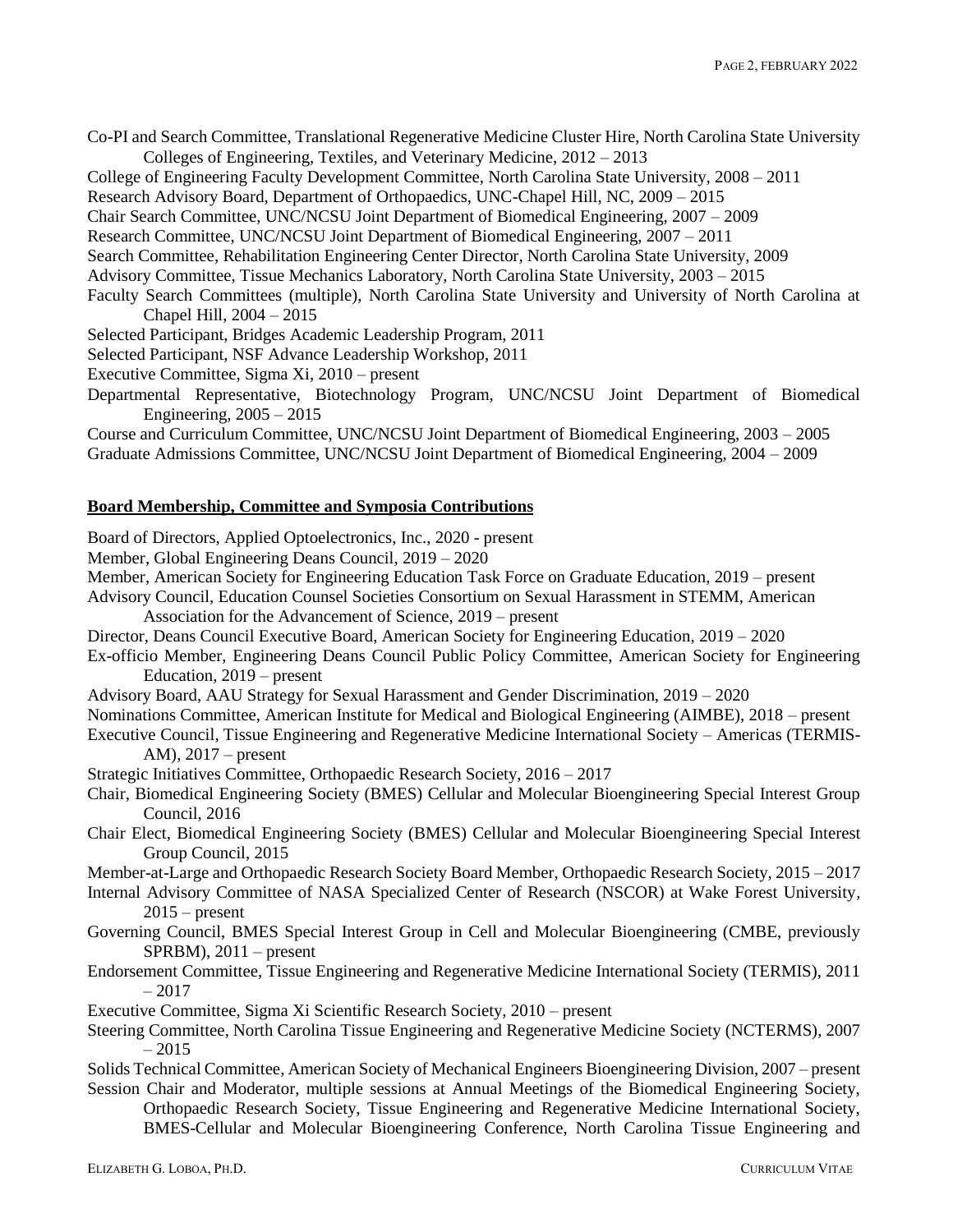Co-PI and Search Committee, Translational Regenerative Medicine Cluster Hire, North Carolina State University Colleges of Engineering, Textiles, and Veterinary Medicine, 2012 – 2013

College of Engineering Faculty Development Committee, North Carolina State University, 2008 – 2011

- Research Advisory Board, Department of Orthopaedics, UNC-Chapel Hill, NC, 2009 2015
- Chair Search Committee, UNC/NCSU Joint Department of Biomedical Engineering, 2007 2009

Research Committee, UNC/NCSU Joint Department of Biomedical Engineering, 2007 – 2011

Search Committee, Rehabilitation Engineering Center Director, North Carolina State University, 2009

Advisory Committee, Tissue Mechanics Laboratory, North Carolina State University, 2003 – 2015

Faculty Search Committees (multiple), North Carolina State University and University of North Carolina at Chapel Hill, 2004 – 2015

Selected Participant, Bridges Academic Leadership Program, 2011

Selected Participant, NSF Advance Leadership Workshop, 2011

Executive Committee, Sigma Xi, 2010 – present

Departmental Representative, Biotechnology Program, UNC/NCSU Joint Department of Biomedical Engineering, 2005 – 2015

Course and Curriculum Committee, UNC/NCSU Joint Department of Biomedical Engineering, 2003 – 2005 Graduate Admissions Committee, UNC/NCSU Joint Department of Biomedical Engineering, 2004 – 2009

# **Board Membership, Committee and Symposia Contributions**

Board of Directors, Applied Optoelectronics, Inc., 2020 - present

Member, Global Engineering Deans Council, 2019 – 2020

Member, American Society for Engineering Education Task Force on Graduate Education, 2019 – present

Advisory Council, Education Counsel Societies Consortium on Sexual Harassment in STEMM, American Association for the Advancement of Science, 2019 – present

Director, Deans Council Executive Board, American Society for Engineering Education, 2019 – 2020

- Ex-officio Member, Engineering Deans Council Public Policy Committee, American Society for Engineering Education, 2019 – present
- Advisory Board, AAU Strategy for Sexual Harassment and Gender Discrimination, 2019 2020

Nominations Committee, American Institute for Medical and Biological Engineering (AIMBE), 2018 – present

- Executive Council, Tissue Engineering and Regenerative Medicine International Society Americas (TERMIS-AM), 2017 – present
- Strategic Initiatives Committee, Orthopaedic Research Society, 2016 2017
- Chair, Biomedical Engineering Society (BMES) Cellular and Molecular Bioengineering Special Interest Group Council, 2016
- Chair Elect, Biomedical Engineering Society (BMES) Cellular and Molecular Bioengineering Special Interest Group Council, 2015

Member-at-Large and Orthopaedic Research Society Board Member, Orthopaedic Research Society, 2015 – 2017

- Internal Advisory Committee of NASA Specialized Center of Research (NSCOR) at Wake Forest University*,*   $2015$  – present
- Governing Council, BMES Special Interest Group in Cell and Molecular Bioengineering (CMBE, previously  $SPRBM$ ),  $2011$  – present
- Endorsement Committee, Tissue Engineering and Regenerative Medicine International Society (TERMIS), 2011 – 2017
- Executive Committee, Sigma Xi Scientific Research Society, 2010 present
- Steering Committee, North Carolina Tissue Engineering and Regenerative Medicine Society (NCTERMS), 2007 – 2015
- Solids Technical Committee, American Society of Mechanical Engineers Bioengineering Division, 2007 present Session Chair and Moderator, multiple sessions at Annual Meetings of the Biomedical Engineering Society,

Orthopaedic Research Society, Tissue Engineering and Regenerative Medicine International Society, BMES-Cellular and Molecular Bioengineering Conference, North Carolina Tissue Engineering and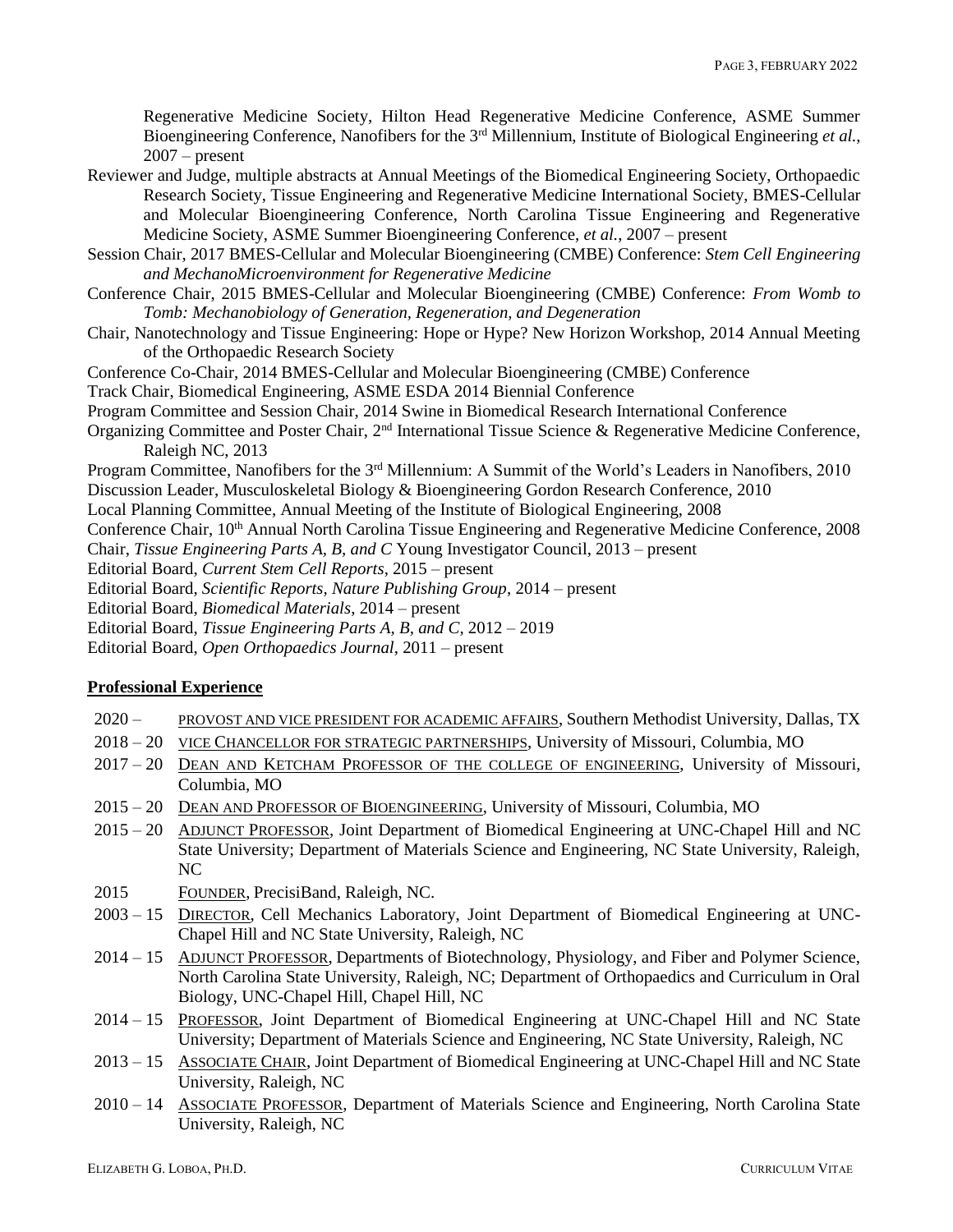Regenerative Medicine Society, Hilton Head Regenerative Medicine Conference, ASME Summer Bioengineering Conference, Nanofibers for the 3<sup>rd</sup> Millennium, Institute of Biological Engineering *et al.*,  $2007$  – present

- Reviewer and Judge, multiple abstracts at Annual Meetings of the Biomedical Engineering Society, Orthopaedic Research Society, Tissue Engineering and Regenerative Medicine International Society, BMES-Cellular and Molecular Bioengineering Conference, North Carolina Tissue Engineering and Regenerative Medicine Society, ASME Summer Bioengineering Conference, *et al.*, 2007 – present
- Session Chair, 2017 BMES-Cellular and Molecular Bioengineering (CMBE) Conference: *Stem Cell Engineering and MechanoMicroenvironment for Regenerative Medicine*
- Conference Chair, 2015 BMES-Cellular and Molecular Bioengineering (CMBE) Conference: *From Womb to Tomb: Mechanobiology of Generation, Regeneration, and Degeneration*
- Chair, Nanotechnology and Tissue Engineering: Hope or Hype? New Horizon Workshop, 2014 Annual Meeting of the Orthopaedic Research Society
- Conference Co-Chair, 2014 BMES-Cellular and Molecular Bioengineering (CMBE) Conference
- Track Chair, Biomedical Engineering, ASME ESDA 2014 Biennial Conference
- Program Committee and Session Chair, 2014 Swine in Biomedical Research International Conference
- Organizing Committee and Poster Chair, 2<sup>nd</sup> International Tissue Science & Regenerative Medicine Conference, Raleigh NC, 2013
- Program Committee, Nanofibers for the 3<sup>rd</sup> Millennium: A Summit of the World's Leaders in Nanofibers, 2010
- Discussion Leader, Musculoskeletal Biology & Bioengineering Gordon Research Conference, 2010
- Local Planning Committee, Annual Meeting of the Institute of Biological Engineering, 2008
- Conference Chair, 10<sup>th</sup> Annual North Carolina Tissue Engineering and Regenerative Medicine Conference, 2008
- Chair, *Tissue Engineering Parts A, B, and C* Young Investigator Council, 2013 present
- Editorial Board, *Current Stem Cell Reports*, 2015 present
- Editorial Board, *Scientific Reports, Nature Publishing Group*, 2014 present
- Editorial Board, *Biomedical Materials*, 2014 present
- Editorial Board, *Tissue Engineering Parts A, B, and C*, 2012 2019
- Editorial Board, *Open Orthopaedics Journal*, 2011 present

### **Professional Experience**

- 2020 PROVOST AND VICE PRESIDENT FOR ACADEMIC AFFAIRS, Southern Methodist University, Dallas, TX
- 2018 20 VICE CHANCELLOR FOR STRATEGIC PARTNERSHIPS, University of Missouri, Columbia, MO
- 2017 20 DEAN AND KETCHAM PROFESSOR OF THE COLLEGE OF ENGINEERING, University of Missouri, Columbia, MO
- 2015 20 DEAN AND PROFESSOR OF BIOENGINEERING, University of Missouri, Columbia, MO
- 2015 20 ADJUNCT PROFESSOR, Joint Department of Biomedical Engineering at UNC-Chapel Hill and NC State University; Department of Materials Science and Engineering, NC State University, Raleigh, NC
- 2015 FOUNDER, PrecisiBand, Raleigh, NC.
- 2003 15 DIRECTOR, Cell Mechanics Laboratory, Joint Department of Biomedical Engineering at UNC-Chapel Hill and NC State University, Raleigh, NC
- 2014 15 ADJUNCT PROFESSOR, Departments of Biotechnology, Physiology, and Fiber and Polymer Science, North Carolina State University, Raleigh, NC; Department of Orthopaedics and Curriculum in Oral Biology, UNC-Chapel Hill, Chapel Hill, NC
- 2014 15 PROFESSOR, Joint Department of Biomedical Engineering at UNC-Chapel Hill and NC State University; Department of Materials Science and Engineering, NC State University, Raleigh, NC
- 2013 15 ASSOCIATE CHAIR, Joint Department of Biomedical Engineering at UNC-Chapel Hill and NC State University, Raleigh, NC
- 2010 14 ASSOCIATE PROFESSOR, Department of Materials Science and Engineering, North Carolina State University, Raleigh, NC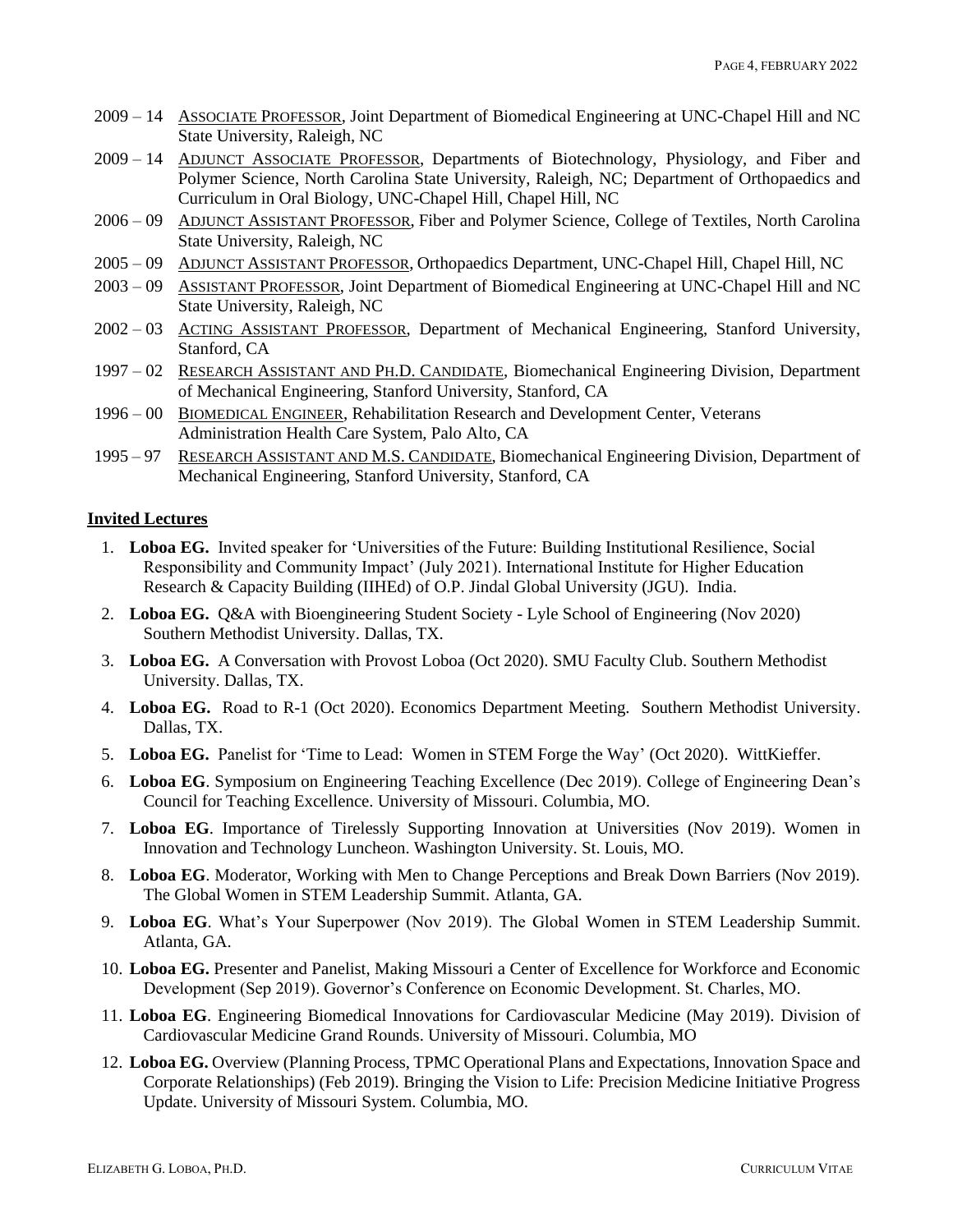- 2009 14 ASSOCIATE PROFESSOR, Joint Department of Biomedical Engineering at UNC-Chapel Hill and NC State University, Raleigh, NC
- 2009 14 ADJUNCT ASSOCIATE PROFESSOR, Departments of Biotechnology, Physiology, and Fiber and Polymer Science, North Carolina State University, Raleigh, NC; Department of Orthopaedics and Curriculum in Oral Biology, UNC-Chapel Hill, Chapel Hill, NC
- 2006 09 ADJUNCT ASSISTANT PROFESSOR, Fiber and Polymer Science, College of Textiles, North Carolina State University, Raleigh, NC
- 2005 09 ADJUNCT ASSISTANT PROFESSOR, Orthopaedics Department, UNC-Chapel Hill, Chapel Hill, NC
- 2003 09 ASSISTANT PROFESSOR, Joint Department of Biomedical Engineering at UNC-Chapel Hill and NC State University, Raleigh, NC
- 2002 03 ACTING ASSISTANT PROFESSOR, Department of Mechanical Engineering, Stanford University, Stanford, CA
- 1997 02 RESEARCH ASSISTANT AND PH.D. CANDIDATE, Biomechanical Engineering Division, Department of Mechanical Engineering, Stanford University, Stanford, CA
- 1996 00 BIOMEDICAL ENGINEER, Rehabilitation Research and Development Center, Veterans Administration Health Care System, Palo Alto, CA
- 1995 97 RESEARCH ASSISTANT AND M.S. CANDIDATE, Biomechanical Engineering Division, Department of Mechanical Engineering, Stanford University, Stanford, CA

# **Invited Lectures**

- 1. **Loboa EG.** Invited speaker for 'Universities of the Future: Building Institutional Resilience, Social Responsibility and Community Impact' (July 2021). International Institute for Higher Education Research & Capacity Building (IIHEd) of O.P. Jindal Global University (JGU). India.
- 2. **Loboa EG.** Q&A with Bioengineering Student Society Lyle School of Engineering (Nov 2020) Southern Methodist University. Dallas, TX.
- 3. **Loboa EG.** A Conversation with Provost Loboa (Oct 2020). SMU Faculty Club. Southern Methodist University. Dallas, TX.
- 4. **Loboa EG.** Road to R-1 (Oct 2020). Economics Department Meeting. Southern Methodist University. Dallas, TX.
- 5. **Loboa EG.** Panelist for 'Time to Lead: Women in STEM Forge the Way' (Oct 2020). WittKieffer.
- 6. **Loboa EG**. Symposium on Engineering Teaching Excellence (Dec 2019). College of Engineering Dean's Council for Teaching Excellence. University of Missouri. Columbia, MO.
- 7. **Loboa EG**. Importance of Tirelessly Supporting Innovation at Universities (Nov 2019). Women in Innovation and Technology Luncheon. Washington University. St. Louis, MO.
- 8. **Loboa EG**. Moderator, Working with Men to Change Perceptions and Break Down Barriers (Nov 2019). The Global Women in STEM Leadership Summit. Atlanta, GA.
- 9. **Loboa EG**. What's Your Superpower (Nov 2019). The Global Women in STEM Leadership Summit. Atlanta, GA.
- 10. **Loboa EG.** Presenter and Panelist, Making Missouri a Center of Excellence for Workforce and Economic Development (Sep 2019). Governor's Conference on Economic Development. St. Charles, MO.
- 11. **Loboa EG**. Engineering Biomedical Innovations for Cardiovascular Medicine (May 2019). Division of Cardiovascular Medicine Grand Rounds. University of Missouri. Columbia, MO
- 12. **Loboa EG.** Overview (Planning Process, TPMC Operational Plans and Expectations, Innovation Space and Corporate Relationships) (Feb 2019). Bringing the Vision to Life: Precision Medicine Initiative Progress Update. University of Missouri System. Columbia, MO.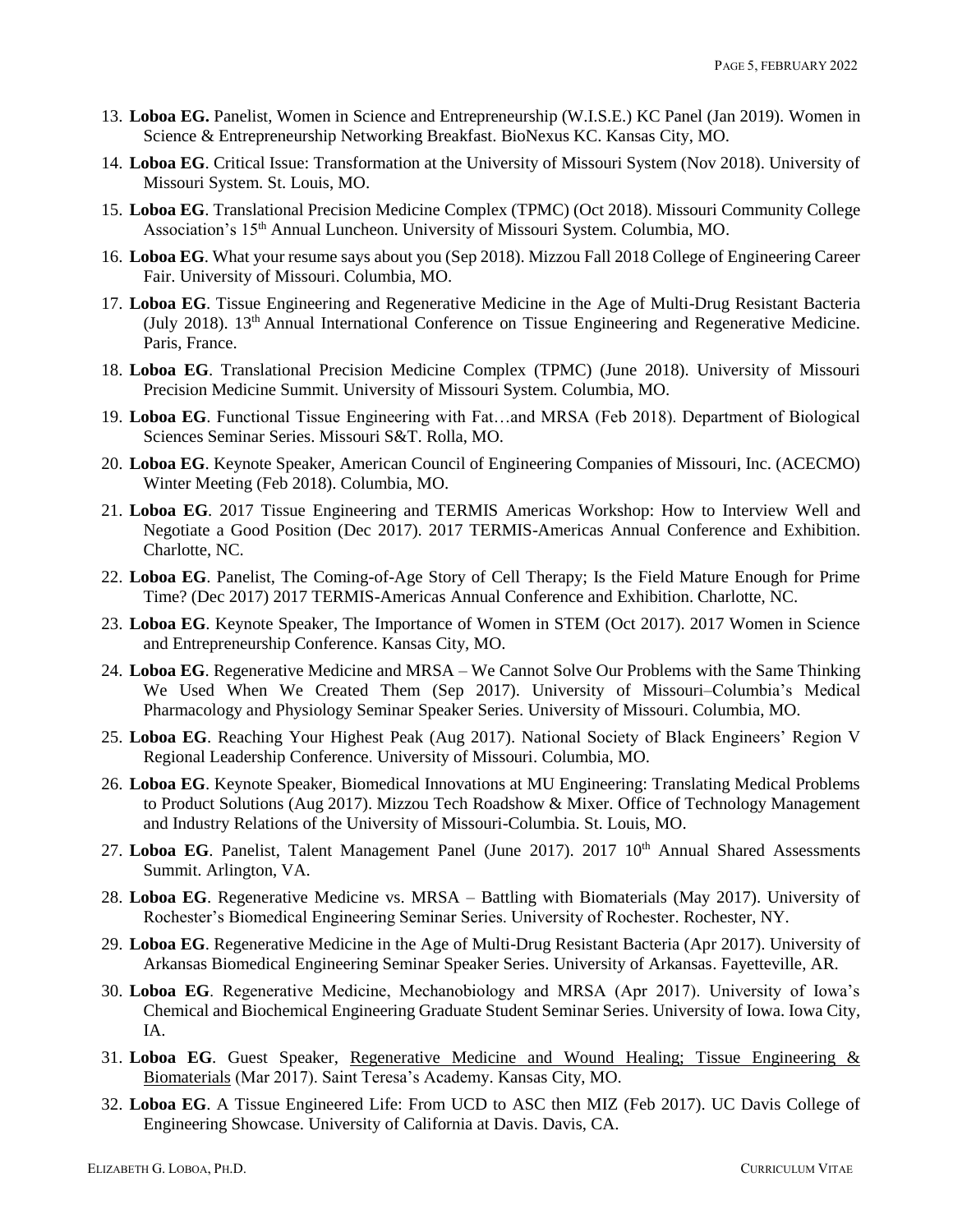- 13. **Loboa EG.** Panelist, Women in Science and Entrepreneurship (W.I.S.E.) KC Panel (Jan 2019). Women in Science & Entrepreneurship Networking Breakfast. BioNexus KC. Kansas City, MO.
- 14. **Loboa EG**. Critical Issue: Transformation at the University of Missouri System (Nov 2018). University of Missouri System. St. Louis, MO.
- 15. **Loboa EG**. Translational Precision Medicine Complex (TPMC) (Oct 2018). Missouri Community College Association's 15<sup>th</sup> Annual Luncheon. University of Missouri System. Columbia, MO.
- 16. **Loboa EG**. What your resume says about you (Sep 2018). Mizzou Fall 2018 College of Engineering Career Fair. University of Missouri. Columbia, MO.
- 17. **Loboa EG**. Tissue Engineering and Regenerative Medicine in the Age of Multi-Drug Resistant Bacteria (July 2018). 13<sup>th</sup> Annual International Conference on Tissue Engineering and Regenerative Medicine. Paris, France.
- 18. **Loboa EG**. Translational Precision Medicine Complex (TPMC) (June 2018). University of Missouri Precision Medicine Summit. University of Missouri System. Columbia, MO.
- 19. **Loboa EG**. Functional Tissue Engineering with Fat…and MRSA (Feb 2018). Department of Biological Sciences Seminar Series. Missouri S&T. Rolla, MO.
- 20. **Loboa EG**. Keynote Speaker, American Council of Engineering Companies of Missouri, Inc. (ACECMO) Winter Meeting (Feb 2018). Columbia, MO.
- 21. **Loboa EG**. 2017 Tissue Engineering and TERMIS Americas Workshop: How to Interview Well and Negotiate a Good Position (Dec 2017). 2017 TERMIS-Americas Annual Conference and Exhibition. Charlotte, NC.
- 22. **Loboa EG**. Panelist, The Coming-of-Age Story of Cell Therapy; Is the Field Mature Enough for Prime Time? (Dec 2017) 2017 TERMIS-Americas Annual Conference and Exhibition. Charlotte, NC.
- 23. **Loboa EG**. Keynote Speaker, The Importance of Women in STEM (Oct 2017). 2017 Women in Science and Entrepreneurship Conference. Kansas City, MO.
- 24. **Loboa EG**. Regenerative Medicine and MRSA We Cannot Solve Our Problems with the Same Thinking We Used When We Created Them (Sep 2017). University of Missouri–Columbia's Medical Pharmacology and Physiology Seminar Speaker Series. University of Missouri. Columbia, MO.
- 25. **Loboa EG**. Reaching Your Highest Peak (Aug 2017). National Society of Black Engineers' Region V Regional Leadership Conference. University of Missouri. Columbia, MO.
- 26. **Loboa EG**. Keynote Speaker, Biomedical Innovations at MU Engineering: Translating Medical Problems to Product Solutions (Aug 2017). Mizzou Tech Roadshow & Mixer. Office of Technology Management and Industry Relations of the University of Missouri-Columbia. St. Louis, MO.
- 27. Loboa EG. Panelist, Talent Management Panel (June 2017). 2017 10<sup>th</sup> Annual Shared Assessments Summit. Arlington, VA.
- 28. **Loboa EG**. Regenerative Medicine vs. MRSA Battling with Biomaterials (May 2017). University of Rochester's Biomedical Engineering Seminar Series. University of Rochester. Rochester, NY.
- 29. **Loboa EG**. Regenerative Medicine in the Age of Multi-Drug Resistant Bacteria (Apr 2017). University of Arkansas Biomedical Engineering Seminar Speaker Series. University of Arkansas. Fayetteville, AR.
- 30. **Loboa EG**. Regenerative Medicine, Mechanobiology and MRSA (Apr 2017). University of Iowa's Chemical and Biochemical Engineering Graduate Student Seminar Series. University of Iowa. Iowa City, IA.
- 31. **Loboa EG**. Guest Speaker, [Regenerative Medicine and Wound Healing; Tissue Engineering &](https://www.youtube.com/watch?v=9we0Bw8Y2Ls)  [Biomaterials](https://www.youtube.com/watch?v=9we0Bw8Y2Ls) (Mar 2017). Saint Teresa's Academy. Kansas City, MO.
- 32. **Loboa EG**. A Tissue Engineered Life: From UCD to ASC then MIZ (Feb 2017). UC Davis College of Engineering Showcase. University of California at Davis. Davis, CA.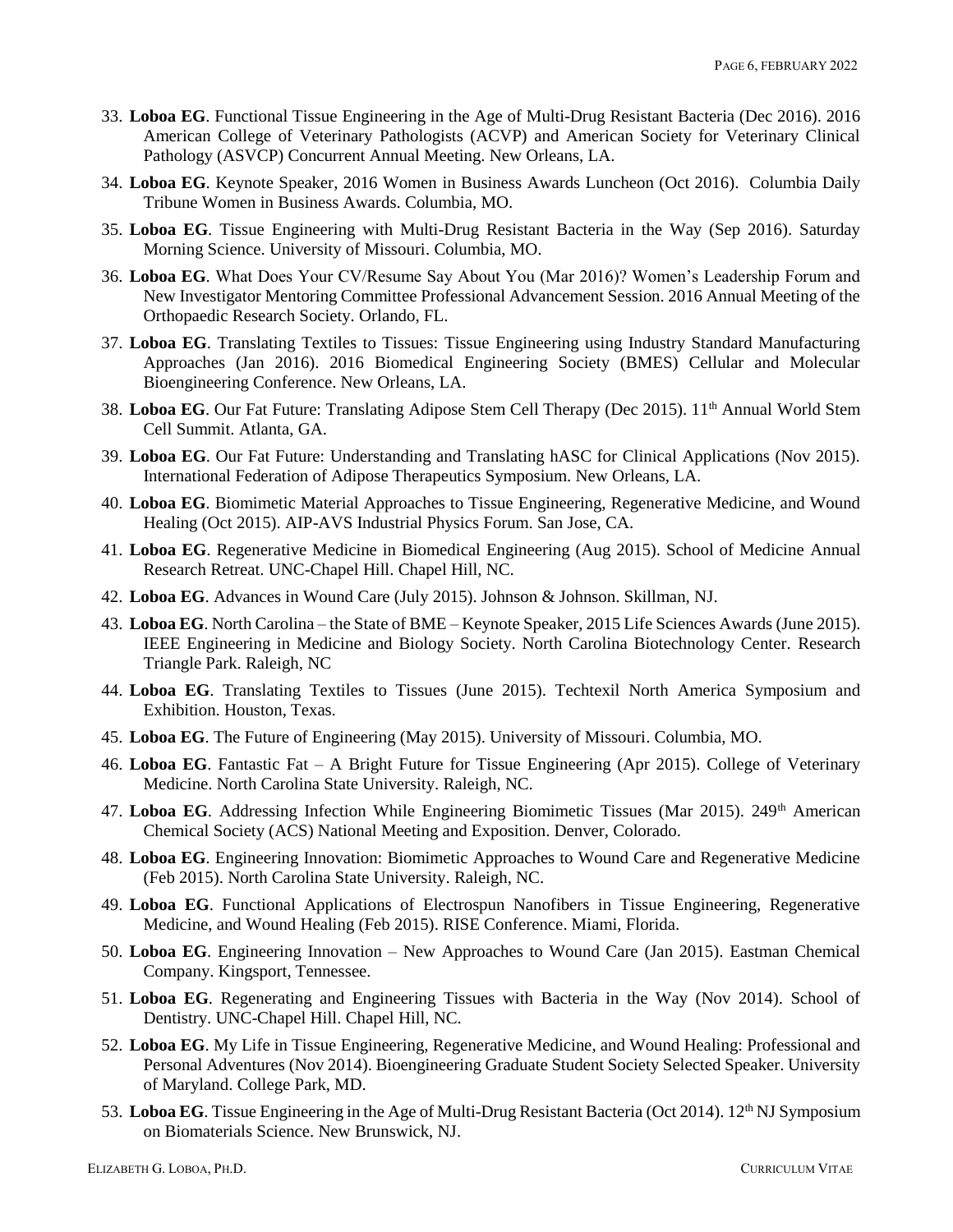- 33. **Loboa EG**. Functional Tissue Engineering in the Age of Multi-Drug Resistant Bacteria (Dec 2016). 2016 American College of Veterinary Pathologists (ACVP) and American Society for Veterinary Clinical Pathology (ASVCP) Concurrent Annual Meeting. New Orleans, LA.
- 34. **Loboa EG**. Keynote Speaker, 2016 Women in Business Awards Luncheon (Oct 2016). Columbia Daily Tribune Women in Business Awards. Columbia, MO.
- 35. **Loboa EG**. Tissue Engineering with Multi-Drug Resistant Bacteria in the Way (Sep 2016). Saturday Morning Science. University of Missouri. Columbia, MO.
- 36. **Loboa EG**. What Does Your CV/Resume Say About You (Mar 2016)? Women's Leadership Forum and New Investigator Mentoring Committee Professional Advancement Session. 2016 Annual Meeting of the Orthopaedic Research Society. Orlando, FL.
- 37. **Loboa EG**. Translating Textiles to Tissues: Tissue Engineering using Industry Standard Manufacturing Approaches (Jan 2016). 2016 Biomedical Engineering Society (BMES) Cellular and Molecular Bioengineering Conference. New Orleans, LA.
- 38. Loboa EG. Our Fat Future: Translating Adipose Stem Cell Therapy (Dec 2015). 11<sup>th</sup> Annual World Stem Cell Summit. Atlanta, GA.
- 39. **Loboa EG**. Our Fat Future: Understanding and Translating hASC for Clinical Applications (Nov 2015). International Federation of Adipose Therapeutics Symposium. New Orleans, LA.
- 40. **Loboa EG**. Biomimetic Material Approaches to Tissue Engineering, Regenerative Medicine, and Wound Healing (Oct 2015). AIP-AVS Industrial Physics Forum. San Jose, CA.
- 41. **Loboa EG**. Regenerative Medicine in Biomedical Engineering (Aug 2015). School of Medicine Annual Research Retreat. UNC-Chapel Hill. Chapel Hill, NC.
- 42. **Loboa EG**. Advances in Wound Care (July 2015). Johnson & Johnson. Skillman, NJ.
- 43. **Loboa EG**. North Carolina the State of BME Keynote Speaker, 2015 Life Sciences Awards (June 2015). IEEE Engineering in Medicine and Biology Society. North Carolina Biotechnology Center. Research Triangle Park. Raleigh, NC
- 44. **Loboa EG**. Translating Textiles to Tissues (June 2015). Techtexil North America Symposium and Exhibition. Houston, Texas.
- 45. **Loboa EG**. The Future of Engineering (May 2015). University of Missouri. Columbia, MO.
- 46. **Loboa EG**. Fantastic Fat A Bright Future for Tissue Engineering (Apr 2015). College of Veterinary Medicine. North Carolina State University. Raleigh, NC.
- 47. Loboa EG. Addressing Infection While Engineering Biomimetic Tissues (Mar 2015). 249<sup>th</sup> American Chemical Society (ACS) National Meeting and Exposition. Denver, Colorado.
- 48. **Loboa EG**. Engineering Innovation: Biomimetic Approaches to Wound Care and Regenerative Medicine (Feb 2015). North Carolina State University. Raleigh, NC.
- 49. **Loboa EG**. Functional Applications of Electrospun Nanofibers in Tissue Engineering, Regenerative Medicine, and Wound Healing (Feb 2015). RISE Conference. Miami, Florida.
- 50. **Loboa EG**. Engineering Innovation New Approaches to Wound Care (Jan 2015). Eastman Chemical Company. Kingsport, Tennessee.
- 51. **Loboa EG**. Regenerating and Engineering Tissues with Bacteria in the Way (Nov 2014). School of Dentistry. UNC-Chapel Hill. Chapel Hill, NC.
- 52. **Loboa EG**. My Life in Tissue Engineering, Regenerative Medicine, and Wound Healing: Professional and Personal Adventures (Nov 2014). Bioengineering Graduate Student Society Selected Speaker. University of Maryland. College Park, MD.
- 53. Loboa EG. Tissue Engineering in the Age of Multi-Drug Resistant Bacteria (Oct 2014). 12<sup>th</sup> NJ Symposium on Biomaterials Science. New Brunswick, NJ.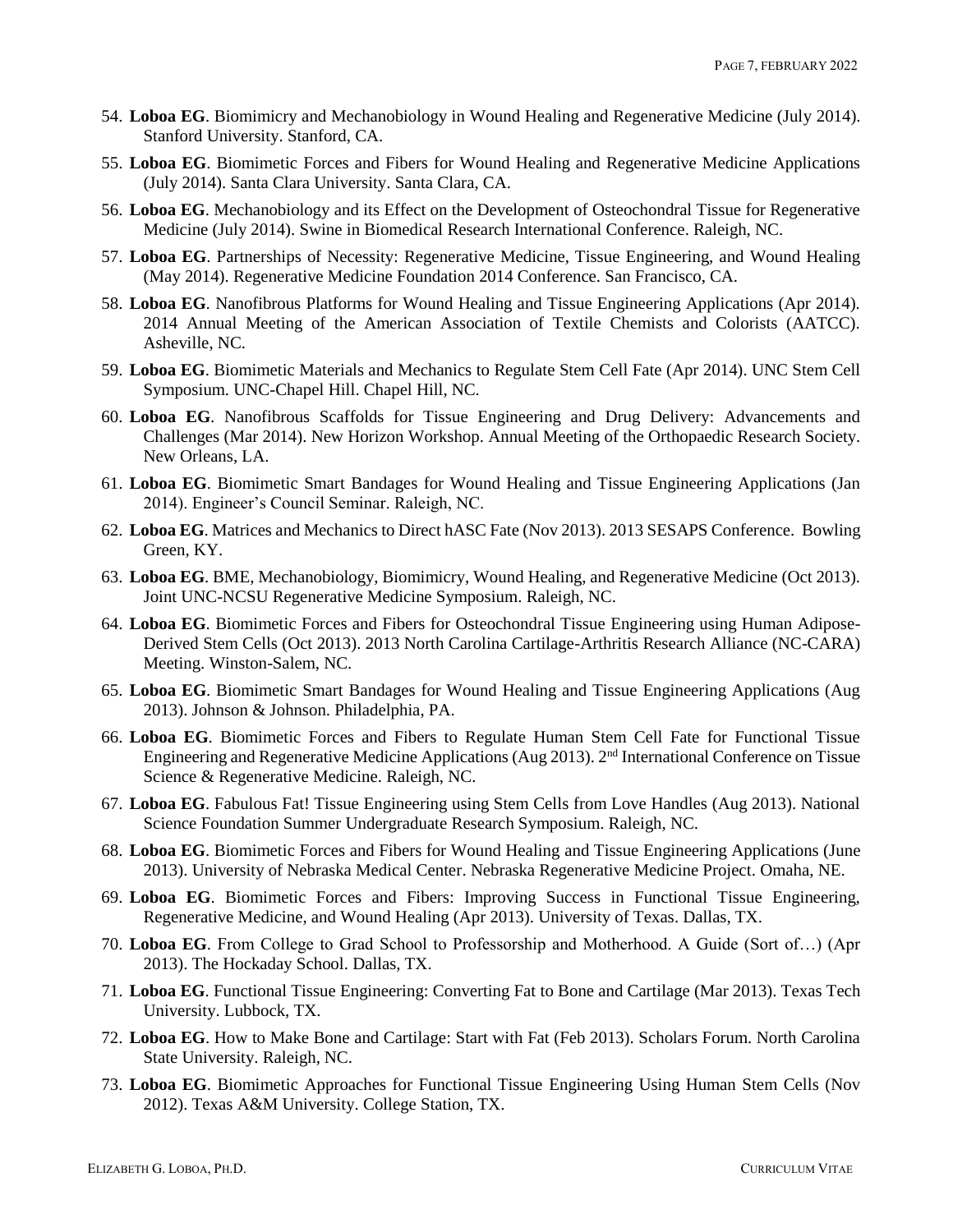- 54. **Loboa EG**. Biomimicry and Mechanobiology in Wound Healing and Regenerative Medicine (July 2014). Stanford University. Stanford, CA.
- 55. **Loboa EG**. Biomimetic Forces and Fibers for Wound Healing and Regenerative Medicine Applications (July 2014). Santa Clara University. Santa Clara, CA.
- 56. **Loboa EG**. Mechanobiology and its Effect on the Development of Osteochondral Tissue for Regenerative Medicine (July 2014). Swine in Biomedical Research International Conference. Raleigh, NC.
- 57. **Loboa EG**. Partnerships of Necessity: Regenerative Medicine, Tissue Engineering, and Wound Healing (May 2014). Regenerative Medicine Foundation 2014 Conference. San Francisco, CA.
- 58. **Loboa EG**. Nanofibrous Platforms for Wound Healing and Tissue Engineering Applications (Apr 2014). 2014 Annual Meeting of the American Association of Textile Chemists and Colorists (AATCC). Asheville, NC.
- 59. **Loboa EG**. Biomimetic Materials and Mechanics to Regulate Stem Cell Fate (Apr 2014). UNC Stem Cell Symposium. UNC-Chapel Hill. Chapel Hill, NC.
- 60. **Loboa EG**. Nanofibrous Scaffolds for Tissue Engineering and Drug Delivery: Advancements and Challenges (Mar 2014). New Horizon Workshop. Annual Meeting of the Orthopaedic Research Society. New Orleans, LA.
- 61. **Loboa EG**. Biomimetic Smart Bandages for Wound Healing and Tissue Engineering Applications (Jan 2014). Engineer's Council Seminar. Raleigh, NC.
- 62. **Loboa EG**. Matrices and Mechanics to Direct hASC Fate (Nov 2013). 2013 SESAPS Conference. Bowling Green, KY.
- 63. **Loboa EG**. BME, Mechanobiology, Biomimicry, Wound Healing, and Regenerative Medicine (Oct 2013). Joint UNC-NCSU Regenerative Medicine Symposium. Raleigh, NC.
- 64. **Loboa EG**. Biomimetic Forces and Fibers for Osteochondral Tissue Engineering using Human Adipose-Derived Stem Cells (Oct 2013). 2013 North Carolina Cartilage-Arthritis Research Alliance (NC-CARA) Meeting. Winston-Salem, NC.
- 65. **Loboa EG**. Biomimetic Smart Bandages for Wound Healing and Tissue Engineering Applications (Aug 2013). Johnson & Johnson. Philadelphia, PA.
- 66. **Loboa EG**. Biomimetic Forces and Fibers to Regulate Human Stem Cell Fate for Functional Tissue Engineering and Regenerative Medicine Applications (Aug 2013). 2nd International Conference on Tissue Science & Regenerative Medicine. Raleigh, NC.
- 67. **Loboa EG**. Fabulous Fat! Tissue Engineering using Stem Cells from Love Handles (Aug 2013). National Science Foundation Summer Undergraduate Research Symposium. Raleigh, NC.
- 68. **Loboa EG**. Biomimetic Forces and Fibers for Wound Healing and Tissue Engineering Applications (June 2013). University of Nebraska Medical Center. Nebraska Regenerative Medicine Project. Omaha, NE.
- 69. **Loboa EG**. Biomimetic Forces and Fibers: Improving Success in Functional Tissue Engineering, Regenerative Medicine, and Wound Healing (Apr 2013). University of Texas. Dallas, TX.
- 70. **Loboa EG**. From College to Grad School to Professorship and Motherhood. A Guide (Sort of…) (Apr 2013). The Hockaday School. Dallas, TX.
- 71. **Loboa EG**. Functional Tissue Engineering: Converting Fat to Bone and Cartilage (Mar 2013). Texas Tech University. Lubbock, TX.
- 72. **Loboa EG**. How to Make Bone and Cartilage: Start with Fat (Feb 2013). Scholars Forum. North Carolina State University. Raleigh, NC.
- 73. **Loboa EG**. Biomimetic Approaches for Functional Tissue Engineering Using Human Stem Cells (Nov 2012). Texas A&M University. College Station, TX.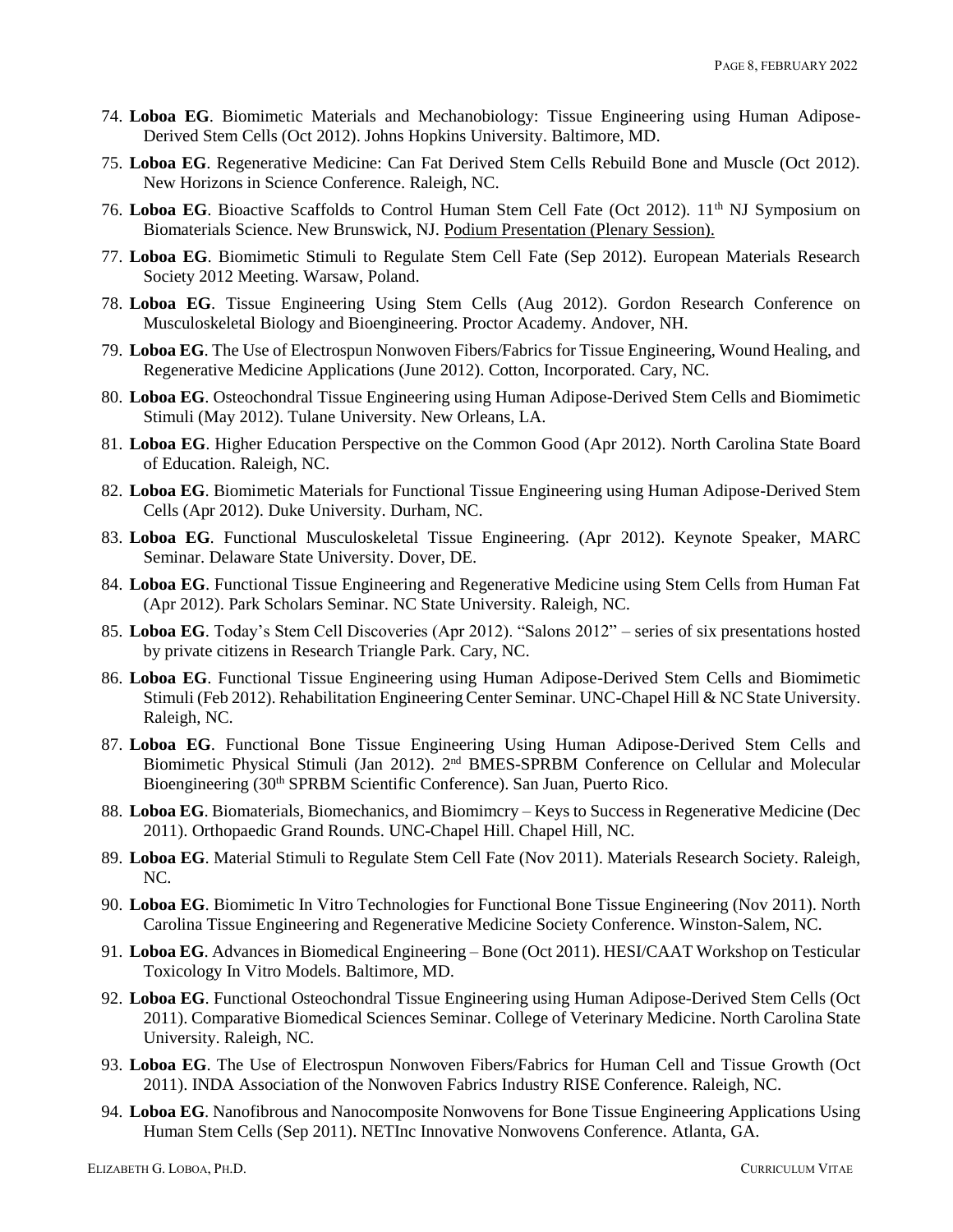- 74. **Loboa EG**. Biomimetic Materials and Mechanobiology: Tissue Engineering using Human Adipose-Derived Stem Cells (Oct 2012). Johns Hopkins University. Baltimore, MD.
- 75. **Loboa EG**. Regenerative Medicine: Can Fat Derived Stem Cells Rebuild Bone and Muscle (Oct 2012). New Horizons in Science Conference. Raleigh, NC.
- 76. Loboa EG. Bioactive Scaffolds to Control Human Stem Cell Fate (Oct 2012). 11<sup>th</sup> NJ Symposium on Biomaterials Science. New Brunswick, NJ. Podium Presentation (Plenary Session).
- 77. **Loboa EG**. Biomimetic Stimuli to Regulate Stem Cell Fate (Sep 2012). European Materials Research Society 2012 Meeting. Warsaw, Poland.
- 78. **Loboa EG**. Tissue Engineering Using Stem Cells (Aug 2012). Gordon Research Conference on Musculoskeletal Biology and Bioengineering. Proctor Academy. Andover, NH.
- 79. **Loboa EG**. The Use of Electrospun Nonwoven Fibers/Fabrics for Tissue Engineering, Wound Healing, and Regenerative Medicine Applications (June 2012). Cotton, Incorporated. Cary, NC.
- 80. **Loboa EG**. Osteochondral Tissue Engineering using Human Adipose-Derived Stem Cells and Biomimetic Stimuli (May 2012). Tulane University. New Orleans, LA.
- 81. **Loboa EG**. Higher Education Perspective on the Common Good (Apr 2012). North Carolina State Board of Education. Raleigh, NC.
- 82. **Loboa EG**. Biomimetic Materials for Functional Tissue Engineering using Human Adipose-Derived Stem Cells (Apr 2012). Duke University. Durham, NC.
- 83. **Loboa EG**. Functional Musculoskeletal Tissue Engineering. (Apr 2012). Keynote Speaker, MARC Seminar. Delaware State University. Dover, DE.
- 84. **Loboa EG**. Functional Tissue Engineering and Regenerative Medicine using Stem Cells from Human Fat (Apr 2012). Park Scholars Seminar. NC State University. Raleigh, NC.
- 85. **Loboa EG**. Today's Stem Cell Discoveries (Apr 2012). "Salons 2012" series of six presentations hosted by private citizens in Research Triangle Park. Cary, NC.
- 86. **Loboa EG**. Functional Tissue Engineering using Human Adipose-Derived Stem Cells and Biomimetic Stimuli (Feb 2012). Rehabilitation Engineering Center Seminar. UNC-Chapel Hill & NC State University. Raleigh, NC.
- 87. **Loboa EG**. Functional Bone Tissue Engineering Using Human Adipose-Derived Stem Cells and Biomimetic Physical Stimuli (Jan 2012). 2<sup>nd</sup> BMES-SPRBM Conference on Cellular and Molecular Bioengineering (30<sup>th</sup> SPRBM Scientific Conference). San Juan, Puerto Rico.
- 88. **Loboa EG**. Biomaterials, Biomechanics, and Biomimcry Keys to Success in Regenerative Medicine (Dec 2011). Orthopaedic Grand Rounds. UNC-Chapel Hill. Chapel Hill, NC.
- 89. **Loboa EG**. Material Stimuli to Regulate Stem Cell Fate (Nov 2011). Materials Research Society. Raleigh, NC.
- 90. **Loboa EG**. Biomimetic In Vitro Technologies for Functional Bone Tissue Engineering (Nov 2011). North Carolina Tissue Engineering and Regenerative Medicine Society Conference. Winston-Salem, NC.
- 91. **Loboa EG**. Advances in Biomedical Engineering Bone (Oct 2011). HESI/CAAT Workshop on Testicular Toxicology In Vitro Models. Baltimore, MD.
- 92. **Loboa EG**. Functional Osteochondral Tissue Engineering using Human Adipose-Derived Stem Cells (Oct 2011). Comparative Biomedical Sciences Seminar. College of Veterinary Medicine. North Carolina State University. Raleigh, NC.
- 93. **Loboa EG**. The Use of Electrospun Nonwoven Fibers/Fabrics for Human Cell and Tissue Growth (Oct 2011). INDA Association of the Nonwoven Fabrics Industry RISE Conference. Raleigh, NC.
- 94. **Loboa EG**. Nanofibrous and Nanocomposite Nonwovens for Bone Tissue Engineering Applications Using Human Stem Cells (Sep 2011). NETInc Innovative Nonwovens Conference. Atlanta, GA.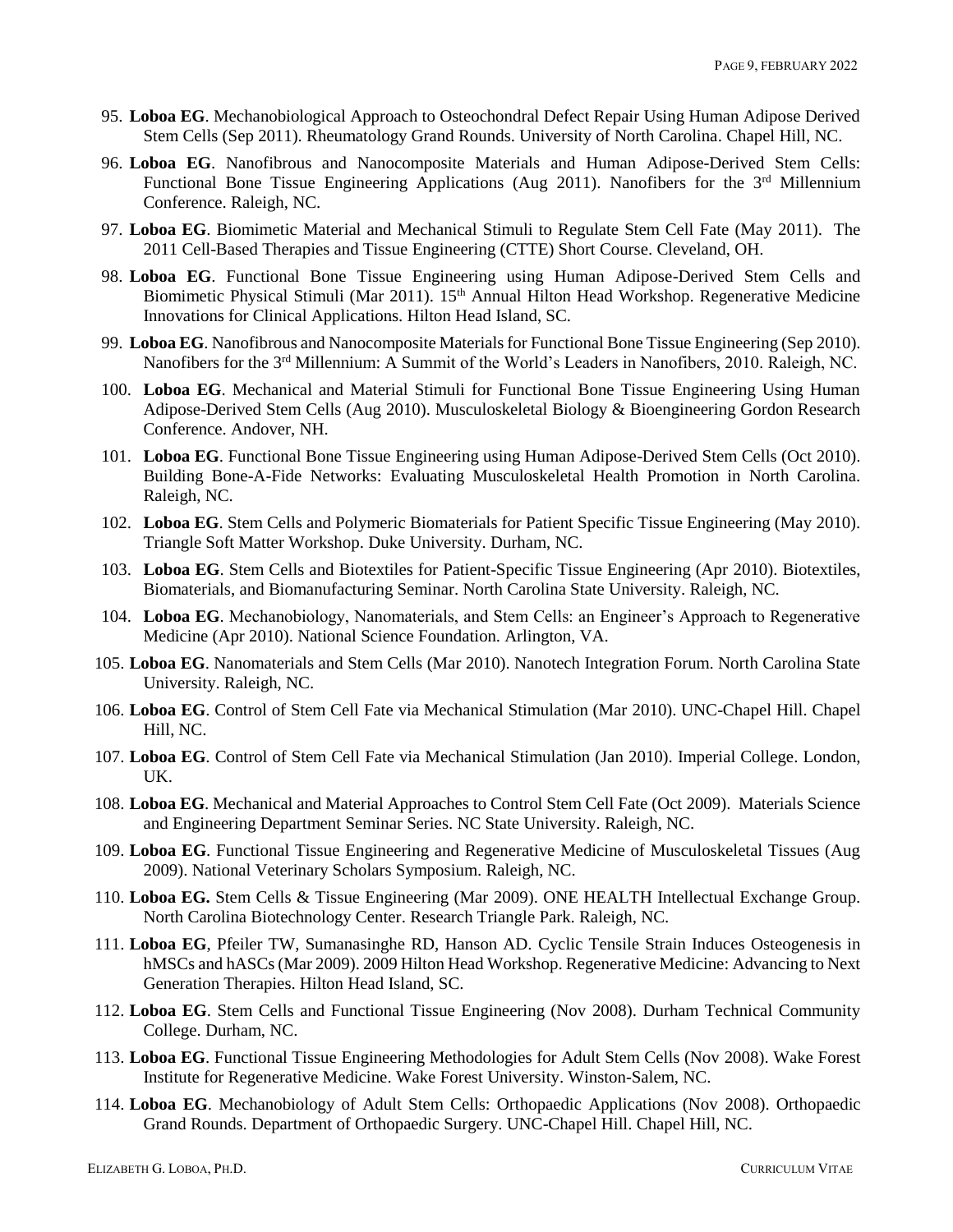- 95. **Loboa EG**. Mechanobiological Approach to Osteochondral Defect Repair Using Human Adipose Derived Stem Cells (Sep 2011). Rheumatology Grand Rounds. University of North Carolina. Chapel Hill, NC.
- 96. **Loboa EG**. Nanofibrous and Nanocomposite Materials and Human Adipose-Derived Stem Cells: Functional Bone Tissue Engineering Applications (Aug 2011). Nanofibers for the 3<sup>rd</sup> Millennium Conference. Raleigh, NC.
- 97. **Loboa EG**. Biomimetic Material and Mechanical Stimuli to Regulate Stem Cell Fate (May 2011). The 2011 Cell-Based Therapies and Tissue Engineering (CTTE) Short Course. Cleveland, OH.
- 98. **Loboa EG**. Functional Bone Tissue Engineering using Human Adipose-Derived Stem Cells and Biomimetic Physical Stimuli (Mar 2011). 15<sup>th</sup> Annual Hilton Head Workshop. Regenerative Medicine Innovations for Clinical Applications. Hilton Head Island, SC.
- 99. **Loboa EG**. Nanofibrous and Nanocomposite Materials for Functional Bone Tissue Engineering (Sep 2010). Nanofibers for the 3<sup>rd</sup> Millennium: A Summit of the World's Leaders in Nanofibers, 2010. Raleigh, NC.
- 100. **Loboa EG**. Mechanical and Material Stimuli for Functional Bone Tissue Engineering Using Human Adipose-Derived Stem Cells (Aug 2010). Musculoskeletal Biology & Bioengineering Gordon Research Conference. Andover, NH.
- 101. **Loboa EG**. Functional Bone Tissue Engineering using Human Adipose-Derived Stem Cells (Oct 2010). Building Bone-A-Fide Networks: Evaluating Musculoskeletal Health Promotion in North Carolina. Raleigh, NC.
- 102. **Loboa EG**. Stem Cells and Polymeric Biomaterials for Patient Specific Tissue Engineering (May 2010). Triangle Soft Matter Workshop. Duke University. Durham, NC.
- 103. **Loboa EG**. Stem Cells and Biotextiles for Patient-Specific Tissue Engineering (Apr 2010). Biotextiles, Biomaterials, and Biomanufacturing Seminar. North Carolina State University. Raleigh, NC.
- 104. **Loboa EG**. Mechanobiology, Nanomaterials, and Stem Cells: an Engineer's Approach to Regenerative Medicine (Apr 2010). National Science Foundation. Arlington, VA.
- 105. **Loboa EG**. Nanomaterials and Stem Cells (Mar 2010). Nanotech Integration Forum. North Carolina State University. Raleigh, NC.
- 106. **Loboa EG**. Control of Stem Cell Fate via Mechanical Stimulation (Mar 2010). UNC-Chapel Hill. Chapel Hill, NC.
- 107. **Loboa EG**. Control of Stem Cell Fate via Mechanical Stimulation (Jan 2010). Imperial College. London, UK.
- 108. **Loboa EG**. Mechanical and Material Approaches to Control Stem Cell Fate (Oct 2009). Materials Science and Engineering Department Seminar Series. NC State University. Raleigh, NC.
- 109. **Loboa EG**. Functional Tissue Engineering and Regenerative Medicine of Musculoskeletal Tissues (Aug 2009). National Veterinary Scholars Symposium. Raleigh, NC.
- 110. **Loboa EG.** Stem Cells & Tissue Engineering (Mar 2009). ONE HEALTH Intellectual Exchange Group. North Carolina Biotechnology Center. Research Triangle Park. Raleigh, NC.
- 111. **Loboa EG**, Pfeiler TW, Sumanasinghe RD, Hanson AD. Cyclic Tensile Strain Induces Osteogenesis in hMSCs and hASCs (Mar 2009). 2009 Hilton Head Workshop. Regenerative Medicine: Advancing to Next Generation Therapies. Hilton Head Island, SC.
- 112. **Loboa EG**. Stem Cells and Functional Tissue Engineering (Nov 2008). Durham Technical Community College. Durham, NC.
- 113. **Loboa EG**. Functional Tissue Engineering Methodologies for Adult Stem Cells (Nov 2008). Wake Forest Institute for Regenerative Medicine. Wake Forest University. Winston-Salem, NC.
- 114. **Loboa EG**. Mechanobiology of Adult Stem Cells: Orthopaedic Applications (Nov 2008). Orthopaedic Grand Rounds. Department of Orthopaedic Surgery. UNC-Chapel Hill. Chapel Hill, NC.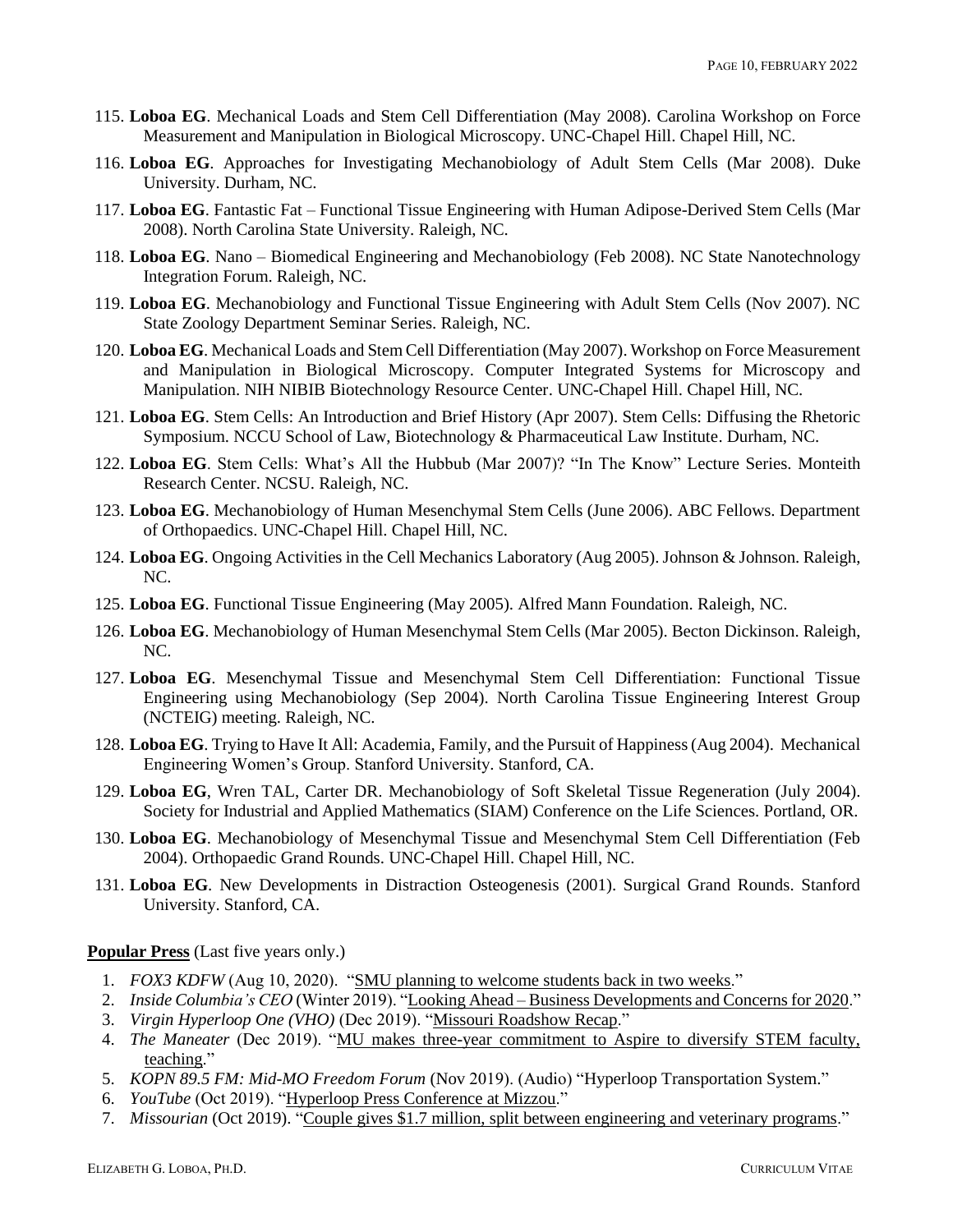- 115. **Loboa EG**. Mechanical Loads and Stem Cell Differentiation (May 2008). Carolina Workshop on Force Measurement and Manipulation in Biological Microscopy. UNC-Chapel Hill. Chapel Hill, NC.
- 116. **Loboa EG**. Approaches for Investigating Mechanobiology of Adult Stem Cells (Mar 2008). Duke University. Durham, NC.
- 117. **Loboa EG**. Fantastic Fat Functional Tissue Engineering with Human Adipose-Derived Stem Cells (Mar 2008). North Carolina State University. Raleigh, NC.
- 118. **Loboa EG**. Nano Biomedical Engineering and Mechanobiology (Feb 2008). NC State Nanotechnology Integration Forum. Raleigh, NC.
- 119. **Loboa EG**. Mechanobiology and Functional Tissue Engineering with Adult Stem Cells (Nov 2007). NC State Zoology Department Seminar Series. Raleigh, NC.
- 120. **Loboa EG**. Mechanical Loads and Stem Cell Differentiation (May 2007). Workshop on Force Measurement and Manipulation in Biological Microscopy. Computer Integrated Systems for Microscopy and Manipulation. NIH NIBIB Biotechnology Resource Center. UNC-Chapel Hill. Chapel Hill, NC.
- 121. **Loboa EG**. Stem Cells: An Introduction and Brief History (Apr 2007). Stem Cells: Diffusing the Rhetoric Symposium. NCCU School of Law, Biotechnology & Pharmaceutical Law Institute. Durham, NC.
- 122. **Loboa EG**. Stem Cells: What's All the Hubbub (Mar 2007)? "In The Know" Lecture Series. Monteith Research Center. NCSU. Raleigh, NC.
- 123. **Loboa EG**. Mechanobiology of Human Mesenchymal Stem Cells (June 2006). ABC Fellows. Department of Orthopaedics. UNC-Chapel Hill. Chapel Hill, NC.
- 124. **Loboa EG**. Ongoing Activities in the Cell Mechanics Laboratory (Aug 2005). Johnson & Johnson. Raleigh, NC.
- 125. **Loboa EG**. Functional Tissue Engineering (May 2005). Alfred Mann Foundation. Raleigh, NC.
- 126. **Loboa EG**. Mechanobiology of Human Mesenchymal Stem Cells (Mar 2005). Becton Dickinson. Raleigh, NC.
- 127. **Loboa EG**. Mesenchymal Tissue and Mesenchymal Stem Cell Differentiation: Functional Tissue Engineering using Mechanobiology (Sep 2004). North Carolina Tissue Engineering Interest Group (NCTEIG) meeting. Raleigh, NC.
- 128. **Loboa EG**. Trying to Have It All: Academia, Family, and the Pursuit of Happiness (Aug 2004). Mechanical Engineering Women's Group. Stanford University. Stanford, CA.
- 129. **Loboa EG**, Wren TAL, Carter DR. Mechanobiology of Soft Skeletal Tissue Regeneration (July 2004). Society for Industrial and Applied Mathematics (SIAM) Conference on the Life Sciences. Portland, OR.
- 130. **Loboa EG**. Mechanobiology of Mesenchymal Tissue and Mesenchymal Stem Cell Differentiation (Feb 2004). Orthopaedic Grand Rounds. UNC-Chapel Hill. Chapel Hill, NC.
- 131. **Loboa EG**. New Developments in Distraction Osteogenesis (2001). Surgical Grand Rounds. Stanford University. Stanford, CA.

**Popular Press** (Last five years only.)

- 1. *FOX3 KDFW* (Aug 10, 2020). "SMU planning to welcome students back in two weeks."
- 2. *Inside Columbia's CEO* (Winter 2019). "Looking Ahead Business Developments and Concerns for 2020."
- 3. *Virgin Hyperloop One (VHO)* (Dec 2019). ["Missouri Roadshow Recap.](https://missouri.app.box.com/s/bker0jf8m46m7rwcwagps2u3mr0ig187)"
- 4. *The Maneater* (Dec 2019). "MU makes three-year commitment to Aspire to diversify STEM faculty, [teaching.](https://www.themaneater.com/stories/news/mu-makes-three-year-commitment-to-aspire-to-diversify-stem-faculty-teaching)"
- 5. *KOPN 89.5 FM: Mid-MO Freedom Forum* (Nov 2019). (Audio) "Hyperloop Transportation System."
- 6. *YouTube* (Oct 2019). ["Hyperloop Press Conference at Mizzou.](https://www.youtube.com/watch?v=8TqxXJTJMek)"
- 7. *Missourian* (Oct 2019). ["Couple gives \\$1.7 million, split between engineering](https://www.columbiamissourian.com/news/higher_education/couple-gives-million-split-between-engineering-and-veterinary-programs/article_cd247ef4-f695-11e9-adeb-efe516a5217c.html) and veterinary programs."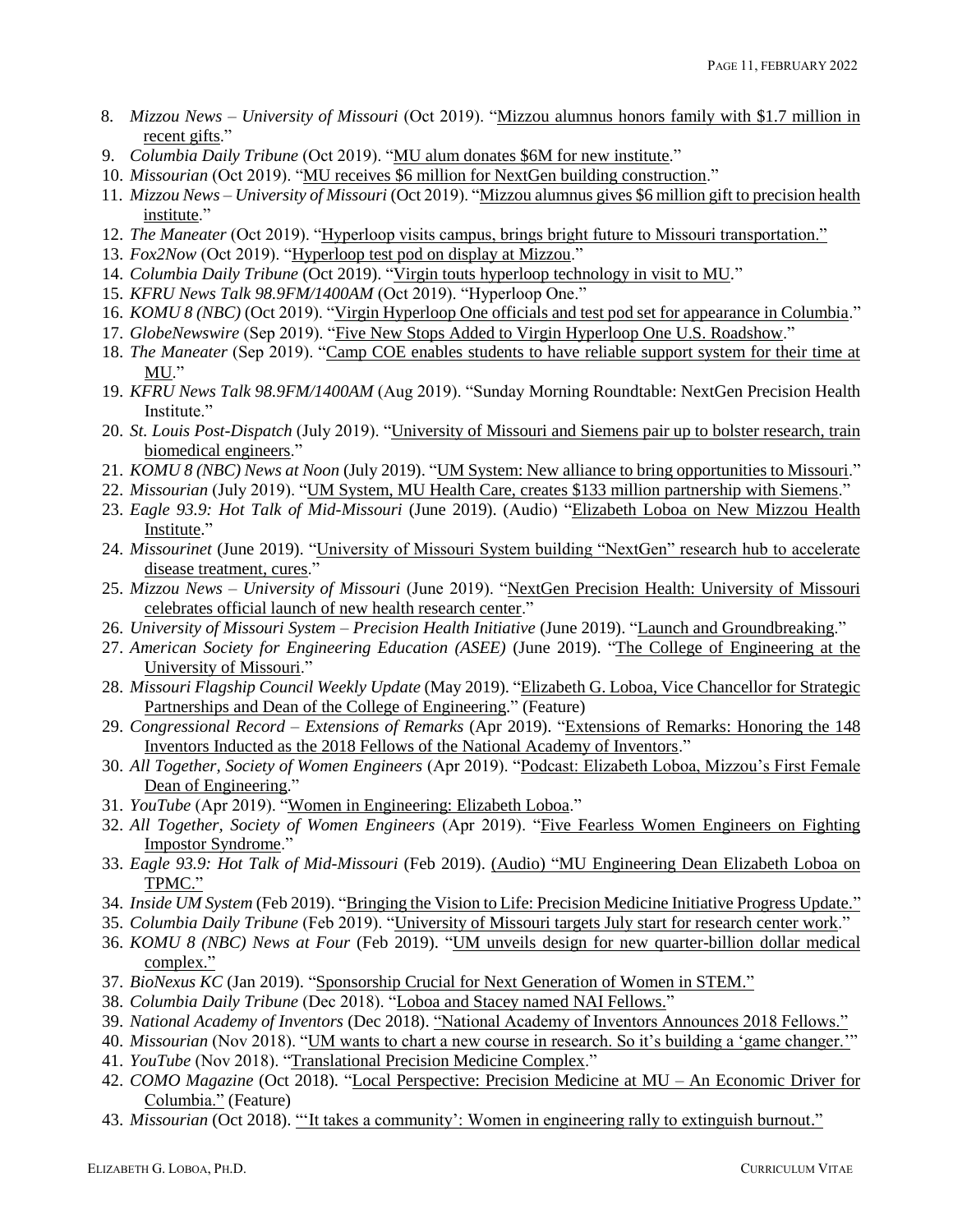- 8. *Mizzou News – University of Missouri* (Oct 2019). ["Mizzou alumnus honors family with \\$1.7 million in](https://news.missouri.edu/2019/mizzou-alumnus-honors-family-with-1-7-million-in-recent-gifts/)  [recent gifts.](https://news.missouri.edu/2019/mizzou-alumnus-honors-family-with-1-7-million-in-recent-gifts/)"
- 9. *Columbia Daily Tribune* (Oct 2019). ["MU alum donates \\$6M for new institute.](https://www.columbiatribune.com/news/20191011/mu-alum-donates-6m-for-new-institute)"
- 10. *Missourian* (Oct 2019). ["MU receives \\$6 million for NextGen building construction.](https://www.columbiamissourian.com/news/higher_education/mu-receives-million-for-nextgen-building-construction/article_4c9c1a62-ec63-11e9-9f88-63b03b933598.html)"
- 11. *Mizzou News – University of Missouri* (Oct 2019). ["Mizzou alumnus gives \\$6 million gift to precision health](https://news.missouri.edu/2019/mizzou-alumnus-gives-6-million-gift-to-precision-health-institute/)  [institute.](https://news.missouri.edu/2019/mizzou-alumnus-gives-6-million-gift-to-precision-health-institute/)"
- 12. *The Maneater* (Oct 2019). ["Hyperloop visits campus, brings bright future to Missouri transportation."](https://www.themaneater.com/stories/news/hyperloop-visits-campus-brings-bright-future-to-missouri-transportation)
- 13. *Fox2Now* (Oct 2019). ["Hyperloop test pod on display at Mizzou.](https://fox2now.com/2019/10/03/hyperloop-test-pod-on-display-at-mizzou/)"
- 14. *Columbia Daily Tribune* (Oct 2019). ["Virgin touts hyperloop technology in visit to MU](https://www.columbiatribune.com/news/20191003/virgin-touts-hyperloop-technology-in-visit-to-mu)*.*"
- 15. *KFRU News Talk 98.9FM/1400AM* (Oct 2019). "Hyperloop One."
- 16. *KOMU 8 (NBC)* (Oct 2019). ["Virgin Hyperloop One officials and test pod set for appearance in Columbia.](https://www.komu.com/news/virgin-hyperloop-one-officials-and-test-pod-set-for-appearance-in-columbia)"
- 17. *GlobeNewswire* (Sep 2019). ["Five New Stops Added to Virgin Hyperloop One U.S. Roadshow.](https://www.globenewswire.com/news-release/2019/09/23/1919160/0/en/Five-New-Stops-Added-to-Virgin-Hyperloop-One-U-S-Roadshow.html)"
- 18. *The Maneater* (Sep 2019). ["Camp COE enables students to have reliable support system for their time at](https://www.themaneater.com/stories/news/camp-coe-enables-students-to-have-reliable-support-system-for-their-time-at-mu)  [MU.](https://www.themaneater.com/stories/news/camp-coe-enables-students-to-have-reliable-support-system-for-their-time-at-mu)"
- 19. *KFRU News Talk 98.9FM/1400AM* (Aug 2019). "Sunday Morning Roundtable: NextGen Precision Health Institute."
- 20. *St. Louis Post-Dispatch* (July 2019). ["University of Missouri and Siemens pair up to bolster research, train](https://www.stltoday.com/news/local/education/university-of-missouri-and-siemens-pair-up-to-bolster-research/article_f926dc78-556e-5415-9f23-4162c89ee3a8.html)  [biomedical engineers.](https://www.stltoday.com/news/local/education/university-of-missouri-and-siemens-pair-up-to-bolster-research/article_f926dc78-556e-5415-9f23-4162c89ee3a8.html)"
- 21. *KOMU 8 (NBC) News at Noon* (July 2019). ["UM System: New alliance to bring opportunities to Missouri.](https://www.komu.com/news/um-system-new-alliance-to-bring-opportunities-to-missouri)"
- 22. *Missourian* (July 2019). ["UM System, MU Health Care, creates \\$133 million partnership with Siemens.](https://www.columbiamissourian.com/news/local/um-system-mu-health-care-creates-million-partnership-with-siemens/article_c88f6096-a4ad-11e9-850c-73fdff621b40.html)"
- 23. *Eagle 93.9: Hot Talk of Mid-Missouri* (June 2019). (Audio) ["Elizabeth Loboa on New Mizzou Health](https://939theeagle.com/audio-elizabeth-loboa-on-new-mizzou-health-institute/)  [Institute.](https://939theeagle.com/audio-elizabeth-loboa-on-new-mizzou-health-institute/)"
- 24. *Missourinet* (June 2019). ["University of Missouri System building "NextGen" research hub to accelerate](https://www.missourinet.com/2019/06/21/university-of-missouri-system-building-nextgen-research-hub-to-accelerate-disease-treatment-cures/)  [disease treatment, cures.](https://www.missourinet.com/2019/06/21/university-of-missouri-system-building-nextgen-research-hub-to-accelerate-disease-treatment-cures/)"
- 25. *Mizzou News – University of Missouri* (June 2019). ["NextGen Precision Health: University of Missouri](https://news.missouri.edu/2019/nextgen-precision-health/)  [celebrates official launch of new health research center.](https://news.missouri.edu/2019/nextgen-precision-health/)"
- 26. *University of Missouri System – Precision Health Initiative* (June 2019). ["Launch and Groundbreaking.](https://precisionhealth.umsystem.edu/)"
- 27. *American Society for Engineering Education (ASEE)* (June 2019). ["The College of Engineering at the](https://www.youtube.com/watch?list=PLGVe6BxyFHNU6j4MJMaA-50ouLLENxy3e&time_continue=1&v=AZmN454-SpI)  [University of Missouri.](https://www.youtube.com/watch?list=PLGVe6BxyFHNU6j4MJMaA-50ouLLENxy3e&time_continue=1&v=AZmN454-SpI)"
- 28. *Missouri Flagship Council Weekly Update* (May 2019). ["Elizabeth G. Loboa, Vice Chancellor for Strategic](https://mailchi.mp/e3d21c96f4f3/2q5i1917x1-2907905?e=21a1e6b78b)  [Partnerships and Dean of the College of Engineering.](https://mailchi.mp/e3d21c96f4f3/2q5i1917x1-2907905?e=21a1e6b78b)" (Feature)
- 29. *Congressional Record – Extensions of Remarks* (Apr 2019). ["Extensions of Remarks:](https://www.congress.gov/116/crec/2019/04/15/CREC-2019-04-15-pt1-PgE465-5.pdf) Honoring the 148 Inventors [Inducted as the 2018 Fellows of the National Academy of Inventors.](https://www.congress.gov/116/crec/2019/04/15/CREC-2019-04-15-pt1-PgE465-5.pdf)"
- 30. *All Together, Society of Women Engineers* (Apr 2019). ["Podcast: Elizabeth Loboa, Mizzou's First Female](https://alltogether.swe.org/2019/04/podcast-elizabeth-loboa-mizzous-first-female-engineering-dean/)  [Dean of Engineering.](https://alltogether.swe.org/2019/04/podcast-elizabeth-loboa-mizzous-first-female-engineering-dean/)"
- 31. *YouTube* (Apr 2019). ["Women in Engineering: Elizabeth Loboa.](https://www.youtube.com/watch?v=fAm5Rd3EmCc)"
- 32. *All Together, Society of Women Engineers* (Apr 2019). ["Five Fearless Women Engineers on Fighting](https://alltogether.swe.org/2019/04/women-engineers-fight-impostor-syndrome/?draftsforfriends=bE5szHtjjvlROPIR1gIYuXaYPr33LvnT)  [Impostor Syndrome.](https://alltogether.swe.org/2019/04/women-engineers-fight-impostor-syndrome/?draftsforfriends=bE5szHtjjvlROPIR1gIYuXaYPr33LvnT)"
- 33. *Eagle 93.9: Hot Talk of Mid-Missouri* (Feb 2019). [\(Audio\) "MU Engineering Dean Elizabeth Loboa on](https://939theeagle.com/audio-mu-engineering-dean-elizabeth-loboa-on-tpmc/)  [TPMC."](https://939theeagle.com/audio-mu-engineering-dean-elizabeth-loboa-on-tpmc/)
- 34. *Inside UM System* (Feb 2019). ["Bringing the Vision to Life: Precision Medicine Initiative Progress Update."](https://www.youtube.com/watch?v=FxvS8cVvoxA)
- 35. *Columbia Daily Tribune* (Feb 2019). ["University of Missouri targets July start for research center work.](https://www.columbiatribune.com/news/20190206/university-of-missouri-targets-july-start-for-research-center-work)"
- 36. *KOMU 8 (NBC) News at Four* (Feb 2019). ["UM unveils design for new quarter-billion dollar medical](https://www.komu.com/news/um-unveils-design-for-new-quarter-billion-dollar-medical-complex)  [complex."](https://www.komu.com/news/um-unveils-design-for-new-quarter-billion-dollar-medical-complex)
- 37. *BioNexus KC* (Jan 2019). ["Sponsorship Crucial for Next Generation of Women in STEM."](https://bionexuskc.org/sponsorship-crucial-for-next-generation-of-women-in-stem/)
- 38. *Columbia Daily Tribune* (Dec 2018). ["Loboa and Stacey named NAI Fellows."](https://www.columbiatribune.com/news/20181212/loboa-and-stacey-named-nai-fellows)
- 39. *National Academy of Inventors* (Dec 2018)[. "National Academy of Inventors Announces 2018 Fellows."](https://www.prnewswire.com/news-releases/national-academy-of-inventors-announces-2018-fellows-300763222.html)
- 40. *Missourian* (Nov 2018). "UM wants to chart a new course in research. So it's building a 'game changer."
- 41. *YouTube* (Nov 2018). ["Translational Precision Medicine Complex.](https://www.youtube.com/watch?v=LPPtfOC9OFw)"
- 42. *COMO Magazine* (Oct 2018)*.* ["Local Perspective: Precision Medicine at MU –](http://columbiabusinesstimes.com/2018/10/30/local-perspective-precision-medicine-at-mu-an-economic-driver-for-columbia/) An Economic Driver for [Columbia."](http://columbiabusinesstimes.com/2018/10/30/local-perspective-precision-medicine-at-mu-an-economic-driver-for-columbia/) (Feature)
- 43. *Missourian* (Oct 2018). ["'It takes a community': Women in engineering rally to extinguish burnout."](https://www.columbiamissourian.com/news/local/it-takes-a-community-women-in-engineering-rally-to-extinguish/article_79817186-ccce-11e8-bb2f-af60933d0516.html)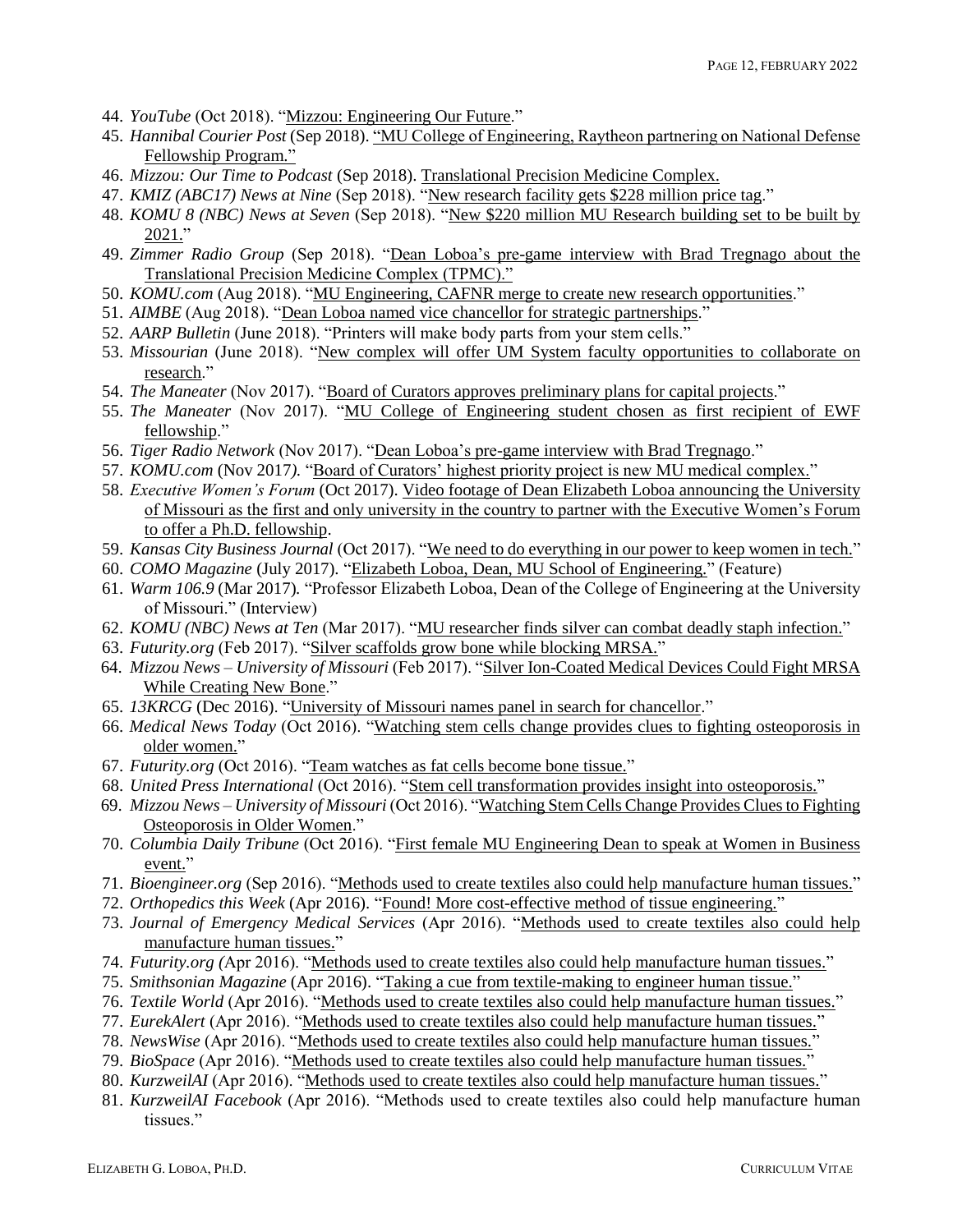- 44. *YouTube* (Oct 2018). ["Mizzou: Engineering Our Future.](https://www.youtube.com/watch?v=Ht3Qi0Bgm40)"
- 45. *Hannibal Courier Post* (Sep 2018)[. "MU College of Engineering, Raytheon partnering on National Defense](https://www.hannibal.net/news/20180917/mu-college-of-engineering-raytheon-partnering-on-national-defense-fellowship-program)  [Fellowship Program."](https://www.hannibal.net/news/20180917/mu-college-of-engineering-raytheon-partnering-on-national-defense-fellowship-program)
- 46. *Mizzou: Our Time to Podcast* (Sep 2018). [Translational Precision Medicine Complex.](https://soundcloud.com/mizzouadvancement/translational-precision-medicine-complex)
- 47. *KMIZ (ABC17) News at Nine* (Sep 2018). ["New research facility gets \\$228 million price tag.](https://www.abc17news.com/news/new-research-facility-gets-228-million-price-tag/797397492)"
- 48. *KOMU 8 (NBC) News at Seven* (Sep 2018). ["New \\$220 million MU Research building set to be built by](https://www.komu.com/news/new-220-million-mu-research-building-set-to-be-built-by-2021)  [2021."](https://www.komu.com/news/new-220-million-mu-research-building-set-to-be-built-by-2021)
- 49. *Zimmer Radio Group* (Sep 2018). ["Dean Loboa's pre-game interview with Brad Tregnago about the](https://missouri.app.box.com/s/hd7jny54dxrev3byqdd4z03r9819mdvj)  [Translational Precision Medicine Complex \(TPMC\)."](https://missouri.app.box.com/s/hd7jny54dxrev3byqdd4z03r9819mdvj)
- 50. *KOMU.com* (Aug 2018). ["MU Engineering, CAFNR merge to create new research opportunities.](https://www.komu.com/mobile/story.cfm?id=96496-mu-engineering-cafnr-merge-to-create-new-research-opportunities)"
- 51. *AIMBE* (Aug 2018). ["Dean Loboa named vice chancellor for strategic partnerships.](https://aimbe.org/dean-loboa-named-vice-chancellor-for-strategic-partnerships/)"
- 52. *AARP Bulletin* (June 2018). "Printers will make body parts from your stem cells."
- 53. Missourian (June 2018). "New complex will offer UM System faculty opportunities to collaborate on [research.](https://www.columbiamissourian.com/news/higher_education/new-complex-will-offer-um-system-faculty-opportunities-to-collaborate/article_739463c8-74cc-11e8-8d2d-8bb795ebe1c1.html)"
- 54. *The Maneater* (Nov 2017). ["Board of Curators approves preliminary plans for capital projects.](https://www.themaneater.com/stories/news/-board-of-curators-approves-preliminary-plans-for-capital-projects)"
- 55. *The Maneater* (Nov 2017). ["MU College of Engineering student chosen as first recipient of EWF](https://www.themaneater.com/stories/news/mu-college-of-engineering-student-chosen-as-first-recipient-of-ewf-fellowship-)  [fellowship.](https://www.themaneater.com/stories/news/mu-college-of-engineering-student-chosen-as-first-recipient-of-ewf-fellowship-)"
- 56. *Tiger Radio Network* (Nov 2017). ["Dean Loboa's pre-game interview with Brad Tregnago.](https://www.youtube.com/watch?v=u113ps2PMno)"
- 57. *KOMU.com* (Nov 2017*).* ["Board of Curators' highest priority project is new MU medical complex."](http://www.komu.com/news/board-of-curators-highest-priority-project-is-new-mu-medical-complex)
- 58. *Executive Women's Forum* (Oct 2017). [Video footage of Dean Elizabeth Loboa announcing the University](https://www.youtube.com/watch?v=Yix46YAUWWo&feature=youtu.be)  [of Missouri as the first and only university in the country to partner with the Executive Women's Forum](https://www.youtube.com/watch?v=Yix46YAUWWo&feature=youtu.be)  [to offer a Ph.D. fellowship.](https://www.youtube.com/watch?v=Yix46YAUWWo&feature=youtu.be)
- 59. *Kansas City Business Journal* (Oct 2017). ["We need to do everything in our power to keep women in tech."](https://www.bizjournals.com/kansascity/news/2017/10/10/kc-execs-e-need-to-do-everything-in-our-power-to.html)
- 60. *COMO Magazine* (July 2017)*.* ["Elizabeth Loboa, Dean, MU School of Engineering."](http://columbiabusinesstimes.com/2017/07/26/elizabeth-loboa-dean-mu-school-engineering/) (Feature)
- 61. *Warm 106.9* (Mar 2017)*.* "Professor Elizabeth Loboa, Dean of the College of Engineering at the University of Missouri." (Interview)
- 62. *KOMU (NBC) News at Ten* (Mar 2017). ["MU researcher finds silver can combat deadly staph infection."](http://www.komu.com/news/mu-researcher-finds-silver-can-combat-deadly-staph-infection)
- 63. *Futurity.org* (Feb 2017). ["Silver scaffolds grow bone while blocking MRSA."](http://www.futurity.org/silver-ion-coated-scaffolds-1360462-2/)
- 64. *Mizzou News – University of Missouri* (Feb 2017). ["Silver Ion-Coated Medical Devices Could Fight MRSA](https://munewsarchives.missouri.edu/news-releases/2017/0208-silver-ion-coated-medical-devices-could-fight-mrsa-while-creating-new-bone/)  [While Creating New Bone.](https://munewsarchives.missouri.edu/news-releases/2017/0208-silver-ion-coated-medical-devices-could-fight-mrsa-while-creating-new-bone/)"
- 65. *13KRCG* (Dec 2016). ["University of Missouri names panel in search for chancellor.](https://krcgtv.com/news/local/university-of-missouri-names-panel-in-search-for-chancellor)"
- 66. *Medical News Today* (Oct 2016). ["Watching stem cells change provides clues to fighting osteoporosis in](https://www.medicalnewstoday.com/releases/313334.php)  [older women."](https://www.medicalnewstoday.com/releases/313334.php)
- 67. *Futurity.org* (Oct 2016). ["Team watches as fat cells become bone tissue."](http://www.futurity.org/fat-cells-bone-tissue-cells-osteoporosis-1264542-2/)
- 68. *United Press International* (Oct 2016). ["Stem cell transformation provides insight into osteoporosis."](https://www.upi.com/Health_News/2016/10/05/Stem-cell-transformation-provides-insight-into-osteoporosis/5701475696806/)
- 69. *Mizzou News – University of Missouri* (Oct 2016). ["Watching Stem Cells Change Provides Clues to Fighting](https://munewsarchives.missouri.edu/news-releases/2016/1005-watching-stem-cells-change-provides-clues-to-fighting-osteoporosis-in-older-women/)  [Osteoporosis in Older Women.](https://munewsarchives.missouri.edu/news-releases/2016/1005-watching-stem-cells-change-provides-clues-to-fighting-osteoporosis-in-older-women/)"
- 70. *Columbia Daily Tribune* (Oct 2016). ["First female MU Engineering Dean to speak at Women in Business](http://www.columbiatribune.com/37c07f45-1f30-57e7-9fe2-c3d9a0d3ff2c.html)  [event."](http://www.columbiatribune.com/37c07f45-1f30-57e7-9fe2-c3d9a0d3ff2c.html)
- 71. *Bioengineer.org* (Sep 2016). ["Methods used to create textiles also could help manufacture human tissues."](https://bioengineer.org/methods-used-to-create-textiles-also-could-help-manufacture-human-tissues/)
- 72. *Orthopedics this Week* (Apr 2016). ["Found! More cost-effective method of tissue engineering."](https://ryortho.com/breaking/found-more-cost-effective-method-of-tissue-engineering/)
- 73. *Journal of Emergency Medical Services* (Apr 2016). ["Methods used to create textiles also could help](http://www.jems.com/articles/2016/04/methods-used-to-create-textiles-also-could-help-manufacture-human-tissues.html?c=1)  [manufacture human tissues."](http://www.jems.com/articles/2016/04/methods-used-to-create-textiles-also-could-help-manufacture-human-tissues.html?c=1)
- 74. *Futurity.org (*Apr 2016). ["Methods used to create textiles also could help manufacture human tissues."](http://www.futurity.org/tissue-engineering-textiles-1139842-2/)
- 75. *Smithsonian Magazine* (Apr 2016). ["Taking a cue from textile-making to engineer human tissue."](https://www.smithsonianmag.com/smithsonianmag/taking-cue-textile-making-engineer-human-tissue-180958763/)
- 76. *Textile World* (Apr 2016). ["Methods used to create textiles also could help manufacture human tissues."](http://www.textileworld.com/textile-world/nonwovens-technical-textiles/2016/04/methods-used-to-create-textiles-also-could-help-manufacture-human-tissues/)
- 77. *EurekAlert* (Apr 2016). ["Methods used to create textiles also could help manufacture human tissues."](https://www.eurekalert.org/pub_releases/2016-04/uom-mut040716.php)
- 78. *NewsWise* (Apr 2016). ["Methods used to create textiles also could help manufacture human tissues."](https://newswise.com/articles/methods-used-to-create-textiles-also-could-help-manufacture-human-tissues2)
- 79. *BioSpace* (Apr 2016). ["Methods used to create textiles also could help manufacture human tissues."](https://www.biospace.com/article/around-the-web/methods-used-to-create-textiles-also-could-help-manufacture-human-tissues-university-of-missouri-study-/)
- 80. *KurzweilAI* (Apr 2016). ["Methods used to create textiles also could help manufacture human tissues."](http://www.kurzweilai.net/best-textile-manufacturing-methods-for-creating-human-tissues-with-stem-cells)
- 81. *KurzweilAI Facebook* (Apr 2016). "Methods used to create textiles also could help manufacture human tissues."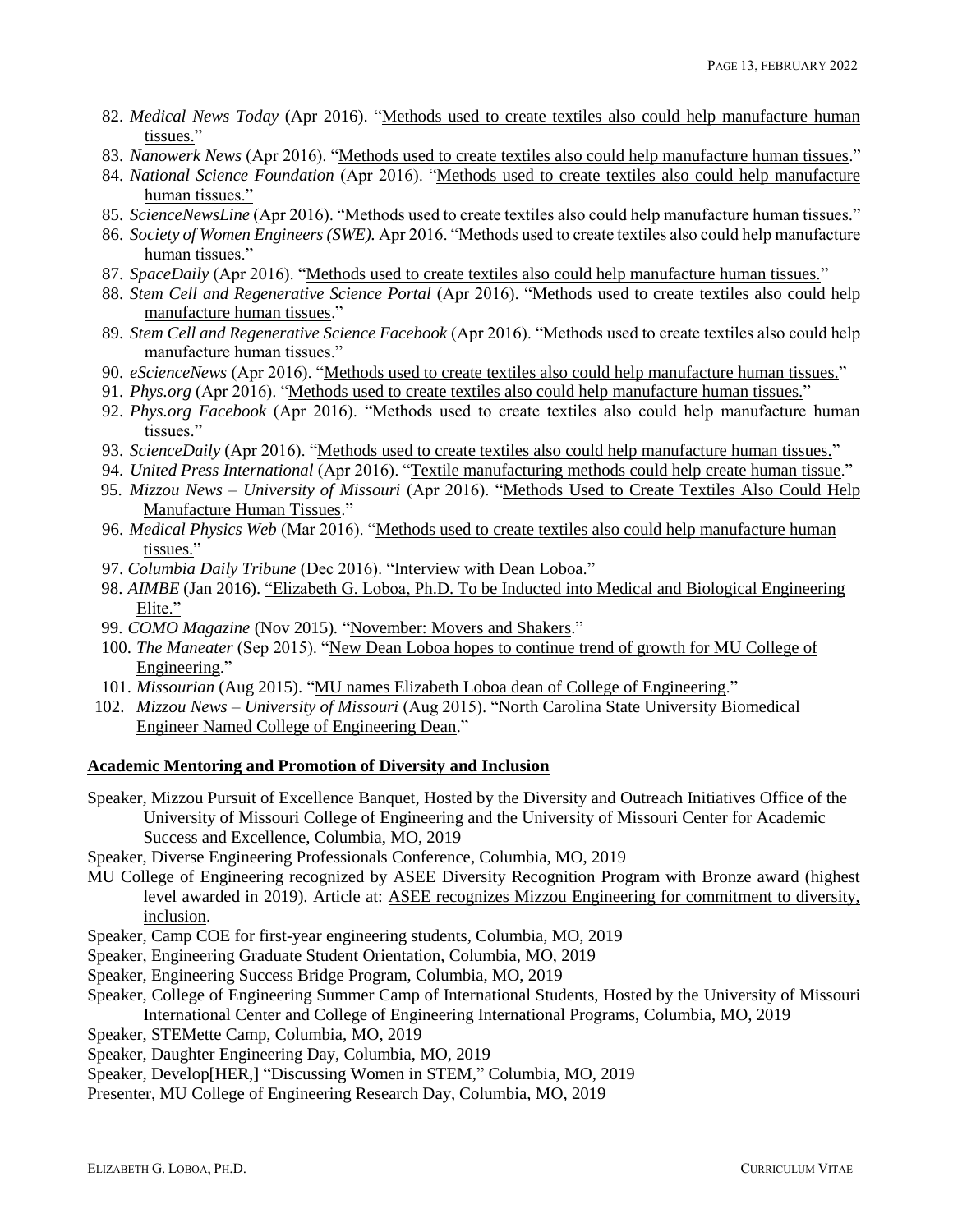- 82. *Medical News Today* (Apr 2016). ["Methods used to create textiles also could help manufacture human](https://www.medicalnewstoday.com/releases/308839.php)  [tissues."](https://www.medicalnewstoday.com/releases/308839.php)
- 83. *Nanowerk News* (Apr 2016). ["Methods used to create textiles also could help manufacture human tissues.](https://www.nanowerk.com/news2/biotech/newsid=43082.php)"
- 84. *National Science Foundation* (Apr 2016). ["Methods used to create textiles also could help manufacture](https://www.nsf.gov/news/news_summ.jsp?cntn_id=138300)  [human tissues."](https://www.nsf.gov/news/news_summ.jsp?cntn_id=138300)
- 85. *ScienceNewsLine* (Apr 2016). "Methods used to create textiles also could help manufacture human tissues."
- 86. *Society of Women Engineers (SWE).* Apr 2016. "Methods used to create textiles also could help manufacture human tissues."
- 87. *SpaceDaily* (Apr 2016). "Methods [used to create textiles also could help manufacture human tissues."](http://www.spacedaily.com/reports/Methods_used_to_create_textiles_also_could_help_manufacture_human_tissues_999.html)
- 88. *Stem Cell and Regenerative Science Portal* (Apr 2016). ["Methods used to create textiles also could help](http://stemcellsportal.com/news/methods-used-create-textiles-also-could-help-manufacture-human-tissues)  [manufacture human tissues.](http://stemcellsportal.com/news/methods-used-create-textiles-also-could-help-manufacture-human-tissues)"
- 89. *Stem Cell and Regenerative Science Facebook* (Apr 2016). "Methods used to create textiles also could help manufacture human tissues."
- 90. *eScienceNews* (Apr 2016). ["Methods used to create textiles also could help manufacture human tissues."](http://esciencenews.com/articles/2016/04/07/methods.used.create.textiles.also.could.help.manufacture.human.tissues)
- 91. *Phys.org* (Apr 2016). ["Methods used to create textiles also could help manufacture human tissues."](https://phys.org/news/2016-04-methods-textiles-human-tissues.html)
- 92. *Phys.org Facebook* (Apr 2016). "Methods used to create textiles also could help manufacture human tissues."
- 93. *ScienceDaily* (Apr 2016). ["Methods used to create textiles also could help manufacture human tissues."](https://www.sciencedaily.com/releases/2016/04/160407150742.htm)
- 94. *United Press International* (Apr 2016). ["Textile manufacturing methods could help create human tissue.](https://www.upi.com/Science_News/2016/04/07/Textile-manufacturing-methods-could-help-create-human-tissue/6771460055745/)"
- 95. *Mizzou News – University of Missouri* (Apr 2016). ["Methods Used to Create Textiles Also Could Help](https://munewsarchives.missouri.edu/news-releases/2016/0407-methods-used-to-create-textiles-also-could-help-manufacture-human-tissues-2/)  [Manufacture Human Tissues.](https://munewsarchives.missouri.edu/news-releases/2016/0407-methods-used-to-create-textiles-also-could-help-manufacture-human-tissues-2/)"
- 96. *Medical Physics Web* (Mar 2016). ["Methods used to create textiles also could help manufacture human](http://medicalphysicsweb.org/cws/article/research/64423)  [tissues."](http://medicalphysicsweb.org/cws/article/research/64423)
- 97. *Columbia Daily Tribune* (Dec 2016). ["Interview with Dean Loboa.](https://www.youtube.com/watch?v=9zylf28h9gk)"
- 98. *AIMBE* (Jan 2016). ["Elizabeth G. Loboa, Ph.D. To be Inducted into Medical and Biological Engineering](https://aimbe.org/elizabeth-g-loboa-ph-d-to-be-inducted-into-medical-and-biological-engineering-elite/)  [Elite."](https://aimbe.org/elizabeth-g-loboa-ph-d-to-be-inducted-into-medical-and-biological-engineering-elite/)
- 99. *COMO Magazine* (Nov 2015)*.* ["November: Movers and Shakers.](https://comomag.com/2015/11/23/november-movers-and-shakers-2/)"
- 100. *The Maneater* (Sep 2015). ["New Dean Loboa hopes to continue trend of growth for MU College of](https://www.themaneater.com/stories/news/new-dean-loboa-hopes-continue-trend-growth-mu-coll)  [Engineering.](https://www.themaneater.com/stories/news/new-dean-loboa-hopes-continue-trend-growth-mu-coll)"
- 101. *Missourian* (Aug 2015). ["MU names Elizabeth Loboa dean of College of Engineering.](https://www.columbiamissourian.com/news/higher_education/mu-names-elizabeth-loboa-dean-of-college-of-engineering/article_7090a878-42af-11e5-a086-4f41e058ee0a.html)"
- 102. *Mizzou News – University of Missouri* (Aug 2015). ["North Carolina State University Biomedical](https://munewsarchives.missouri.edu/news-releases/2015/0814-north-carolina-state-university-biomedical-engineer-named-college-of-engineering-dean/index.html)  [Engineer Named College of Engineering Dean.](https://munewsarchives.missouri.edu/news-releases/2015/0814-north-carolina-state-university-biomedical-engineer-named-college-of-engineering-dean/index.html)"

# **Academic Mentoring and Promotion of Diversity and Inclusion**

Speaker, Mizzou Pursuit of Excellence Banquet, Hosted by the Diversity and Outreach Initiatives Office of the University of Missouri College of Engineering and the University of Missouri Center for Academic Success and Excellence, Columbia, MO, 2019

Speaker, Diverse Engineering Professionals Conference, Columbia, MO, 2019

- MU College of Engineering recognized by ASEE Diversity Recognition Program with Bronze award (highest level awarded in 2019). Article at: [ASEE recognizes Mizzou Engineering for commitment to diversity,](https://engineering.missouri.edu/2019/08/asee-recognizes-mizzou-engineering-for-commitment-to-diversity-inclusion/)  [inclusion.](https://engineering.missouri.edu/2019/08/asee-recognizes-mizzou-engineering-for-commitment-to-diversity-inclusion/)
- Speaker, Camp COE for first-year engineering students, Columbia, MO, 2019
- Speaker, Engineering Graduate Student Orientation, Columbia, MO, 2019
- Speaker, Engineering Success Bridge Program, Columbia, MO, 2019
- Speaker, College of Engineering Summer Camp of International Students, Hosted by the University of Missouri International Center and College of Engineering International Programs, Columbia, MO, 2019
- Speaker, STEMette Camp, Columbia, MO, 2019
- Speaker, Daughter Engineering Day, Columbia, MO, 2019
- Speaker, Develop[HER,] "Discussing Women in STEM," Columbia, MO, 2019
- Presenter, MU College of Engineering Research Day, Columbia, MO, 2019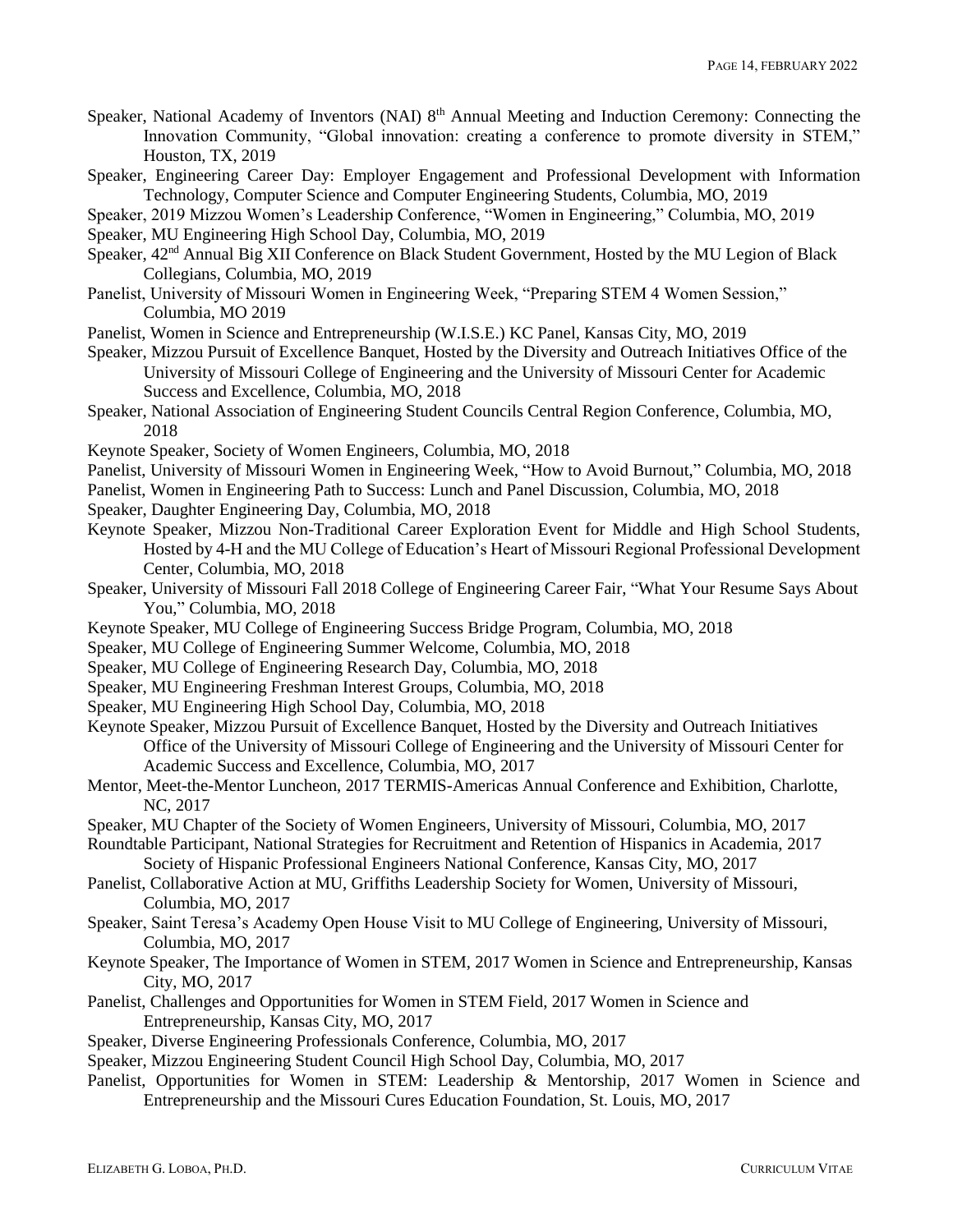- Speaker, National Academy of Inventors (NAI) 8<sup>th</sup> Annual Meeting and Induction Ceremony: Connecting the Innovation Community, "Global innovation: creating a conference to promote diversity in STEM," Houston, TX, 2019
- Speaker, Engineering Career Day: Employer Engagement and Professional Development with Information Technology, Computer Science and Computer Engineering Students, Columbia, MO, 2019

Speaker, 2019 Mizzou Women's Leadership Conference, "Women in Engineering," Columbia, MO, 2019

Speaker, MU Engineering High School Day, Columbia, MO, 2019

- Speaker,  $42<sup>nd</sup>$  Annual Big XII Conference on Black Student Government, Hosted by the MU Legion of Black Collegians, Columbia, MO, 2019
- Panelist, University of Missouri Women in Engineering Week, "Preparing STEM 4 Women Session," Columbia, MO 2019
- Panelist, Women in Science and Entrepreneurship (W.I.S.E.) KC Panel, Kansas City, MO, 2019
- Speaker, Mizzou Pursuit of Excellence Banquet, Hosted by the Diversity and Outreach Initiatives Office of the University of Missouri College of Engineering and the University of Missouri Center for Academic Success and Excellence, Columbia, MO, 2018
- Speaker, National Association of Engineering Student Councils Central Region Conference, Columbia, MO, 2018
- Keynote Speaker, Society of Women Engineers, Columbia, MO, 2018
- Panelist, University of Missouri Women in Engineering Week, "How to Avoid Burnout," Columbia, MO, 2018
- Panelist, Women in Engineering Path to Success: Lunch and Panel Discussion, Columbia, MO, 2018
- Speaker, Daughter Engineering Day, Columbia, MO, 2018
- Keynote Speaker, Mizzou Non-Traditional Career Exploration Event for Middle and High School Students, Hosted by 4-H and the MU College of Education's Heart of Missouri Regional Professional Development Center, Columbia, MO, 2018
- Speaker, University of Missouri Fall 2018 College of Engineering Career Fair, "What Your Resume Says About You," Columbia, MO, 2018
- Keynote Speaker, MU College of Engineering Success Bridge Program, Columbia, MO, 2018
- Speaker, MU College of Engineering Summer Welcome, Columbia, MO, 2018
- Speaker, MU College of Engineering Research Day, Columbia, MO, 2018
- Speaker, MU Engineering Freshman Interest Groups, Columbia, MO, 2018
- Speaker, MU Engineering High School Day, Columbia, MO, 2018
- Keynote Speaker, Mizzou Pursuit of Excellence Banquet, Hosted by the Diversity and Outreach Initiatives Office of the University of Missouri College of Engineering and the University of Missouri Center for Academic Success and Excellence, Columbia, MO, 2017
- Mentor, Meet-the-Mentor Luncheon, 2017 TERMIS-Americas Annual Conference and Exhibition, Charlotte, NC, 2017
- Speaker, MU Chapter of the Society of Women Engineers, University of Missouri, Columbia, MO, 2017
- Roundtable Participant, National Strategies for Recruitment and Retention of Hispanics in Academia, 2017 Society of Hispanic Professional Engineers National Conference, Kansas City, MO, 2017
- Panelist, Collaborative Action at MU, Griffiths Leadership Society for Women, University of Missouri, Columbia, MO, 2017
- Speaker, Saint Teresa's Academy Open House Visit to MU College of Engineering, University of Missouri, Columbia, MO, 2017
- Keynote Speaker, The Importance of Women in STEM, 2017 Women in Science and Entrepreneurship, Kansas City, MO, 2017
- Panelist, Challenges and Opportunities for Women in STEM Field, 2017 Women in Science and Entrepreneurship, Kansas City, MO, 2017
- Speaker, Diverse Engineering Professionals Conference, Columbia, MO, 2017
- Speaker, Mizzou Engineering Student Council High School Day, Columbia, MO, 2017
- Panelist, Opportunities for Women in STEM: Leadership & Mentorship, 2017 Women in Science and Entrepreneurship and the Missouri Cures Education Foundation, St. Louis, MO, 2017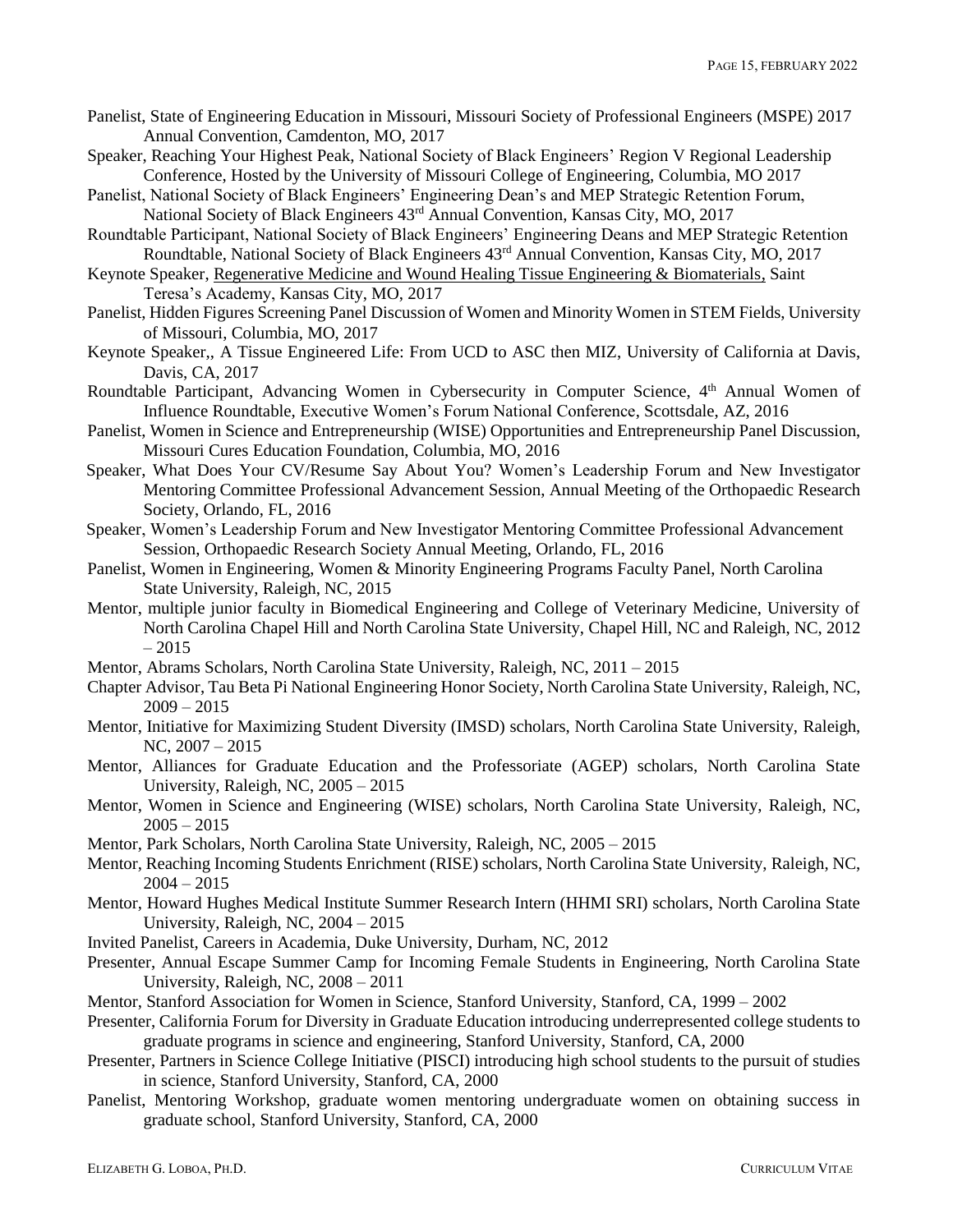- Panelist, State of Engineering Education in Missouri, Missouri Society of Professional Engineers (MSPE) 2017 Annual Convention, Camdenton, MO, 2017
- Speaker, Reaching Your Highest Peak, National Society of Black Engineers' Region V Regional Leadership Conference, Hosted by the University of Missouri College of Engineering, Columbia, MO 2017
- Panelist, National Society of Black Engineers' Engineering Dean's and MEP Strategic Retention Forum, National Society of Black Engineers 43rd Annual Convention, Kansas City, MO, 2017
- Roundtable Participant, National Society of Black Engineers' Engineering Deans and MEP Strategic Retention Roundtable, National Society of Black Engineers 43rd Annual Convention, Kansas City, MO, 2017
- Keynote Speaker, [Regenerative Medicine and Wound Healing Tissue Engineering & Biomaterials,](https://www.youtube.com/watch?v=9we0Bw8Y2Ls) Saint Teresa's Academy, Kansas City, MO, 2017
- Panelist, Hidden Figures Screening Panel Discussion of Women and Minority Women in STEM Fields, University of Missouri, Columbia, MO, 2017
- Keynote Speaker,, A Tissue Engineered Life: From UCD to ASC then MIZ, University of California at Davis, Davis, CA, 2017
- Roundtable Participant, Advancing Women in Cybersecurity in Computer Science, 4<sup>th</sup> Annual Women of Influence Roundtable, Executive Women's Forum National Conference, Scottsdale, AZ, 2016
- Panelist, Women in Science and Entrepreneurship (WISE) Opportunities and Entrepreneurship Panel Discussion, Missouri Cures Education Foundation, Columbia, MO, 2016
- Speaker, What Does Your CV/Resume Say About You? Women's Leadership Forum and New Investigator Mentoring Committee Professional Advancement Session, Annual Meeting of the Orthopaedic Research Society, Orlando, FL, 2016
- Speaker, Women's Leadership Forum and New Investigator Mentoring Committee Professional Advancement Session, Orthopaedic Research Society Annual Meeting, Orlando, FL, 2016
- Panelist, Women in Engineering, Women & Minority Engineering Programs Faculty Panel, North Carolina State University, Raleigh, NC, 2015
- Mentor, multiple junior faculty in Biomedical Engineering and College of Veterinary Medicine, University of North Carolina Chapel Hill and North Carolina State University, Chapel Hill, NC and Raleigh, NC, 2012  $-2015$
- Mentor, Abrams Scholars, North Carolina State University, Raleigh, NC, 2011 2015
- Chapter Advisor, Tau Beta Pi National Engineering Honor Society, North Carolina State University, Raleigh, NC,  $2009 - 2015$
- Mentor, Initiative for Maximizing Student Diversity (IMSD) scholars, North Carolina State University, Raleigh, NC, 2007 – 2015
- Mentor, Alliances for Graduate Education and the Professoriate (AGEP) scholars, North Carolina State University, Raleigh, NC, 2005 – 2015
- Mentor, Women in Science and Engineering (WISE) scholars, North Carolina State University, Raleigh, NC,  $2005 - 2015$
- Mentor, Park Scholars, North Carolina State University, Raleigh, NC, 2005 2015
- Mentor, Reaching Incoming Students Enrichment (RISE) scholars, North Carolina State University, Raleigh, NC,  $2004 - 2015$
- Mentor, Howard Hughes Medical Institute Summer Research Intern (HHMI SRI) scholars, North Carolina State University, Raleigh, NC, 2004 – 2015
- Invited Panelist, Careers in Academia, Duke University, Durham, NC, 2012
- Presenter, Annual Escape Summer Camp for Incoming Female Students in Engineering, North Carolina State University, Raleigh, NC, 2008 – 2011
- Mentor, Stanford Association for Women in Science, Stanford University, Stanford, CA, 1999 2002
- Presenter, California Forum for Diversity in Graduate Education introducing underrepresented college students to graduate programs in science and engineering, Stanford University, Stanford, CA, 2000
- Presenter, Partners in Science College Initiative (PISCI) introducing high school students to the pursuit of studies in science, Stanford University, Stanford, CA, 2000
- Panelist, Mentoring Workshop, graduate women mentoring undergraduate women on obtaining success in graduate school, Stanford University, Stanford, CA, 2000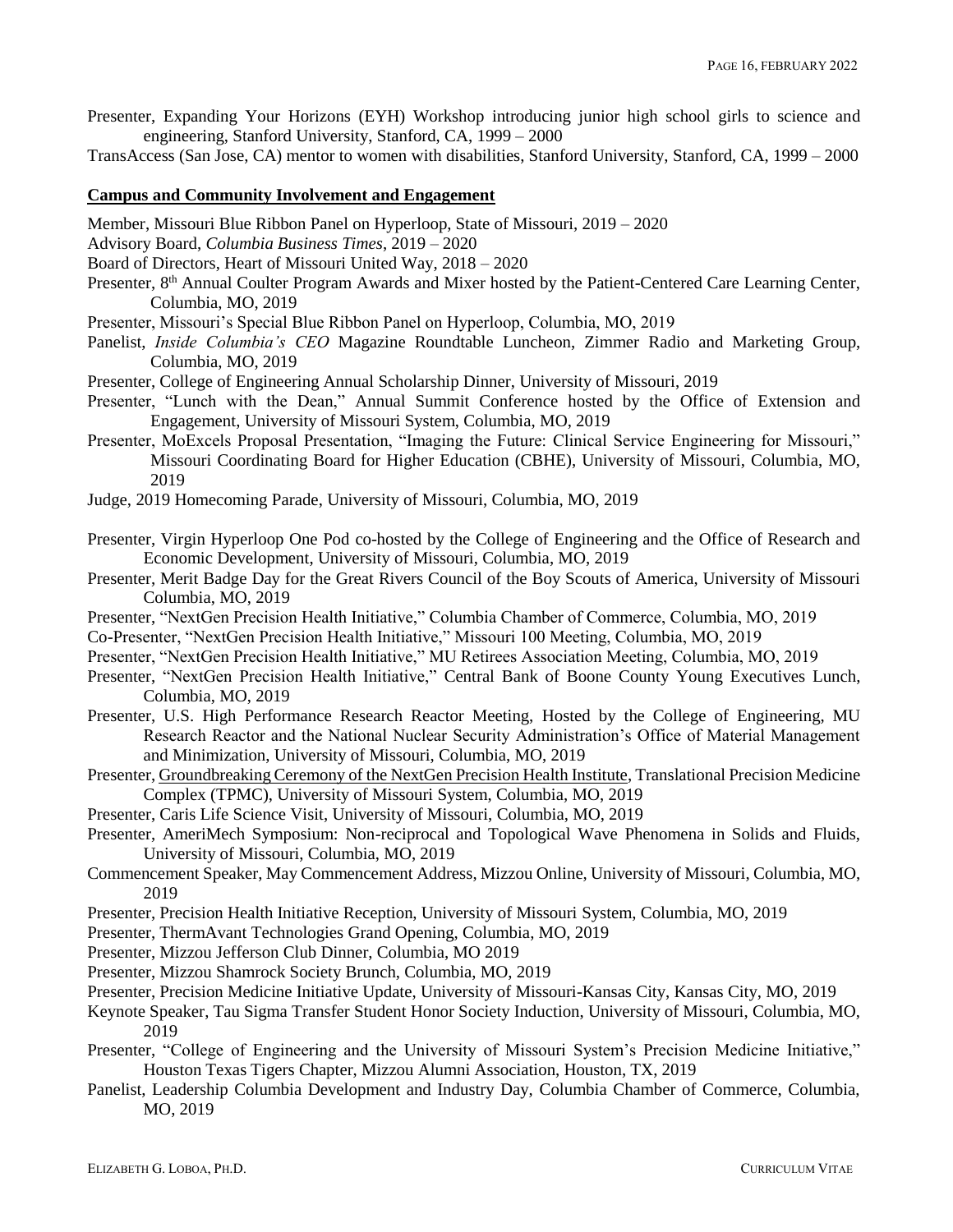Presenter, Expanding Your Horizons (EYH) Workshop introducing junior high school girls to science and engineering, Stanford University, Stanford, CA, 1999 – 2000

TransAccess (San Jose, CA) mentor to women with disabilities, Stanford University, Stanford, CA, 1999 – 2000

### **Campus and Community Involvement and Engagement**

- Member, Missouri Blue Ribbon Panel on Hyperloop, State of Missouri, 2019 2020
- Advisory Board, *Columbia Business Times*, 2019 2020
- Board of Directors, Heart of Missouri United Way, 2018 2020
- Presenter, 8<sup>th</sup> Annual Coulter Program Awards and Mixer hosted by the Patient-Centered Care Learning Center, Columbia, MO, 2019
- Presenter, Missouri's Special Blue Ribbon Panel on Hyperloop, Columbia, MO, 2019
- Panelist, *Inside Columbia's CEO* Magazine Roundtable Luncheon, Zimmer Radio and Marketing Group, Columbia, MO, 2019
- Presenter, College of Engineering Annual Scholarship Dinner, University of Missouri, 2019
- Presenter, "Lunch with the Dean," Annual Summit Conference hosted by the Office of Extension and Engagement, University of Missouri System, Columbia, MO, 2019
- Presenter, MoExcels Proposal Presentation, "Imaging the Future: Clinical Service Engineering for Missouri," Missouri Coordinating Board for Higher Education (CBHE), University of Missouri, Columbia, MO, 2019
- Judge, 2019 Homecoming Parade, University of Missouri, Columbia, MO, 2019
- Presenter, Virgin Hyperloop One Pod co-hosted by the College of Engineering and the Office of Research and Economic Development, University of Missouri, Columbia, MO, 2019
- Presenter, Merit Badge Day for the Great Rivers Council of the Boy Scouts of America, University of Missouri Columbia, MO, 2019
- Presenter, "NextGen Precision Health Initiative," Columbia Chamber of Commerce, Columbia, MO, 2019 Co-Presenter, "NextGen Precision Health Initiative," Missouri 100 Meeting, Columbia, MO, 2019
- 
- Presenter, "NextGen Precision Health Initiative," MU Retirees Association Meeting, Columbia, MO, 2019
- Presenter, "NextGen Precision Health Initiative," Central Bank of Boone County Young Executives Lunch, Columbia, MO, 2019
- Presenter, U.S. High Performance Research Reactor Meeting, Hosted by the College of Engineering, MU Research Reactor and the National Nuclear Security Administration's Office of Material Management and Minimization, University of Missouri, Columbia, MO, 2019
- Presenter, [Groundbreaking Ceremony of the NextGen Precision Health Institute,](https://precisionhealth.umsystem.edu/) Translational Precision Medicine Complex (TPMC), University of Missouri System, Columbia, MO, 2019
- Presenter, Caris Life Science Visit, University of Missouri, Columbia, MO, 2019
- Presenter, AmeriMech Symposium: Non-reciprocal and Topological Wave Phenomena in Solids and Fluids, University of Missouri, Columbia, MO, 2019
- Commencement Speaker, May Commencement Address, Mizzou Online, University of Missouri, Columbia, MO, 2019
- Presenter, Precision Health Initiative Reception, University of Missouri System, Columbia, MO, 2019
- Presenter, ThermAvant Technologies Grand Opening, Columbia, MO, 2019
- Presenter, Mizzou Jefferson Club Dinner, Columbia, MO 2019
- Presenter, Mizzou Shamrock Society Brunch, Columbia, MO, 2019
- Presenter, Precision Medicine Initiative Update, University of Missouri-Kansas City, Kansas City, MO, 2019
- Keynote Speaker, Tau Sigma Transfer Student Honor Society Induction, University of Missouri, Columbia, MO, 2019
- Presenter, "College of Engineering and the University of Missouri System's Precision Medicine Initiative," Houston Texas Tigers Chapter, Mizzou Alumni Association, Houston, TX, 2019
- Panelist, Leadership Columbia Development and Industry Day, Columbia Chamber of Commerce, Columbia, MO, 2019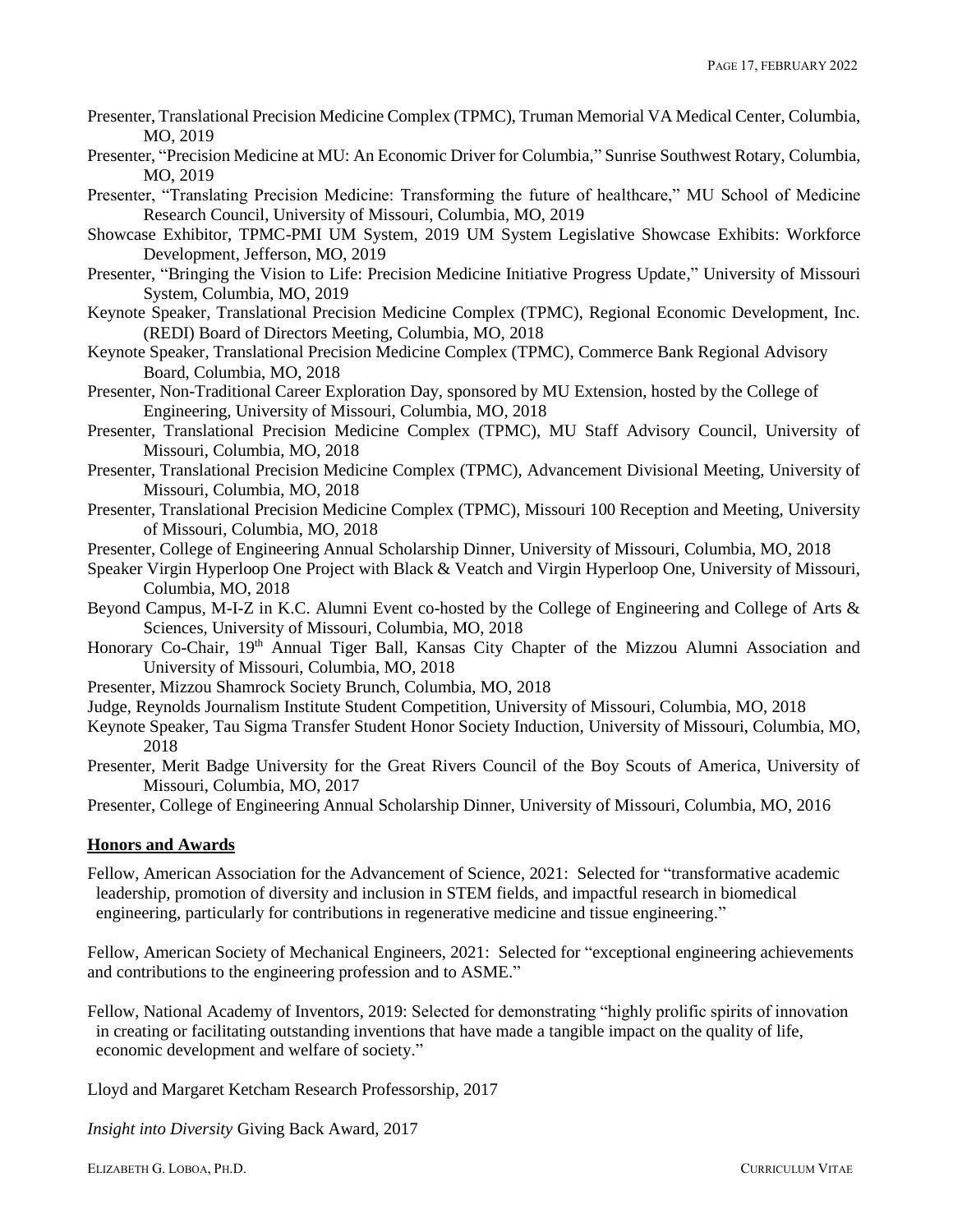- Presenter, Translational Precision Medicine Complex (TPMC), Truman Memorial VA Medical Center, Columbia, MO, 2019
- Presenter, "Precision Medicine at MU: An Economic Driver for Columbia," Sunrise Southwest Rotary, Columbia, MO, 2019
- Presenter, "Translating Precision Medicine: Transforming the future of healthcare," MU School of Medicine Research Council, University of Missouri, Columbia, MO, 2019
- Showcase Exhibitor, TPMC-PMI UM System, 2019 UM System Legislative Showcase Exhibits: Workforce Development, Jefferson, MO, 2019
- Presenter, "Bringing the Vision to Life: Precision Medicine Initiative Progress Update," University of Missouri System, Columbia, MO, 2019
- Keynote Speaker, Translational Precision Medicine Complex (TPMC), Regional Economic Development, Inc. (REDI) Board of Directors Meeting, Columbia, MO, 2018
- Keynote Speaker, Translational Precision Medicine Complex (TPMC), Commerce Bank Regional Advisory Board, Columbia, MO, 2018
- Presenter, Non-Traditional Career Exploration Day, sponsored by MU Extension, hosted by the College of Engineering, University of Missouri, Columbia, MO, 2018
- Presenter, Translational Precision Medicine Complex (TPMC), MU Staff Advisory Council, University of Missouri, Columbia, MO, 2018
- Presenter, Translational Precision Medicine Complex (TPMC), Advancement Divisional Meeting, University of Missouri, Columbia, MO, 2018
- Presenter, Translational Precision Medicine Complex (TPMC), Missouri 100 Reception and Meeting, University of Missouri, Columbia, MO, 2018
- Presenter, College of Engineering Annual Scholarship Dinner, University of Missouri, Columbia, MO, 2018
- Speaker Virgin Hyperloop One Project with Black & Veatch and Virgin Hyperloop One, University of Missouri, Columbia, MO, 2018
- Beyond Campus, M-I-Z in K.C. Alumni Event co-hosted by the College of Engineering and College of Arts & Sciences, University of Missouri, Columbia, MO, 2018
- Honorary Co-Chair, 19<sup>th</sup> Annual Tiger Ball, Kansas City Chapter of the Mizzou Alumni Association and University of Missouri, Columbia, MO, 2018
- Presenter, Mizzou Shamrock Society Brunch, Columbia, MO, 2018
- Judge, Reynolds Journalism Institute Student Competition, University of Missouri, Columbia, MO, 2018
- Keynote Speaker, Tau Sigma Transfer Student Honor Society Induction, University of Missouri, Columbia, MO, 2018
- Presenter, Merit Badge University for the Great Rivers Council of the Boy Scouts of America, University of Missouri, Columbia, MO, 2017
- Presenter, College of Engineering Annual Scholarship Dinner, University of Missouri, Columbia, MO, 2016

### **Honors and Awards**

Fellow, American Association for the Advancement of Science, 2021: Selected for "transformative academic leadership, promotion of diversity and inclusion in STEM fields, and impactful research in biomedical engineering, particularly for contributions in regenerative medicine and tissue engineering."

Fellow, American Society of Mechanical Engineers, 2021: Selected for "exceptional engineering achievements and contributions to the engineering profession and to ASME."

Fellow, National Academy of Inventors, 2019: Selected for demonstrating "highly prolific spirits of innovation in creating or facilitating outstanding inventions that have made a tangible impact on the quality of life, economic development and welfare of society."

Lloyd and Margaret Ketcham Research Professorship, 2017

*Insight into Diversity* Giving Back Award, 2017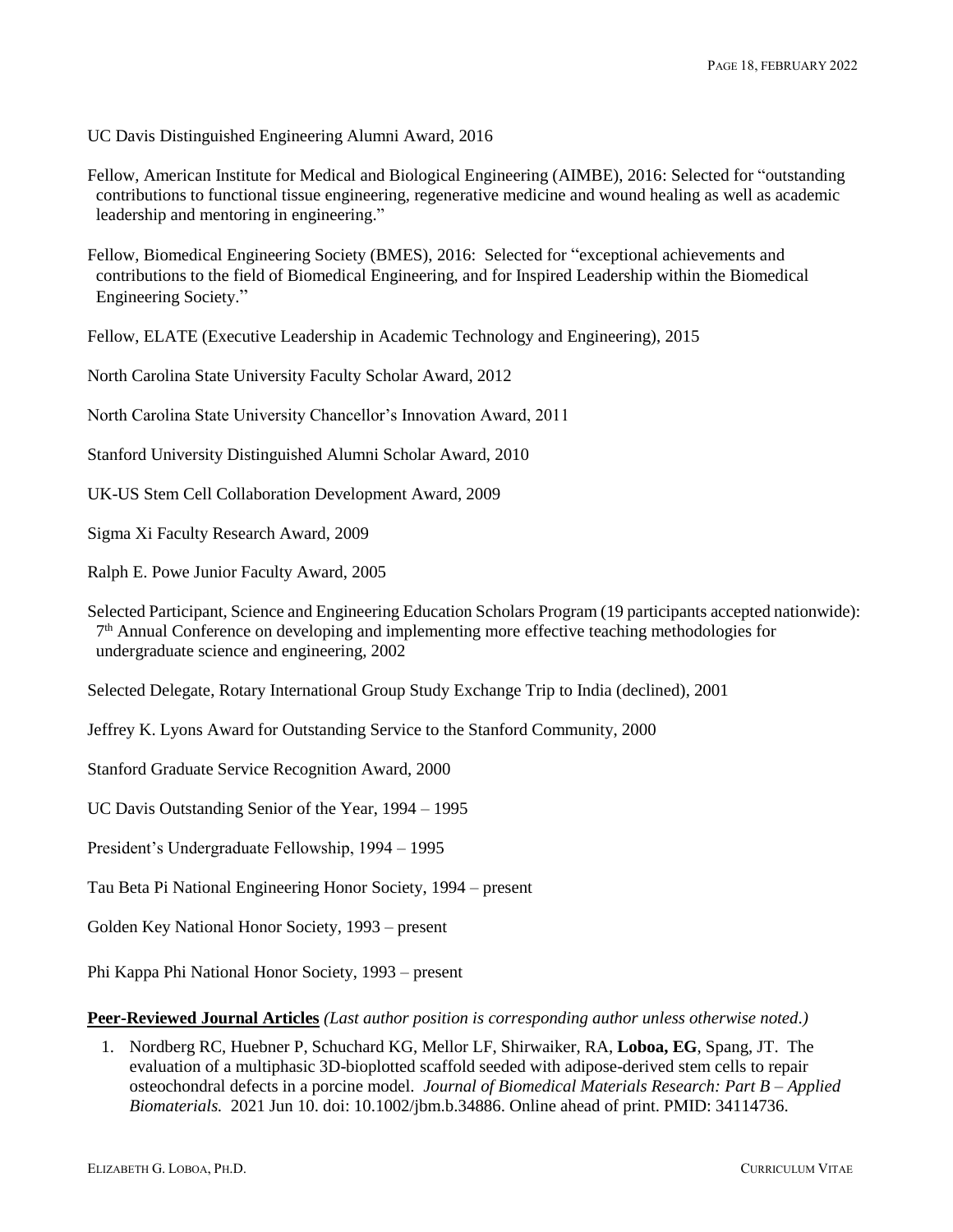UC Davis Distinguished Engineering Alumni Award, 2016

Fellow, American Institute for Medical and Biological Engineering (AIMBE), 2016: Selected for "outstanding contributions to functional tissue engineering, regenerative medicine and wound healing as well as academic leadership and mentoring in engineering."

Fellow, Biomedical Engineering Society (BMES), 2016: Selected for "exceptional achievements and contributions to the field of Biomedical Engineering, and for Inspired Leadership within the Biomedical Engineering Society."

Fellow, ELATE (Executive Leadership in Academic Technology and Engineering), 2015

North Carolina State University Faculty Scholar Award, 2012

North Carolina State University Chancellor's Innovation Award, 2011

Stanford University Distinguished Alumni Scholar Award, 2010

UK-US Stem Cell Collaboration Development Award, 2009

Sigma Xi Faculty Research Award, 2009

Ralph E. Powe Junior Faculty Award, 2005

Selected Participant, Science and Engineering Education Scholars Program (19 participants accepted nationwide): 7 th Annual Conference on developing and implementing more effective teaching methodologies for undergraduate science and engineering, 2002

Selected Delegate, Rotary International Group Study Exchange Trip to India (declined), 2001

Jeffrey K. Lyons Award for Outstanding Service to the Stanford Community, 2000

Stanford Graduate Service Recognition Award, 2000

UC Davis Outstanding Senior of the Year, 1994 – 1995

President's Undergraduate Fellowship, 1994 – 1995

Tau Beta Pi National Engineering Honor Society, 1994 – present

Golden Key National Honor Society, 1993 – present

Phi Kappa Phi National Honor Society, 1993 – present

**Peer-Reviewed Journal Articles** *(Last author position is corresponding author unless otherwise noted.)*

1. Nordberg RC, Huebner P, Schuchard KG, Mellor LF, Shirwaiker, RA, **Loboa, EG**, Spang, JT. The evaluation of a multiphasic 3D-bioplotted scaffold seeded with adipose-derived stem cells to repair osteochondral defects in a porcine model. *Journal of Biomedical Materials Research: Part B – Applied Biomaterials.* 2021 Jun 10. doi: 10.1002/jbm.b.34886. Online ahead of print. PMID: 34114736.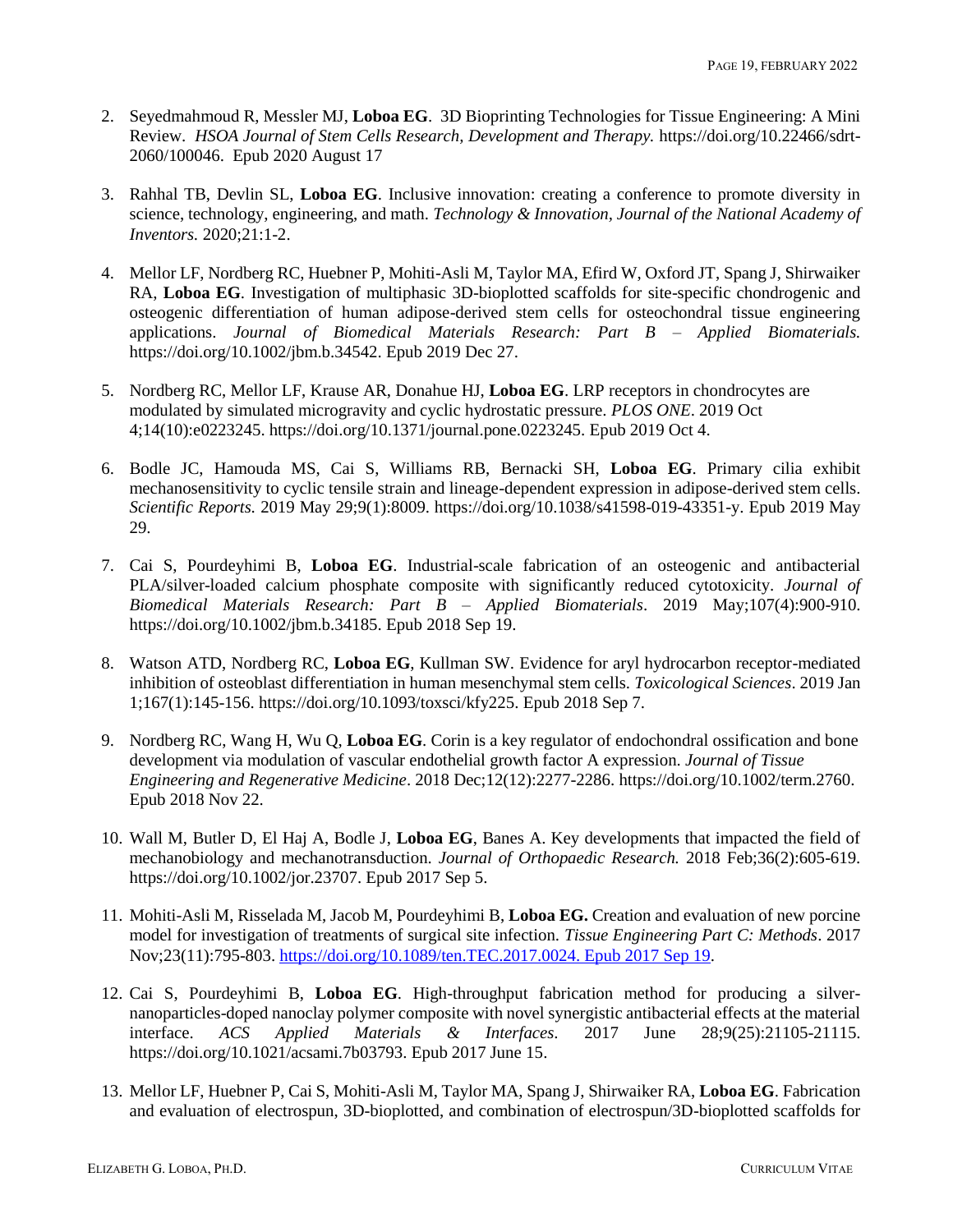- 2. Seyedmahmoud R, Messler MJ, **Loboa EG**. 3D Bioprinting Technologies for Tissue Engineering: A Mini Review. *HSOA Journal of Stem Cells Research, Development and Therapy.* https://doi.org/10.22466/sdrt-2060/100046. Epub 2020 August 17
- 3. Rahhal TB, Devlin SL, **Loboa EG**. Inclusive innovation: creating a conference to promote diversity in science, technology, engineering, and math. *Technology & Innovation, Journal of the National Academy of Inventors.* 2020;21:1-2.
- 4. Mellor LF, Nordberg RC, Huebner P, Mohiti-Asli M, Taylor MA, Efird W, Oxford JT, Spang J, Shirwaiker RA, **Loboa EG**. Investigation of multiphasic 3D-bioplotted scaffolds for site-specific chondrogenic and osteogenic differentiation of human adipose-derived stem cells for osteochondral tissue engineering applications. *Journal of Biomedical Materials Research: Part B – Applied Biomaterials.*  https://doi.org/10.1002/jbm.b.34542. Epub 2019 Dec 27.
- 5. Nordberg RC, Mellor LF, Krause AR, Donahue HJ, **Loboa EG**. LRP receptors in chondrocytes are modulated by simulated microgravity and cyclic hydrostatic pressure. *PLOS ONE*. 2019 Oct 4;14(10):e0223245. https://doi.org/10.1371/journal.pone.0223245. Epub 2019 Oct 4.
- 6. Bodle JC, Hamouda MS, Cai S, Williams RB, Bernacki SH, **Loboa EG**. Primary cilia exhibit mechanosensitivity to cyclic tensile strain and lineage-dependent expression in adipose-derived stem cells. *Scientific Reports.* 2019 May 29;9(1):8009. https://doi.org/10.1038/s41598-019-43351-y. Epub 2019 May 29.
- 7. Cai S, Pourdeyhimi B, **Loboa EG**. Industrial-scale fabrication of an osteogenic and antibacterial PLA/silver-loaded calcium phosphate composite with significantly reduced cytotoxicity. *Journal of Biomedical Materials Research: Part B – Applied Biomaterials*. 2019 May;107(4):900-910. https://doi.org/10.1002/jbm.b.34185. Epub 2018 Sep 19.
- 8. Watson ATD, Nordberg RC, **Loboa EG**, Kullman SW. Evidence for aryl hydrocarbon receptor-mediated inhibition of osteoblast differentiation in human mesenchymal stem cells. *Toxicological Sciences*. 2019 Jan 1;167(1):145-156. [https://doi.org/10.1093/toxsci/kfy225.](https://doi.org/10.1093/toxsci/kfy225) Epub 2018 Sep 7.
- 9. Nordberg RC, Wang H, Wu Q, **Loboa EG**. Corin is a key regulator of endochondral ossification and bone development via modulation of vascular endothelial growth factor A expression. *Journal of Tissue Engineering and Regenerative Medicine*. 2018 Dec;12(12):2277-2286. https://doi.org/10.1002/term.2760. Epub 2018 Nov 22.
- 10. Wall M, Butler D, El Haj A, Bodle J, **Loboa EG**, Banes A. Key developments that impacted the field of mechanobiology and mechanotransduction. *Journal of Orthopaedic Research.* 2018 Feb;36(2):605-619. https://doi.org/10.1002/jor.23707. Epub 2017 Sep 5.
- 11. Mohiti-Asli M, Risselada M, Jacob M, Pourdeyhimi B, **Loboa EG.** Creation and evaluation of new porcine model for investigation of treatments of surgical site infection. *Tissue Engineering Part C: Methods*. 2017 Nov;23(11):795-803[. https://doi.org/10.1089/ten.TEC.2017.0024. Epub 2017 Sep 19.](https://doi.org/10.1089/ten.TEC.2017.0024.%20Epub%202017%20Sep%2019)
- 12. Cai S, Pourdeyhimi B, **Loboa EG**. High-throughput fabrication method for producing a silvernanoparticles-doped nanoclay polymer composite with novel synergistic antibacterial effects at the material interface. *ACS Applied Materials & Interfaces.* 2017 June 28;9(25):21105-21115. https://doi.org/10.1021/acsami.7b03793. Epub 2017 June 15.
- 13. Mellor LF, Huebner P, Cai S, Mohiti-Asli M, Taylor MA, Spang J, Shirwaiker RA, **Loboa EG**. Fabrication and evaluation of electrospun, 3D-bioplotted, and combination of electrospun/3D-bioplotted scaffolds for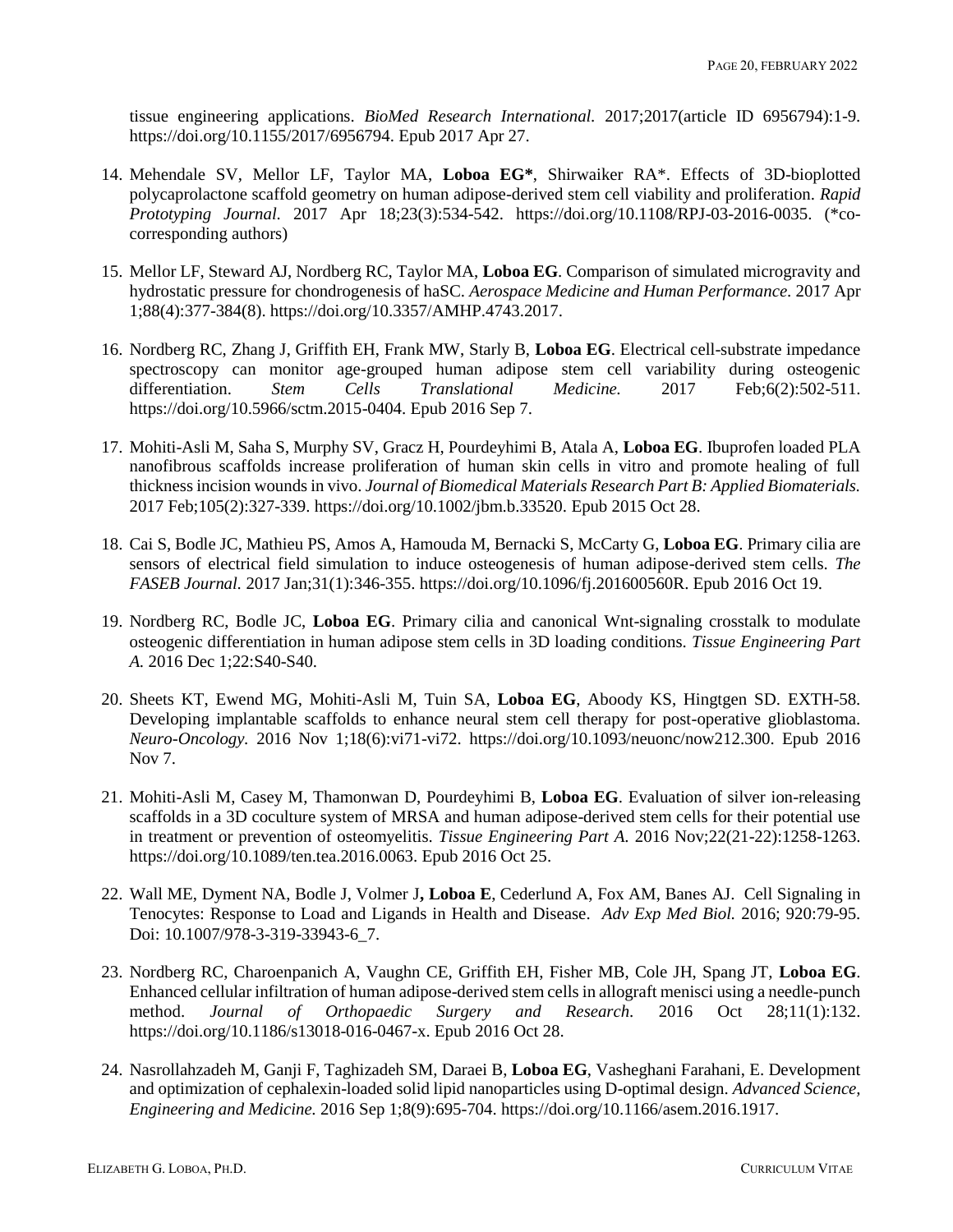tissue engineering applications. *BioMed Research International.* 2017;2017(article ID 6956794):1-9. https://doi.org/10.1155/2017/6956794. Epub 2017 Apr 27.

- 14. Mehendale SV, Mellor LF, Taylor MA, **Loboa EG\***, Shirwaiker RA\*. Effects of 3D-bioplotted polycaprolactone scaffold geometry on human adipose-derived stem cell viability and proliferation. *Rapid Prototyping Journal.* 2017 Apr 18;23(3):534-542. https://doi.org/10.1108/RPJ-03-2016-0035. (\*cocorresponding authors)
- 15. Mellor LF, Steward AJ, Nordberg RC, Taylor MA, **Loboa EG**. Comparison of simulated microgravity and hydrostatic pressure for chondrogenesis of haSC. *Aerospace Medicine and Human Performance.* 2017 Apr 1;88(4):377-384(8). https://doi.org/10.3357/AMHP.4743.2017.
- 16. Nordberg RC, Zhang J, Griffith EH, Frank MW, Starly B, **Loboa EG**. Electrical cell-substrate impedance spectroscopy can monitor age-grouped human adipose stem cell variability during osteogenic<br>differentiation. Stem Cells Translational Medicine. 2017 Feb:6(2):502-511. differentiation. *Stem Cells Translational Medicine.* 2017 Feb;6(2):502-511. https://doi.org/10.5966/sctm.2015-0404. Epub 2016 Sep 7.
- 17. Mohiti-Asli M, Saha S, Murphy SV, Gracz H, Pourdeyhimi B, Atala A, **Loboa EG**. Ibuprofen loaded PLA nanofibrous scaffolds increase proliferation of human skin cells in vitro and promote healing of full thickness incision wounds in vivo. *Journal of Biomedical Materials Research Part B: Applied Biomaterials.*  2017 Feb;105(2):327-339. https://doi.org/10.1002/jbm.b.33520. Epub 2015 Oct 28.
- 18. Cai S, Bodle JC, Mathieu PS, Amos A, Hamouda M, Bernacki S, McCarty G, **Loboa EG**. Primary cilia are sensors of electrical field simulation to induce osteogenesis of human adipose-derived stem cells. *The FASEB Journal.* 2017 Jan;31(1):346-355. https://doi.org/10.1096/fj.201600560R. Epub 2016 Oct 19.
- 19. Nordberg RC, Bodle JC, **Loboa EG**. Primary cilia and canonical Wnt-signaling crosstalk to modulate osteogenic differentiation in human adipose stem cells in 3D loading conditions. *Tissue Engineering Part A.* 2016 Dec 1;22:S40-S40.
- 20. Sheets KT, Ewend MG, Mohiti-Asli M, Tuin SA, **Loboa EG**, Aboody KS, Hingtgen SD. EXTH-58. Developing implantable scaffolds to enhance neural stem cell therapy for post-operative glioblastoma. *Neuro-Oncology.* 2016 Nov 1;18(6):vi71-vi72. https://doi.org/10.1093/neuonc/now212.300. Epub 2016 Nov 7.
- 21. Mohiti-Asli M, Casey M, Thamonwan D, Pourdeyhimi B, **Loboa EG**. Evaluation of silver ion-releasing scaffolds in a 3D coculture system of MRSA and human adipose-derived stem cells for their potential use in treatment or prevention of osteomyelitis. *Tissue Engineering Part A.* 2016 Nov;22(21-22):1258-1263. https://doi.org/10.1089/ten.tea.2016.0063. Epub 2016 Oct 25.
- 22. Wall ME, Dyment NA, Bodle J, Volmer J**, Loboa E**, Cederlund A, Fox AM, Banes AJ. Cell Signaling in Tenocytes: Response to Load and Ligands in Health and Disease. *Adv Exp Med Biol.* 2016; 920:79-95. Doi: 10.1007/978-3-319-33943-6\_7.
- 23. Nordberg RC, Charoenpanich A, Vaughn CE, Griffith EH, Fisher MB, Cole JH, Spang JT, **Loboa EG**. Enhanced cellular infiltration of human adipose-derived stem cells in allograft menisci using a needle-punch method. *Journal of Orthopaedic Surgery and Research.* 2016 Oct 28;11(1):132. https://doi.org/10.1186/s13018-016-0467-x. Epub 2016 Oct 28.
- 24. Nasrollahzadeh M, Ganji F, Taghizadeh SM, Daraei B, **Loboa EG**, Vasheghani Farahani, E. Development and optimization of cephalexin-loaded solid lipid nanoparticles using D-optimal design. *Advanced Science, Engineering and Medicine.* 2016 Sep 1;8(9):695-704. https://doi.org/10.1166/asem.2016.1917.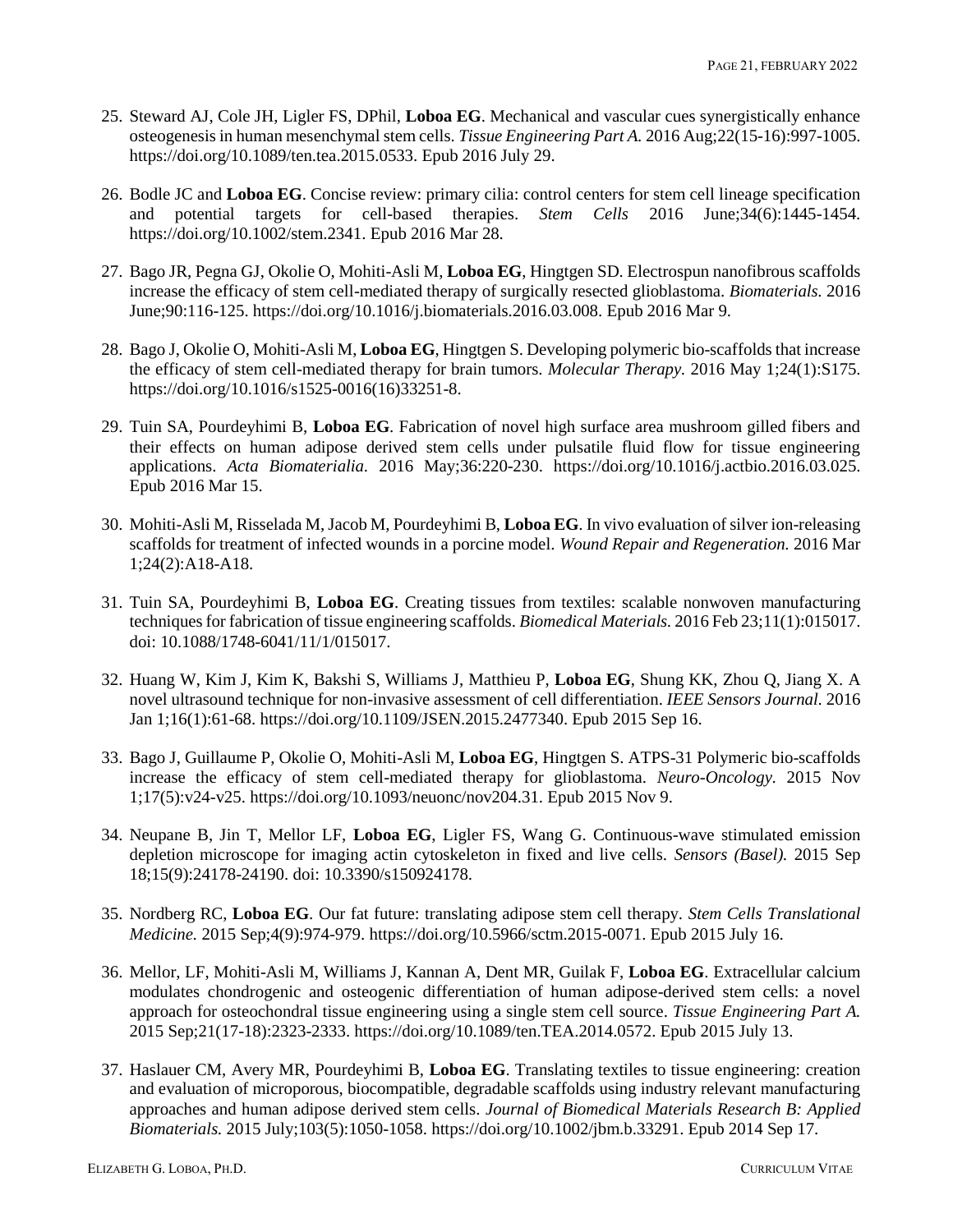- 25. Steward AJ, Cole JH, Ligler FS, DPhil, **Loboa EG**. Mechanical and vascular cues synergistically enhance osteogenesis in human mesenchymal stem cells. *Tissue Engineering Part A.* 2016 Aug;22(15-16):997-1005. https://doi.org/10.1089/ten.tea.2015.0533. Epub 2016 July 29.
- 26. Bodle JC and **Loboa EG**. Concise review: primary cilia: control centers for stem cell lineage specification and potential targets for cell-based therapies. *Stem Cells* 2016 June;34(6):1445-1454. https://doi.org/10.1002/stem.2341. Epub 2016 Mar 28.
- 27. Bago JR, Pegna GJ, Okolie O, Mohiti-Asli M, **Loboa EG**, Hingtgen SD. Electrospun nanofibrous scaffolds increase the efficacy of stem cell-mediated therapy of surgically resected glioblastoma. *Biomaterials.* 2016 June;90:116-125. https://doi.org/10.1016/j.biomaterials.2016.03.008. Epub 2016 Mar 9.
- 28. Bago J, Okolie O, Mohiti-Asli M, **Loboa EG**, Hingtgen S. Developing polymeric bio-scaffolds that increase the efficacy of stem cell-mediated therapy for brain tumors. *Molecular Therapy.* 2016 May 1;24(1):S175. https://doi.org/10.1016/s1525-0016(16)33251-8.
- 29. Tuin SA, Pourdeyhimi B, **Loboa EG**. Fabrication of novel high surface area mushroom gilled fibers and their effects on human adipose derived stem cells under pulsatile fluid flow for tissue engineering applications. *Acta Biomaterialia.* 2016 May;36:220-230. https://doi.org/10.1016/j.actbio.2016.03.025. Epub 2016 Mar 15.
- 30. Mohiti-Asli M, Risselada M, Jacob M, Pourdeyhimi B, **Loboa EG**. In vivo evaluation of silver ion-releasing scaffolds for treatment of infected wounds in a porcine model. *Wound Repair and Regeneration.* 2016 Mar 1;24(2):A18-A18.
- 31. Tuin SA, Pourdeyhimi B, **Loboa EG**. Creating tissues from textiles: scalable nonwoven manufacturing techniques for fabrication of tissue engineering scaffolds. *Biomedical Materials.* 2016 Feb 23;11(1):015017. doi: 10.1088/1748-6041/11/1/015017.
- 32. Huang W, Kim J, Kim K, Bakshi S, Williams J, Matthieu P, **Loboa EG**, Shung KK, Zhou Q, Jiang X. A novel ultrasound technique for non-invasive assessment of cell differentiation. *IEEE Sensors Journal.* 2016 Jan 1;16(1):61-68. https://doi.org/10.1109/JSEN.2015.2477340. Epub 2015 Sep 16.
- 33. Bago J, Guillaume P, Okolie O, Mohiti-Asli M, **Loboa EG**, Hingtgen S. ATPS-31 Polymeric bio-scaffolds increase the efficacy of stem cell-mediated therapy for glioblastoma. *Neuro-Oncology.* 2015 Nov 1;17(5):v24-v25. https://doi.org/10.1093/neuonc/nov204.31. Epub 2015 Nov 9.
- 34. Neupane B, Jin T, Mellor LF, **Loboa EG**, Ligler FS, Wang G. Continuous-wave stimulated emission depletion microscope for imaging actin cytoskeleton in fixed and live cells. *Sensors (Basel).* 2015 Sep 18;15(9):24178-24190. doi: 10.3390/s150924178.
- 35. Nordberg RC, **Loboa EG**. Our fat future: translating adipose stem cell therapy. *Stem Cells Translational Medicine.* 2015 Sep;4(9):974-979. https://doi.org/10.5966/sctm.2015-0071. Epub 2015 July 16.
- 36. Mellor, LF, Mohiti-Asli M, Williams J, Kannan A, Dent MR, Guilak F, **Loboa EG**. Extracellular calcium modulates chondrogenic and osteogenic differentiation of human adipose-derived stem cells: a novel approach for osteochondral tissue engineering using a single stem cell source. *Tissue Engineering Part A.* 2015 Sep;21(17-18):2323-2333. https://doi.org/10.1089/ten.TEA.2014.0572. Epub 2015 July 13.
- 37. Haslauer CM, Avery MR, Pourdeyhimi B, **Loboa EG**. Translating textiles to tissue engineering: creation and evaluation of microporous, biocompatible, degradable scaffolds using industry relevant manufacturing approaches and human adipose derived stem cells. *Journal of Biomedical Materials Research B: Applied Biomaterials.* 2015 July;103(5):1050-1058. https://doi.org/10.1002/jbm.b.33291. Epub 2014 Sep 17.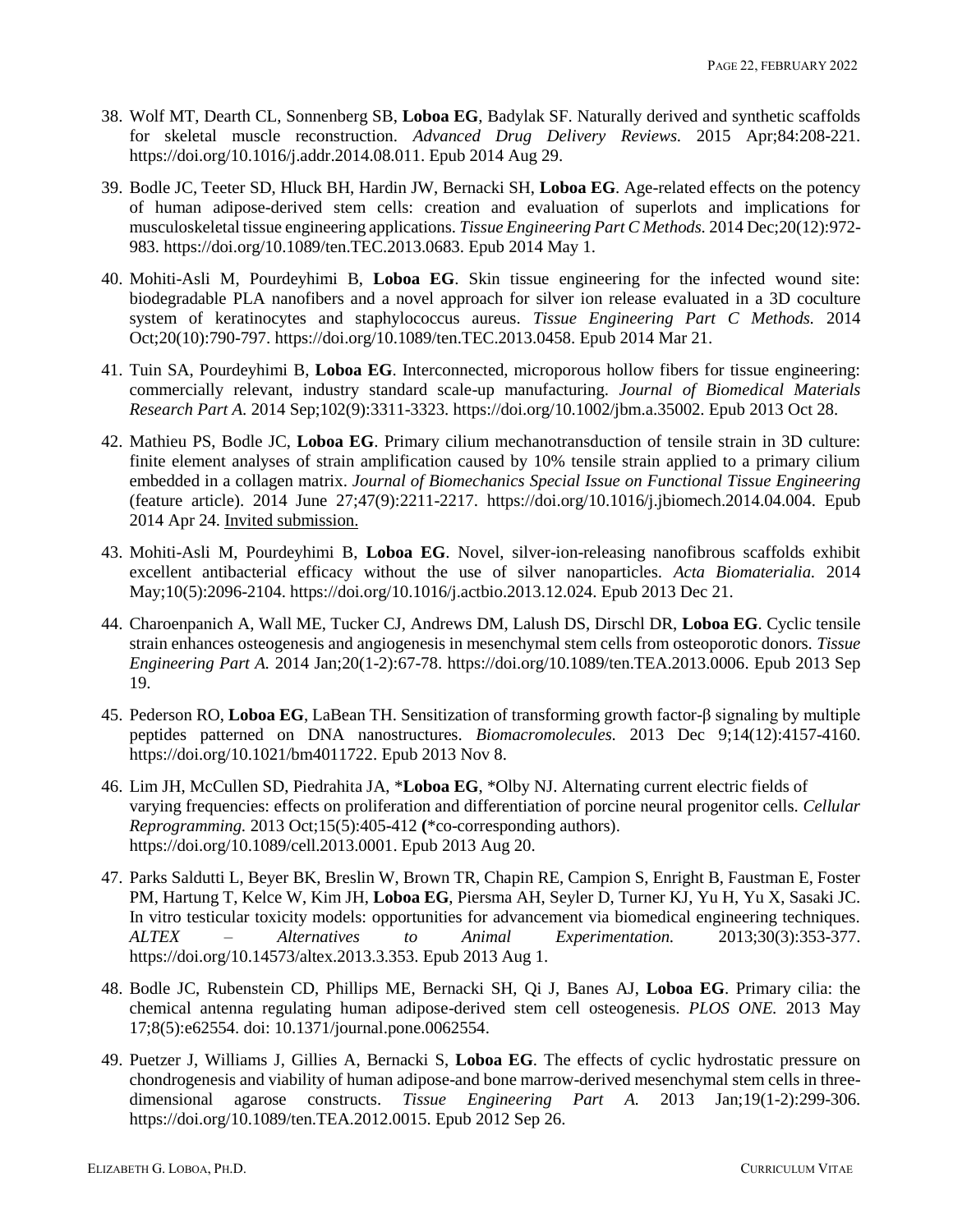- 38. Wolf MT, Dearth CL, Sonnenberg SB, **Loboa EG**, Badylak SF. Naturally derived and synthetic scaffolds for skeletal muscle reconstruction. *Advanced Drug Delivery Reviews.* 2015 Apr;84:208-221. https://doi.org/10.1016/j.addr.2014.08.011. Epub 2014 Aug 29.
- 39. Bodle JC, Teeter SD, Hluck BH, Hardin JW, Bernacki SH, **Loboa EG**. Age-related effects on the potency of human adipose-derived stem cells: creation and evaluation of superlots and implications for musculoskeletal tissue engineering applications. *Tissue Engineering Part C Methods.* 2014 Dec;20(12):972- 983. https://doi.org/10.1089/ten.TEC.2013.0683. Epub 2014 May 1.
- 40. Mohiti-Asli M, Pourdeyhimi B, **Loboa EG**. Skin tissue engineering for the infected wound site: biodegradable PLA nanofibers and a novel approach for silver ion release evaluated in a 3D coculture system of keratinocytes and staphylococcus aureus. *Tissue Engineering Part C Methods.* 2014 Oct;20(10):790-797. https://doi.org/10.1089/ten.TEC.2013.0458. Epub 2014 Mar 21.
- 41. Tuin SA, Pourdeyhimi B, **Loboa EG**. Interconnected, microporous hollow fibers for tissue engineering: commercially relevant, industry standard scale-up manufacturing. *Journal of Biomedical Materials Research Part A.* 2014 Sep;102(9):3311-3323. https://doi.org/10.1002/jbm.a.35002. Epub 2013 Oct 28.
- 42. Mathieu PS, Bodle JC, **Loboa EG**. Primary cilium mechanotransduction of tensile strain in 3D culture: finite element analyses of strain amplification caused by 10% tensile strain applied to a primary cilium embedded in a collagen matrix. *Journal of Biomechanics Special Issue on Functional Tissue Engineering* (feature article). 2014 June 27;47(9):2211-2217. https://doi.org/10.1016/j.jbiomech.2014.04.004. Epub 2014 Apr 24. Invited submission.
- 43. Mohiti-Asli M, Pourdeyhimi B, **Loboa EG**. Novel, silver-ion-releasing nanofibrous scaffolds exhibit excellent antibacterial efficacy without the use of silver nanoparticles. *Acta Biomaterialia.* 2014 May;10(5):2096-2104. https://doi.org/10.1016/j.actbio.2013.12.024. Epub 2013 Dec 21.
- 44. Charoenpanich A, Wall ME, Tucker CJ, Andrews DM, Lalush DS, Dirschl DR, **Loboa EG**. Cyclic tensile strain enhances osteogenesis and angiogenesis in mesenchymal stem cells from osteoporotic donors. *Tissue Engineering Part A.* 2014 Jan;20(1-2):67-78. https://doi.org/10.1089/ten.TEA.2013.0006. Epub 2013 Sep 19.
- 45. Pederson RO, **Loboa EG**, LaBean TH. Sensitization of transforming growth factor-β signaling by multiple peptides patterned on DNA nanostructures. *Biomacromolecules.* 2013 Dec 9;14(12):4157-4160. https://doi.org/10.1021/bm4011722. Epub 2013 Nov 8.
- 46. Lim JH, McCullen SD, Piedrahita JA, \***Loboa EG**, \*Olby NJ. Alternating current electric fields of varying frequencies: effects on proliferation and differentiation of porcine neural progenitor cells. *Cellular Reprogramming.* 2013 Oct;15(5):405-412 **(**\*co-corresponding authors). https://doi.org/10.1089/cell.2013.0001. Epub 2013 Aug 20.
- 47. Parks Saldutti L, Beyer BK, Breslin W, Brown TR, Chapin RE, Campion S, Enright B, Faustman E, Foster PM, Hartung T, Kelce W, Kim JH, **Loboa EG**, Piersma AH, Seyler D, Turner KJ, Yu H, Yu X, Sasaki JC. In vitro testicular toxicity models: opportunities for advancement via biomedical engineering techniques. *ALTEX – Alternatives to Animal Experimentation.* 2013;30(3):353-377. https://doi.org/10.14573/altex.2013.3.353. Epub 2013 Aug 1.
- 48. Bodle JC, Rubenstein CD, Phillips ME, Bernacki SH, Qi J, Banes AJ, **Loboa EG**. Primary cilia: the chemical antenna regulating human adipose-derived stem cell osteogenesis. *PLOS ONE.* 2013 May 17;8(5):e62554. doi: 10.1371/journal.pone.0062554.
- 49. Puetzer J, Williams J, Gillies A, Bernacki S, **Loboa EG**. The effects of cyclic hydrostatic pressure on chondrogenesis and viability of human adipose-and bone marrow-derived mesenchymal stem cells in threedimensional agarose constructs. *Tissue Engineering Part A.* 2013 Jan;19(1-2):299-306. https://doi.org/10.1089/ten.TEA.2012.0015. Epub 2012 Sep 26.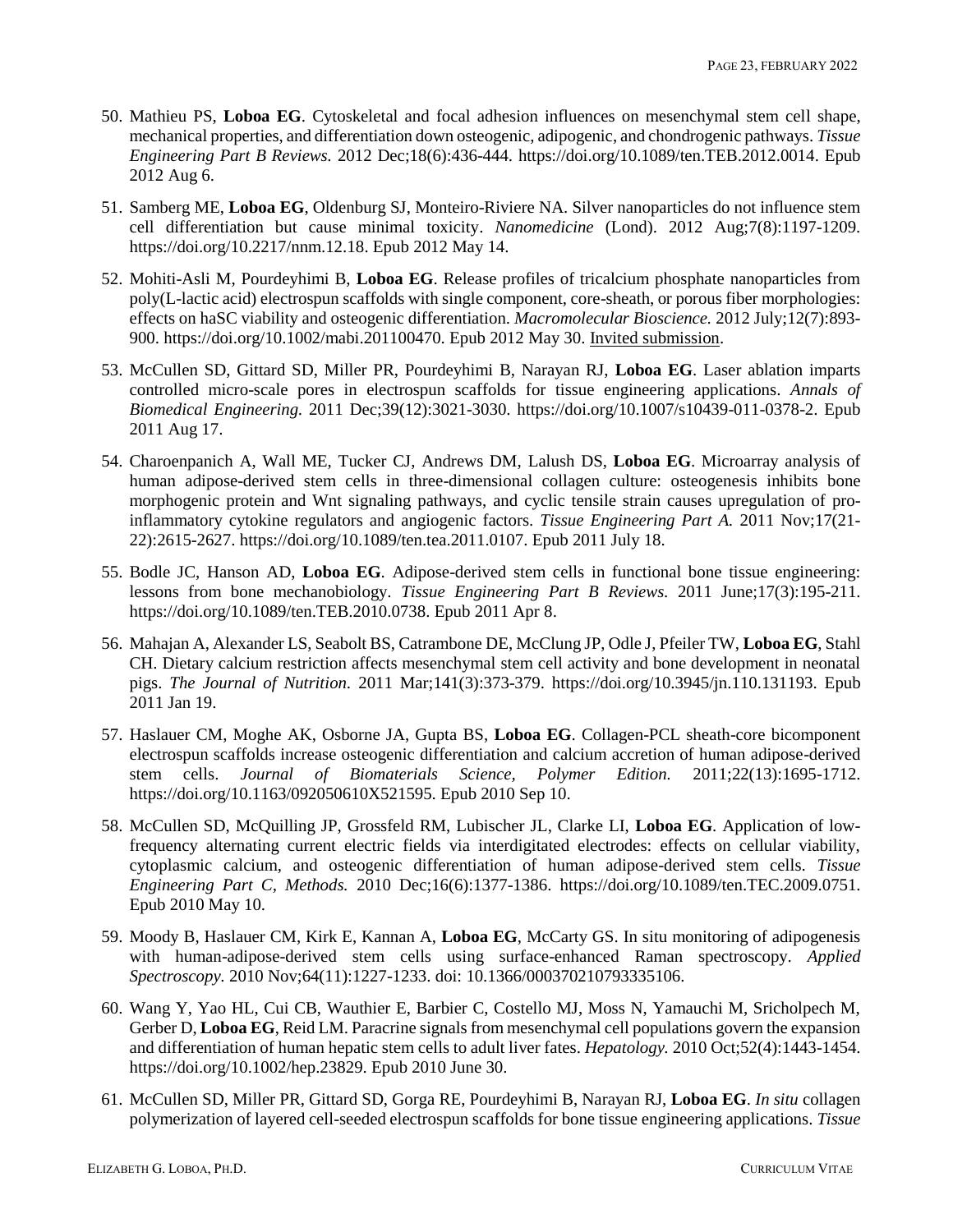- 50. Mathieu PS, **Loboa EG**. Cytoskeletal and focal adhesion influences on mesenchymal stem cell shape, mechanical properties, and differentiation down osteogenic, adipogenic, and chondrogenic pathways. *Tissue Engineering Part B Reviews.* 2012 Dec;18(6):436-444. https://doi.org/10.1089/ten.TEB.2012.0014. Epub 2012 Aug 6.
- 51. Samberg ME, **Loboa EG**, Oldenburg SJ, Monteiro-Riviere NA. Silver nanoparticles do not influence stem cell differentiation but cause minimal toxicity. *Nanomedicine* (Lond). 2012 Aug;7(8):1197-1209. https://doi.org/10.2217/nnm.12.18. Epub 2012 May 14.
- 52. Mohiti-Asli M, Pourdeyhimi B, **Loboa EG**. Release profiles of tricalcium phosphate nanoparticles from poly(L-lactic acid) electrospun scaffolds with single component, core-sheath, or porous fiber morphologies: effects on haSC viability and osteogenic differentiation. *Macromolecular Bioscience.* 2012 July;12(7):893- 900. https://doi.org/10.1002/mabi.201100470. Epub 2012 May 30. Invited submission.
- 53. McCullen SD, Gittard SD, Miller PR, Pourdeyhimi B, Narayan RJ, **Loboa EG**. Laser ablation imparts controlled micro-scale pores in electrospun scaffolds for tissue engineering applications. *Annals of Biomedical Engineering.* 2011 Dec;39(12):3021-3030. https://doi.org/10.1007/s10439-011-0378-2. Epub 2011 Aug 17.
- 54. Charoenpanich A, Wall ME, Tucker CJ, Andrews DM, Lalush DS, **Loboa EG**. Microarray analysis of human adipose-derived stem cells in three-dimensional collagen culture: osteogenesis inhibits bone morphogenic protein and Wnt signaling pathways, and cyclic tensile strain causes upregulation of proinflammatory cytokine regulators and angiogenic factors. *Tissue Engineering Part A.* 2011 Nov;17(21- 22):2615-2627. https://doi.org/10.1089/ten.tea.2011.0107. Epub 2011 July 18.
- 55. Bodle JC, Hanson AD, **Loboa EG**. Adipose-derived stem cells in functional bone tissue engineering: lessons from bone mechanobiology. *Tissue Engineering Part B Reviews.* 2011 June;17(3):195-211. https://doi.org/10.1089/ten.TEB.2010.0738. Epub 2011 Apr 8.
- 56. Mahajan A, Alexander LS, Seabolt BS, Catrambone DE, McClung JP, Odle J, Pfeiler TW, **Loboa EG**, Stahl CH. Dietary calcium restriction affects mesenchymal stem cell activity and bone development in neonatal pigs. *The Journal of Nutrition.* 2011 Mar;141(3):373-379. https://doi.org/10.3945/jn.110.131193. Epub 2011 Jan 19.
- 57. Haslauer CM, Moghe AK, Osborne JA, Gupta BS, **Loboa EG**. Collagen-PCL sheath-core bicomponent electrospun scaffolds increase osteogenic differentiation and calcium accretion of human adipose-derived stem cells. *Journal of Biomaterials Science, Polymer Edition.* 2011;22(13):1695-1712. https://doi.org/10.1163/092050610X521595. Epub 2010 Sep 10.
- 58. McCullen SD, McQuilling JP, Grossfeld RM, Lubischer JL, Clarke LI, **Loboa EG**. Application of lowfrequency alternating current electric fields via interdigitated electrodes: effects on cellular viability, cytoplasmic calcium, and osteogenic differentiation of human adipose-derived stem cells. *Tissue Engineering Part C, Methods.* 2010 Dec;16(6):1377-1386. https://doi.org/10.1089/ten.TEC.2009.0751. Epub 2010 May 10.
- 59. Moody B, Haslauer CM, Kirk E, Kannan A, **Loboa EG**, McCarty GS. In situ monitoring of adipogenesis with human-adipose-derived stem cells using surface-enhanced Raman spectroscopy. *Applied Spectroscopy.* 2010 Nov;64(11):1227-1233. doi: 10.1366/000370210793335106.
- 60. Wang Y, Yao HL, Cui CB, Wauthier E, Barbier C, Costello MJ, Moss N, Yamauchi M, Sricholpech M, Gerber D, **Loboa EG**, Reid LM. Paracrine signals from mesenchymal cell populations govern the expansion and differentiation of human hepatic stem cells to adult liver fates. *Hepatology.* 2010 Oct;52(4):1443-1454. https://doi.org/10.1002/hep.23829. Epub 2010 June 30.
- 61. McCullen SD, Miller PR, Gittard SD, Gorga RE, Pourdeyhimi B, Narayan RJ, **Loboa EG**. *In situ* collagen polymerization of layered cell-seeded electrospun scaffolds for bone tissue engineering applications. *Tissue*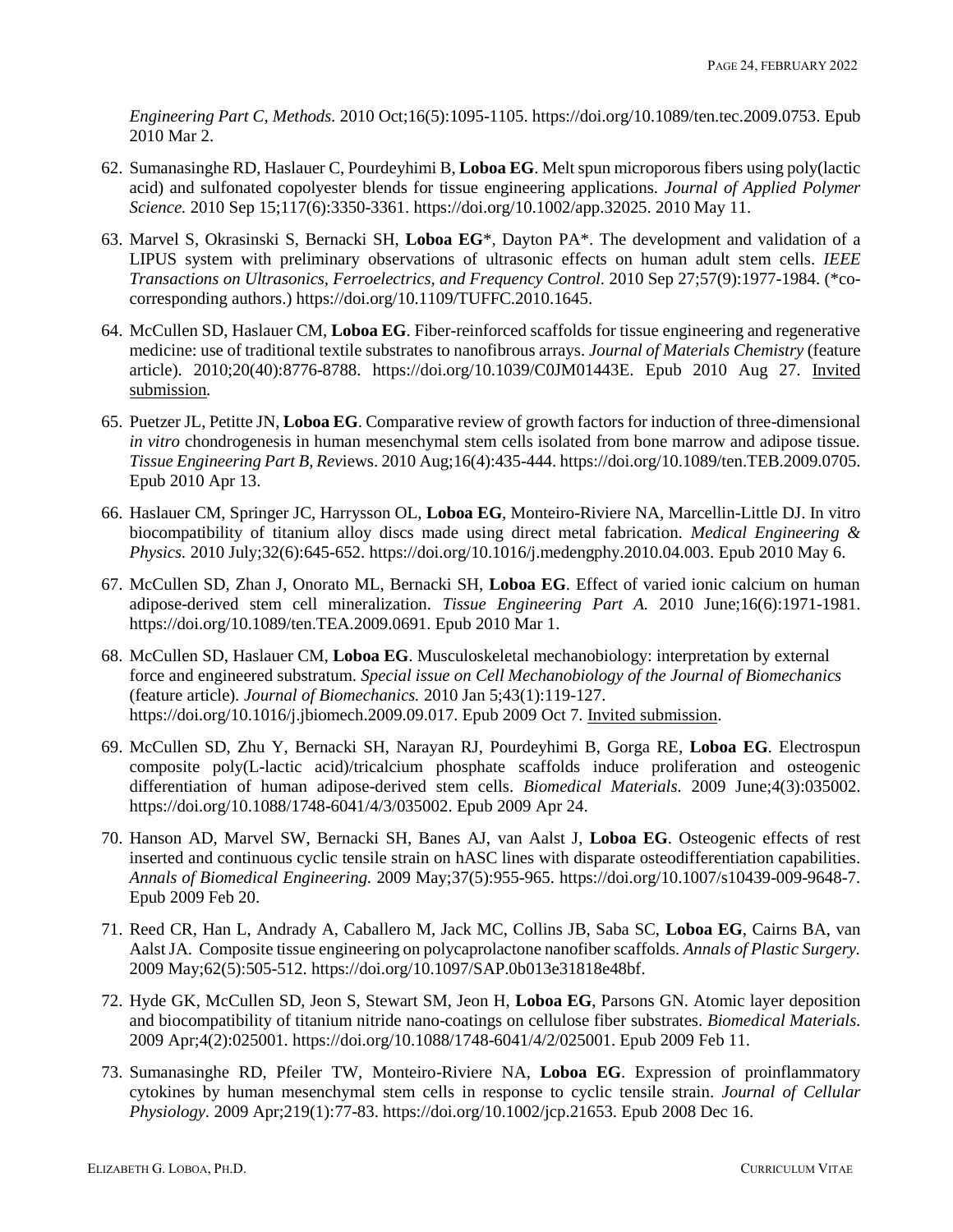*Engineering Part C, Methods.* 2010 Oct;16(5):1095-1105. https://doi.org/10.1089/ten.tec.2009.0753. Epub 2010 Mar 2.

- 62. Sumanasinghe RD, Haslauer C, Pourdeyhimi B, **Loboa EG**. Melt spun microporous fibers using poly(lactic acid) and sulfonated copolyester blends for tissue engineering applications. *Journal of Applied Polymer Science.* 2010 Sep 15;117(6):3350-3361. https://doi.org/10.1002/app.32025. 2010 May 11.
- 63. Marvel S, Okrasinski S, Bernacki SH, **Loboa EG**\*, Dayton PA\*. The development and validation of a LIPUS system with preliminary observations of ultrasonic effects on human adult stem cells. *IEEE Transactions on Ultrasonics, Ferroelectrics, and Frequency Control.* 2010 Sep 27;57(9):1977-1984. (\*cocorresponding authors.) https://doi.org/10.1109/TUFFC.2010.1645.
- 64. McCullen SD, Haslauer CM, **Loboa EG**. Fiber-reinforced scaffolds for tissue engineering and regenerative medicine: use of traditional textile substrates to nanofibrous arrays. *Journal of Materials Chemistry* (feature article). 2010;20(40):8776-8788. https://doi.org/10.1039/C0JM01443E. Epub 2010 Aug 27. Invited submission*.*
- 65. Puetzer JL, Petitte JN, **Loboa EG**. Comparative review of growth factors for induction of three-dimensional *in vitro* chondrogenesis in human mesenchymal stem cells isolated from bone marrow and adipose tissue. *Tissue Engineering Part B, Rev*iews. 2010 Aug;16(4):435-444. https://doi.org/10.1089/ten.TEB.2009.0705. Epub 2010 Apr 13.
- 66. Haslauer CM, Springer JC, Harrysson OL, **Loboa EG**, Monteiro-Riviere NA, Marcellin-Little DJ. In vitro biocompatibility of titanium alloy discs made using direct metal fabrication. *Medical Engineering & Physics.* 2010 July;32(6):645-652. https://doi.org/10.1016/j.medengphy.2010.04.003. Epub 2010 May 6.
- 67. McCullen SD, Zhan J, Onorato ML, Bernacki SH, **Loboa EG**. Effect of varied ionic calcium on human adipose-derived stem cell mineralization. *Tissue Engineering Part A.* 2010 June;16(6):1971-1981. https://doi.org/10.1089/ten.TEA.2009.0691. Epub 2010 Mar 1.
- 68. McCullen SD, Haslauer CM, **Loboa EG**. Musculoskeletal mechanobiology: interpretation by external force and engineered substratum. *Special issue on Cell Mechanobiology of the Journal of Biomechanics* (feature article)*. Journal of Biomechanics.* 2010 Jan 5;43(1):119-127. https://doi.org/10.1016/j.jbiomech.2009.09.017. Epub 2009 Oct 7. Invited submission.
- 69. McCullen SD, Zhu Y, Bernacki SH, Narayan RJ, Pourdeyhimi B, Gorga RE, **Loboa EG**. Electrospun composite poly(L-lactic acid)/tricalcium phosphate scaffolds induce proliferation and osteogenic differentiation of human adipose-derived stem cells. *Biomedical Materials.* 2009 June;4(3):035002. https://doi.org/10.1088/1748-6041/4/3/035002. Epub 2009 Apr 24.
- 70. Hanson AD, Marvel SW, Bernacki SH, Banes AJ, van Aalst J, **Loboa EG**. Osteogenic effects of rest inserted and continuous cyclic tensile strain on hASC lines with disparate osteodifferentiation capabilities. *Annals of Biomedical Engineering.* 2009 May;37(5):955-965. https://doi.org/10.1007/s10439-009-9648-7. Epub 2009 Feb 20.
- 71. Reed CR, Han L, Andrady A, Caballero M, Jack MC, Collins JB, Saba SC, **Loboa EG**, Cairns BA, van Aalst JA. Composite tissue engineering on polycaprolactone nanofiber scaffolds. *Annals of Plastic Surgery.* 2009 May;62(5):505-512. https://doi.org/10.1097/SAP.0b013e31818e48bf.
- 72. Hyde GK, McCullen SD, Jeon S, Stewart SM, Jeon H, **Loboa EG**, Parsons GN. Atomic layer deposition and biocompatibility of titanium nitride nano-coatings on cellulose fiber substrates. *Biomedical Materials.* 2009 Apr;4(2):025001. https://doi.org/10.1088/1748-6041/4/2/025001. Epub 2009 Feb 11.
- 73. Sumanasinghe RD, Pfeiler TW, Monteiro-Riviere NA, **Loboa EG**. Expression of proinflammatory cytokines by human mesenchymal stem cells in response to cyclic tensile strain. *Journal of Cellular Physiology.* 2009 Apr;219(1):77-83. https://doi.org/10.1002/jcp.21653. Epub 2008 Dec 16.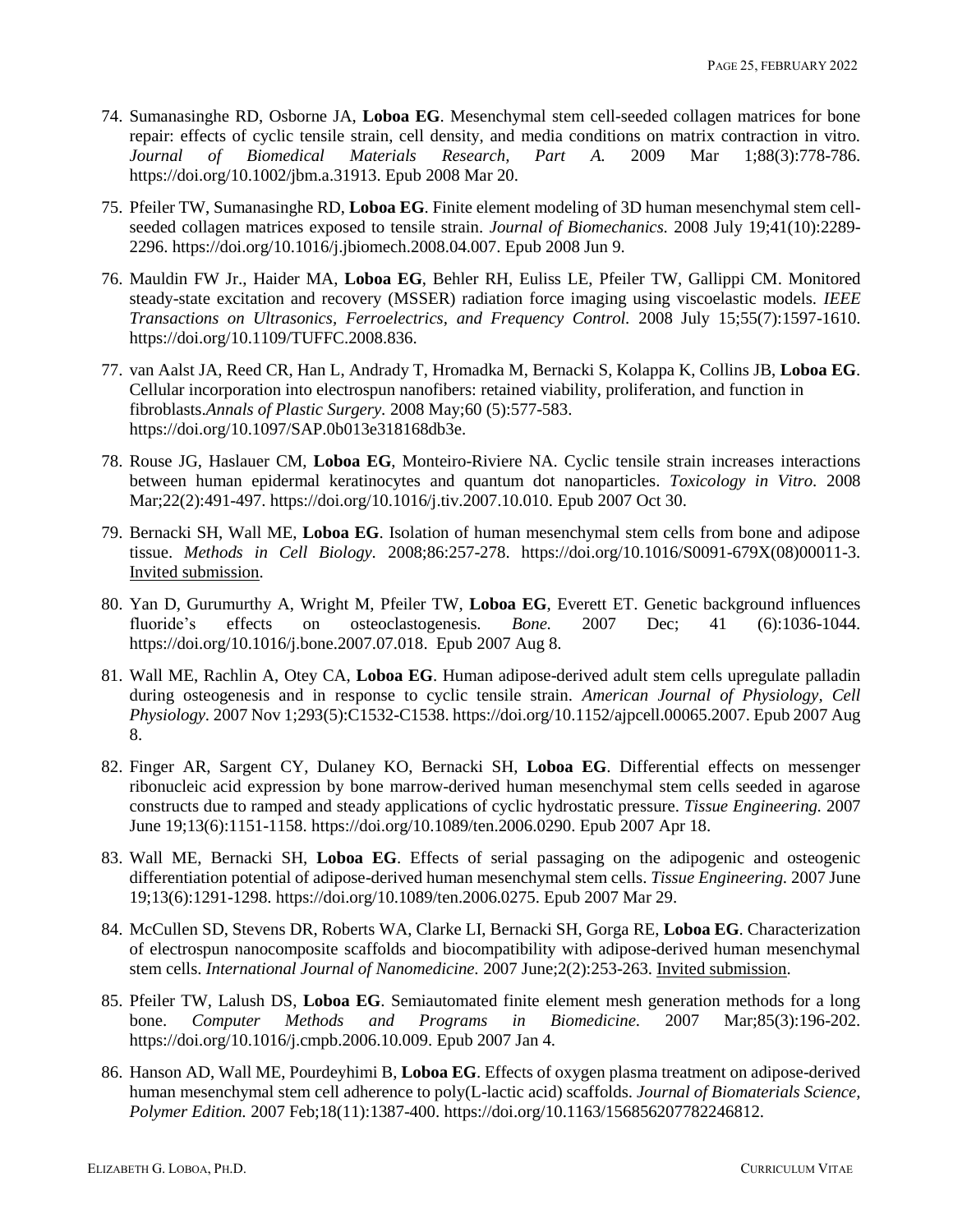- 74. Sumanasinghe RD, Osborne JA, **Loboa EG**. Mesenchymal stem cell-seeded collagen matrices for bone repair: effects of cyclic tensile strain, cell density, and media conditions on matrix contraction in vitro.<br> *Journal of Biomedical Materials Research*, *Part A.* 2009 Mar 1:88(3):778-786. *Journal of Biomedical Materials Research, Part A.* 2009 Mar 1;88(3):778-786. https://doi.org/10.1002/jbm.a.31913. Epub 2008 Mar 20.
- 75. Pfeiler TW, Sumanasinghe RD, **Loboa EG**. Finite element modeling of 3D human mesenchymal stem cellseeded collagen matrices exposed to tensile strain. *Journal of Biomechanics.* 2008 July 19;41(10):2289- 2296. https://doi.org/10.1016/j.jbiomech.2008.04.007. Epub 2008 Jun 9.
- 76. Mauldin FW Jr., Haider MA, **Loboa EG**, Behler RH, Euliss LE, Pfeiler TW, Gallippi CM. Monitored steady-state excitation and recovery (MSSER) radiation force imaging using viscoelastic models. *IEEE Transactions on Ultrasonics, Ferroelectrics, and Frequency Control.* 2008 July 15;55(7):1597-1610. https://doi.org/10.1109/TUFFC.2008.836.
- 77. van Aalst JA, Reed CR, Han L, Andrady T, Hromadka M, Bernacki S, Kolappa K, Collins JB, **Loboa EG**. Cellular incorporation into electrospun nanofibers: retained viability, proliferation, and function in fibroblasts.*Annals of Plastic Surgery.* 2008 May;60 (5):577-583. https://doi.org/10.1097/SAP.0b013e318168db3e.
- 78. Rouse JG, Haslauer CM, **Loboa EG**, Monteiro-Riviere NA. Cyclic tensile strain increases interactions between human epidermal keratinocytes and quantum dot nanoparticles. *Toxicology in Vitro.* 2008 Mar;22(2):491-497. https://doi.org/10.1016/j.tiv.2007.10.010. Epub 2007 Oct 30.
- 79. Bernacki SH, Wall ME, **Loboa EG**. Isolation of human mesenchymal stem cells from bone and adipose tissue. *Methods in Cell Biology.* 2008;86:257-278. https://doi.org/10.1016/S0091-679X(08)00011-3. Invited submission.
- 80. Yan D, Gurumurthy A, Wright M, Pfeiler TW, **Loboa EG**, Everett ET. Genetic background influences fluoride's effects on osteoclastogenesis*. Bone.* 2007 Dec; 41 (6):1036-1044. https://doi.org/10.1016/j.bone.2007.07.018. Epub 2007 Aug 8.
- 81. Wall ME, Rachlin A, Otey CA, **Loboa EG**. Human adipose-derived adult stem cells upregulate palladin during osteogenesis and in response to cyclic tensile strain. *American Journal of Physiology, Cell Physiology.* 2007 Nov 1;293(5):C1532-C1538. https://doi.org/10.1152/ajpcell.00065.2007. Epub 2007 Aug 8.
- 82. Finger AR, Sargent CY, Dulaney KO, Bernacki SH, **Loboa EG**. Differential effects on messenger ribonucleic acid expression by bone marrow-derived human mesenchymal stem cells seeded in agarose constructs due to ramped and steady applications of cyclic hydrostatic pressure. *Tissue Engineering.* 2007 June 19;13(6):1151-1158. https://doi.org/10.1089/ten.2006.0290. Epub 2007 Apr 18.
- 83. Wall ME, Bernacki SH, **Loboa EG**. Effects of serial passaging on the adipogenic and osteogenic differentiation potential of adipose-derived human mesenchymal stem cells. *Tissue Engineering.* 2007 June 19;13(6):1291-1298. https://doi.org/10.1089/ten.2006.0275. Epub 2007 Mar 29.
- 84. McCullen SD, Stevens DR, Roberts WA, Clarke LI, Bernacki SH, Gorga RE, **Loboa EG**. Characterization of electrospun nanocomposite scaffolds and biocompatibility with adipose-derived human mesenchymal stem cells. *International Journal of Nanomedicine.* 2007 June;2(2):253-263. Invited submission.
- 85. Pfeiler TW, Lalush DS, **Loboa EG**. Semiautomated finite element mesh generation methods for a long bone. *Computer Methods and Programs in Biomedicine.* 2007 Mar;85(3):196-202. https://doi.org/10.1016/j.cmpb.2006.10.009. Epub 2007 Jan 4.
- 86. Hanson AD, Wall ME, Pourdeyhimi B, **Loboa EG**. Effects of oxygen plasma treatment on adipose-derived human mesenchymal stem cell adherence to poly(L-lactic acid) scaffolds. *Journal of Biomaterials Science, Polymer Edition.* 2007 Feb;18(11):1387-400. https://doi.org/10.1163/156856207782246812.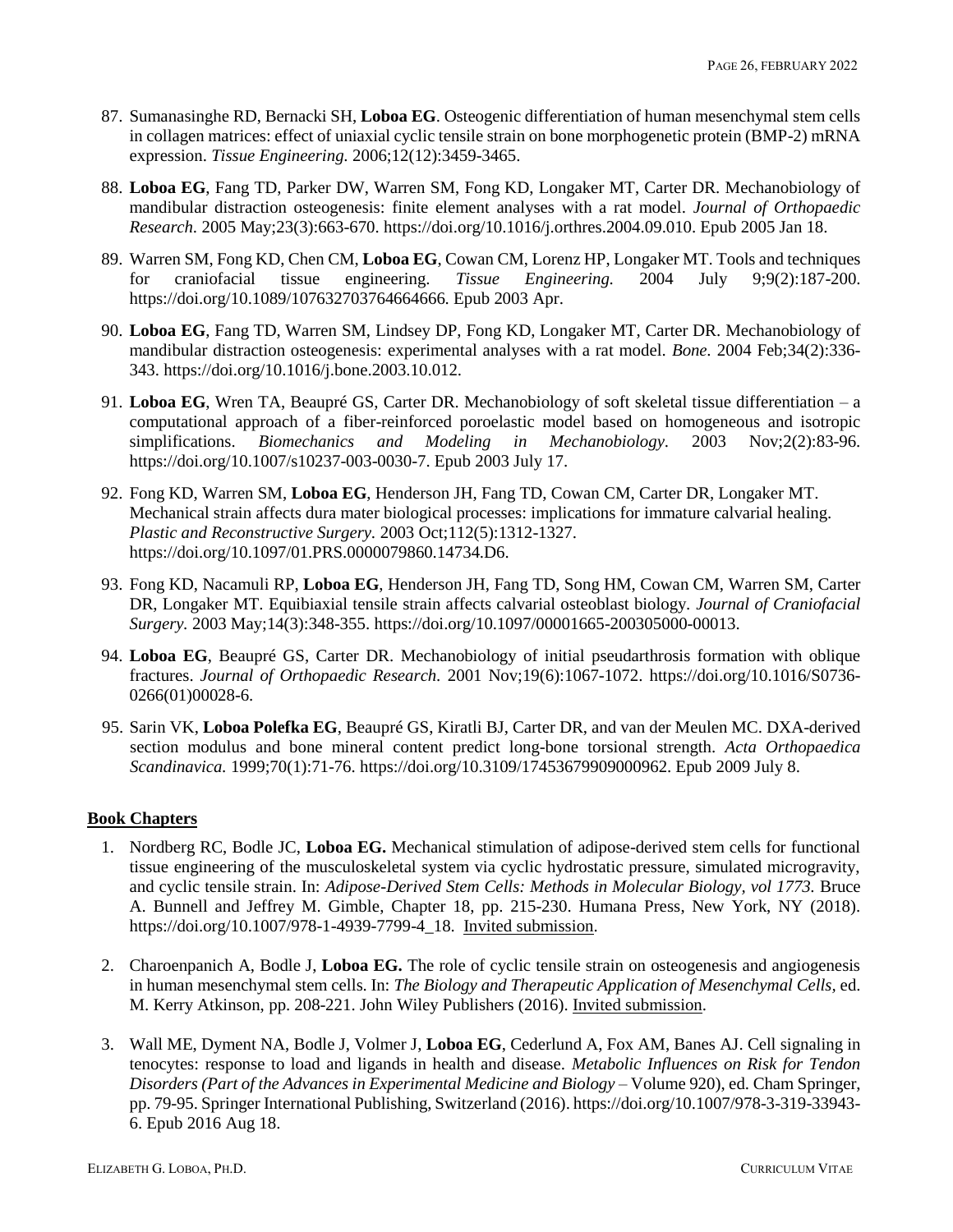- 87. Sumanasinghe RD, Bernacki SH, **Loboa EG**. Osteogenic differentiation of human mesenchymal stem cells in collagen matrices: effect of uniaxial cyclic tensile strain on bone morphogenetic protein (BMP-2) mRNA expression. *Tissue Engineering.* 2006;12(12):3459-3465.
- 88. **Loboa EG**, Fang TD, Parker DW, Warren SM, Fong KD, Longaker MT, Carter DR. Mechanobiology of mandibular distraction osteogenesis: finite element analyses with a rat model. *Journal of Orthopaedic Research.* 2005 May;23(3):663-670. https://doi.org/10.1016/j.orthres.2004.09.010. Epub 2005 Jan 18.
- 89. Warren SM, Fong KD, Chen CM, **Loboa EG**, Cowan CM, Lorenz HP, Longaker MT. Tools and techniques for craniofacial tissue engineering. *Tissue Engineering.* 2004 July 9;9(2):187-200. https://doi.org/10.1089/107632703764664666. Epub 2003 Apr.
- 90. **Loboa EG**, Fang TD, Warren SM, Lindsey DP, Fong KD, Longaker MT, Carter DR. Mechanobiology of mandibular distraction osteogenesis: experimental analyses with a rat model. *Bone.* 2004 Feb;34(2):336- 343. https://doi.org/10.1016/j.bone.2003.10.012.
- 91. **Loboa EG**, Wren TA, Beaupré GS, Carter DR. Mechanobiology of soft skeletal tissue differentiation a computational approach of a fiber-reinforced poroelastic model based on homogeneous and isotropic simplifications. *Biomechanics and Modeling in Mechanobiology.* 2003 Nov;2(2):83-96. https://doi.org/10.1007/s10237-003-0030-7. Epub 2003 July 17.
- 92. Fong KD, Warren SM, **Loboa EG**, Henderson JH, Fang TD, Cowan CM, Carter DR, Longaker MT. Mechanical strain affects dura mater biological processes: implications for immature calvarial healing. *Plastic and Reconstructive Surgery.* 2003 Oct;112(5):1312-1327. https://doi.org/10.1097/01.PRS.0000079860.14734.D6.
- 93. Fong KD, Nacamuli RP, **Loboa EG**, Henderson JH, Fang TD, Song HM, Cowan CM, Warren SM, Carter DR, Longaker MT. Equibiaxial tensile strain affects calvarial osteoblast biology. *Journal of Craniofacial Surgery.* 2003 May;14(3):348-355. https://doi.org/10.1097/00001665-200305000-00013.
- 94. **Loboa EG**, Beaupré GS, Carter DR. Mechanobiology of initial pseudarthrosis formation with oblique fractures. *Journal of Orthopaedic Research.* 2001 Nov;19(6):1067-1072. https://doi.org/10.1016/S0736- 0266(01)00028-6.
- 95. Sarin VK, **Loboa Polefka EG**, Beaupré GS, Kiratli BJ, Carter DR, and van der Meulen MC. DXA-derived section modulus and bone mineral content predict long-bone torsional strength. *Acta Orthopaedica Scandinavica.* 1999;70(1):71-76. https://doi.org/10.3109/17453679909000962. Epub 2009 July 8.

# **Book Chapters**

- 1. Nordberg RC, Bodle JC, **Loboa EG.** Mechanical stimulation of adipose-derived stem cells for functional tissue engineering of the musculoskeletal system via cyclic hydrostatic pressure, simulated microgravity, and cyclic tensile strain. In: *Adipose-Derived Stem Cells: Methods in Molecular Biology, vol 1773.* Bruce A. Bunnell and Jeffrey M. Gimble, Chapter 18, pp. 215-230. Humana Press, New York, NY (2018). https://doi.org/10.1007/978-1-4939-7799-4\_18. Invited submission.
- 2. Charoenpanich A, Bodle J, **Loboa EG.** The role of cyclic tensile strain on osteogenesis and angiogenesis in human mesenchymal stem cells. In: *The Biology and Therapeutic Application of Mesenchymal Cells,* ed. M. Kerry Atkinson, pp. 208-221. John Wiley Publishers (2016). Invited submission.
- 3. Wall ME, Dyment NA, Bodle J, Volmer J, **Loboa EG**, Cederlund A, Fox AM, Banes AJ. Cell signaling in tenocytes: response to load and ligands in health and disease. *Metabolic Influences on Risk for Tendon Disorders (Part of the Advances in Experimental Medicine and Biology* – Volume 920), ed. Cham Springer, pp. 79-95. Springer International Publishing, Switzerland (2016). https://doi.org/10.1007/978-3-319-33943- 6. Epub 2016 Aug 18.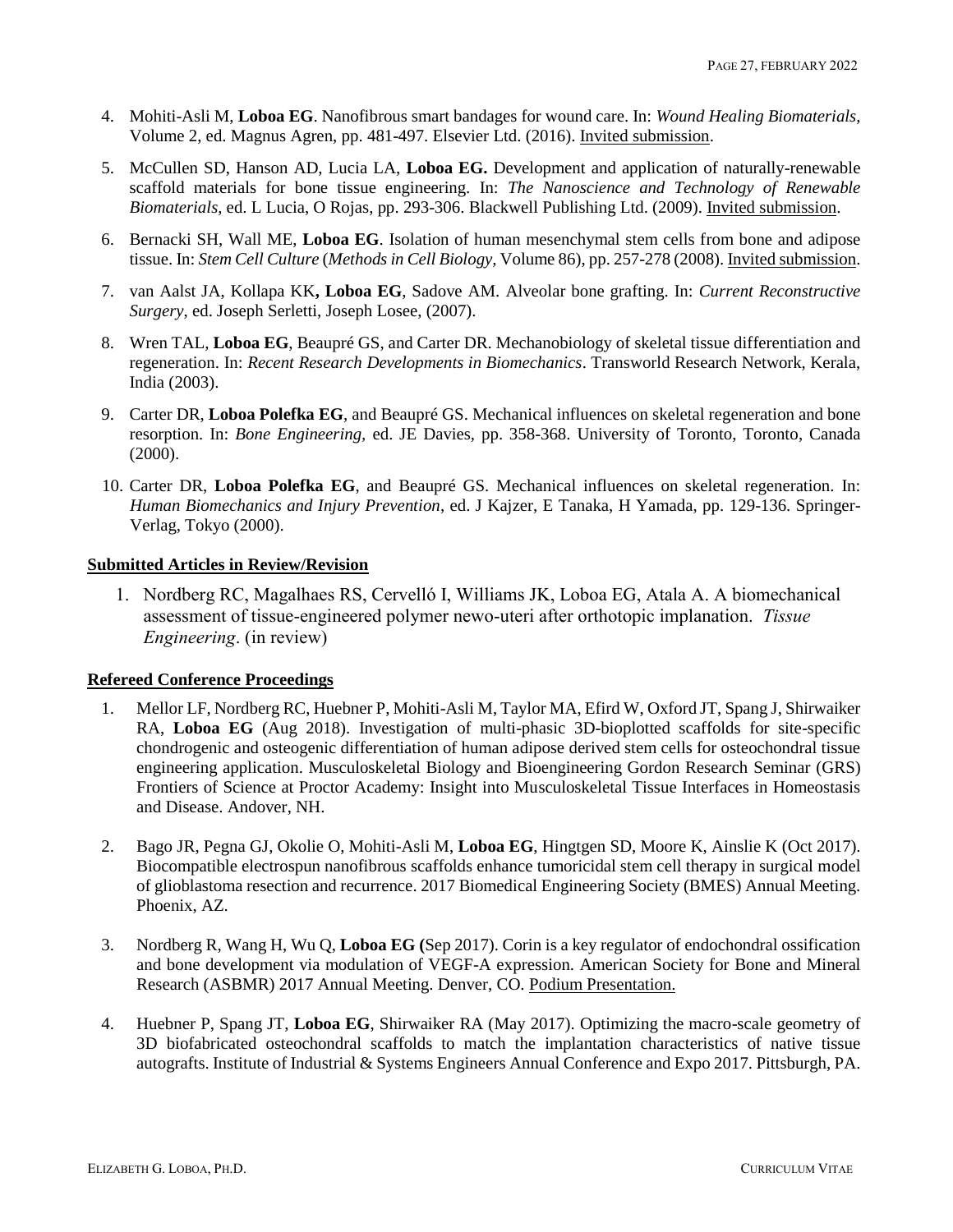- 4. Mohiti-Asli M, **Loboa EG**. Nanofibrous smart bandages for wound care. In: *Wound Healing Biomaterials,*  Volume 2, ed. Magnus Agren, pp. 481-497. Elsevier Ltd. (2016). Invited submission.
- 5. McCullen SD, Hanson AD, Lucia LA, **Loboa EG.** Development and application of naturally-renewable scaffold materials for bone tissue engineering. In: *The Nanoscience and Technology of Renewable Biomaterials,* ed. L Lucia, O Rojas, pp. 293-306. Blackwell Publishing Ltd. (2009). Invited submission.
- 6. Bernacki SH, Wall ME, **Loboa EG**. Isolation of human mesenchymal stem cells from bone and adipose tissue. In: *Stem Cell Culture* (*Methods in Cell Biology,* Volume 86), pp. 257-278 (2008). Invited submission.
- 7. van Aalst JA, Kollapa KK**, Loboa EG**, Sadove AM. Alveolar bone grafting. In: *Current Reconstructive Surgery*, ed. Joseph Serletti, Joseph Losee, (2007).
- 8. Wren TAL, **Loboa EG**, Beaupré GS, and Carter DR. Mechanobiology of skeletal tissue differentiation and regeneration. In: *Recent Research Developments in Biomechanics*. Transworld Research Network, Kerala, India (2003).
- 9. Carter DR, **Loboa Polefka EG**, and Beaupré GS. Mechanical influences on skeletal regeneration and bone resorption. In: *Bone Engineering,* ed. JE Davies, pp. 358-368. University of Toronto, Toronto, Canada (2000).
- 10. Carter DR, **Loboa Polefka EG**, and Beaupré GS. Mechanical influences on skeletal regeneration. In: *Human Biomechanics and Injury Prevention*, ed. J Kajzer, E Tanaka, H Yamada, pp. 129-136. Springer-Verlag, Tokyo (2000).

# **Submitted Articles in Review/Revision**

1. Nordberg RC, Magalhaes RS, Cervelló I, Williams JK, Loboa EG, Atala A. A biomechanical assessment of tissue-engineered polymer newo-uteri after orthotopic implanation. *Tissue Engineering*. (in review)

# **Refereed Conference Proceedings**

- 1. Mellor LF, Nordberg RC, Huebner P, Mohiti-Asli M, Taylor MA, Efird W, Oxford JT, Spang J, Shirwaiker RA, **Loboa EG** (Aug 2018). Investigation of multi-phasic 3D-bioplotted scaffolds for site-specific chondrogenic and osteogenic differentiation of human adipose derived stem cells for osteochondral tissue engineering application. Musculoskeletal Biology and Bioengineering Gordon Research Seminar (GRS) Frontiers of Science at Proctor Academy: Insight into Musculoskeletal Tissue Interfaces in Homeostasis and Disease. Andover, NH.
- 2. Bago JR, Pegna GJ, Okolie O, Mohiti-Asli M, **Loboa EG**, Hingtgen SD, Moore K, Ainslie K (Oct 2017). Biocompatible electrospun nanofibrous scaffolds enhance tumoricidal stem cell therapy in surgical model of glioblastoma resection and recurrence. 2017 Biomedical Engineering Society (BMES) Annual Meeting. Phoenix, AZ.
- 3. Nordberg R, Wang H, Wu Q, **Loboa EG (**Sep 2017). Corin is a key regulator of endochondral ossification and bone development via modulation of VEGF-A expression. American Society for Bone and Mineral Research (ASBMR) 2017 Annual Meeting. Denver, CO. Podium Presentation.
- 4. Huebner P, Spang JT, **Loboa EG**, Shirwaiker RA (May 2017). Optimizing the macro-scale geometry of 3D biofabricated osteochondral scaffolds to match the implantation characteristics of native tissue autografts. Institute of Industrial & Systems Engineers Annual Conference and Expo 2017. Pittsburgh, PA.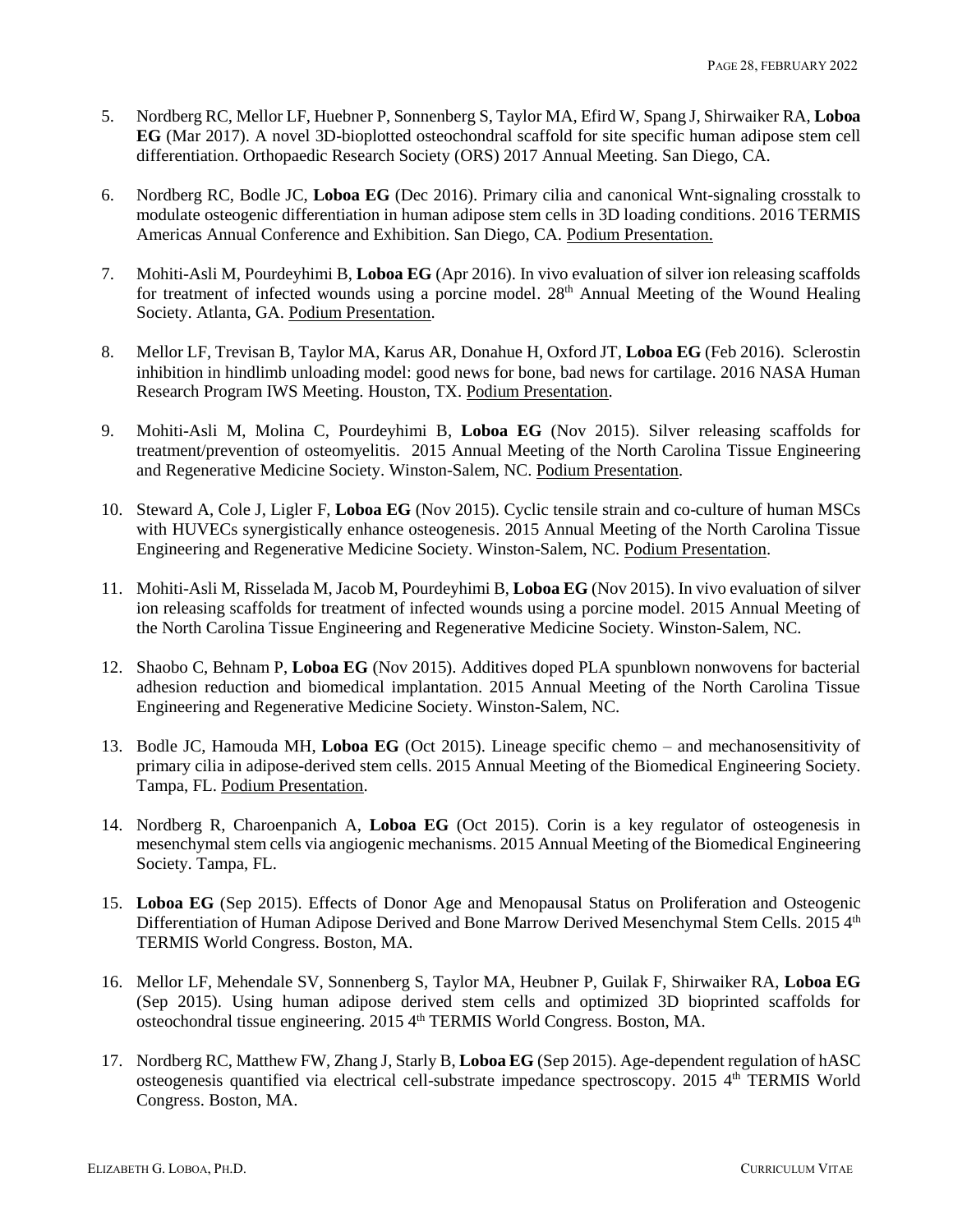- 5. Nordberg RC, Mellor LF, Huebner P, Sonnenberg S, Taylor MA, Efird W, Spang J, Shirwaiker RA, **Loboa EG** (Mar 2017). A novel 3D-bioplotted osteochondral scaffold for site specific human adipose stem cell differentiation. Orthopaedic Research Society (ORS) 2017 Annual Meeting. San Diego, CA.
- 6. Nordberg RC, Bodle JC, **Loboa EG** (Dec 2016). Primary cilia and canonical Wnt-signaling crosstalk to modulate osteogenic differentiation in human adipose stem cells in 3D loading conditions. 2016 TERMIS Americas Annual Conference and Exhibition. San Diego, CA. Podium Presentation.
- 7. Mohiti-Asli M, Pourdeyhimi B, **Loboa EG** (Apr 2016). In vivo evaluation of silver ion releasing scaffolds for treatment of infected wounds using a porcine model. 28<sup>th</sup> Annual Meeting of the Wound Healing Society. Atlanta, GA. Podium Presentation.
- 8. Mellor LF, Trevisan B, Taylor MA, Karus AR, Donahue H, Oxford JT, **Loboa EG** (Feb 2016). Sclerostin inhibition in hindlimb unloading model: good news for bone, bad news for cartilage. 2016 NASA Human Research Program IWS Meeting. Houston, TX. Podium Presentation.
- 9. Mohiti-Asli M, Molina C, Pourdeyhimi B, **Loboa EG** (Nov 2015). Silver releasing scaffolds for treatment/prevention of osteomyelitis. 2015 Annual Meeting of the North Carolina Tissue Engineering and Regenerative Medicine Society. Winston-Salem, NC. Podium Presentation.
- 10. Steward A, Cole J, Ligler F, **Loboa EG** (Nov 2015). Cyclic tensile strain and co-culture of human MSCs with HUVECs synergistically enhance osteogenesis. 2015 Annual Meeting of the North Carolina Tissue Engineering and Regenerative Medicine Society. Winston-Salem, NC. Podium Presentation.
- 11. Mohiti-Asli M, Risselada M, Jacob M, Pourdeyhimi B, **Loboa EG** (Nov 2015). In vivo evaluation of silver ion releasing scaffolds for treatment of infected wounds using a porcine model. 2015 Annual Meeting of the North Carolina Tissue Engineering and Regenerative Medicine Society. Winston-Salem, NC.
- 12. Shaobo C, Behnam P, **Loboa EG** (Nov 2015). Additives doped PLA spunblown nonwovens for bacterial adhesion reduction and biomedical implantation. 2015 Annual Meeting of the North Carolina Tissue Engineering and Regenerative Medicine Society. Winston-Salem, NC.
- 13. Bodle JC, Hamouda MH, **Loboa EG** (Oct 2015). Lineage specific chemo and mechanosensitivity of primary cilia in adipose-derived stem cells. 2015 Annual Meeting of the Biomedical Engineering Society. Tampa, FL. Podium Presentation.
- 14. Nordberg R, Charoenpanich A, **Loboa EG** (Oct 2015). Corin is a key regulator of osteogenesis in mesenchymal stem cells via angiogenic mechanisms. 2015 Annual Meeting of the Biomedical Engineering Society. Tampa, FL.
- 15. **Loboa EG** (Sep 2015). Effects of Donor Age and Menopausal Status on Proliferation and Osteogenic Differentiation of Human Adipose Derived and Bone Marrow Derived Mesenchymal Stem Cells. 2015 4th TERMIS World Congress. Boston, MA.
- 16. Mellor LF, Mehendale SV, Sonnenberg S, Taylor MA, Heubner P, Guilak F, Shirwaiker RA, **Loboa EG** (Sep 2015). Using human adipose derived stem cells and optimized 3D bioprinted scaffolds for osteochondral tissue engineering. 2015 4<sup>th</sup> TERMIS World Congress. Boston, MA.
- 17. Nordberg RC, Matthew FW, Zhang J, Starly B, **Loboa EG** (Sep 2015). Age-dependent regulation of hASC osteogenesis quantified via electrical cell-substrate impedance spectroscopy. 2015 4<sup>th</sup> TERMIS World Congress. Boston, MA.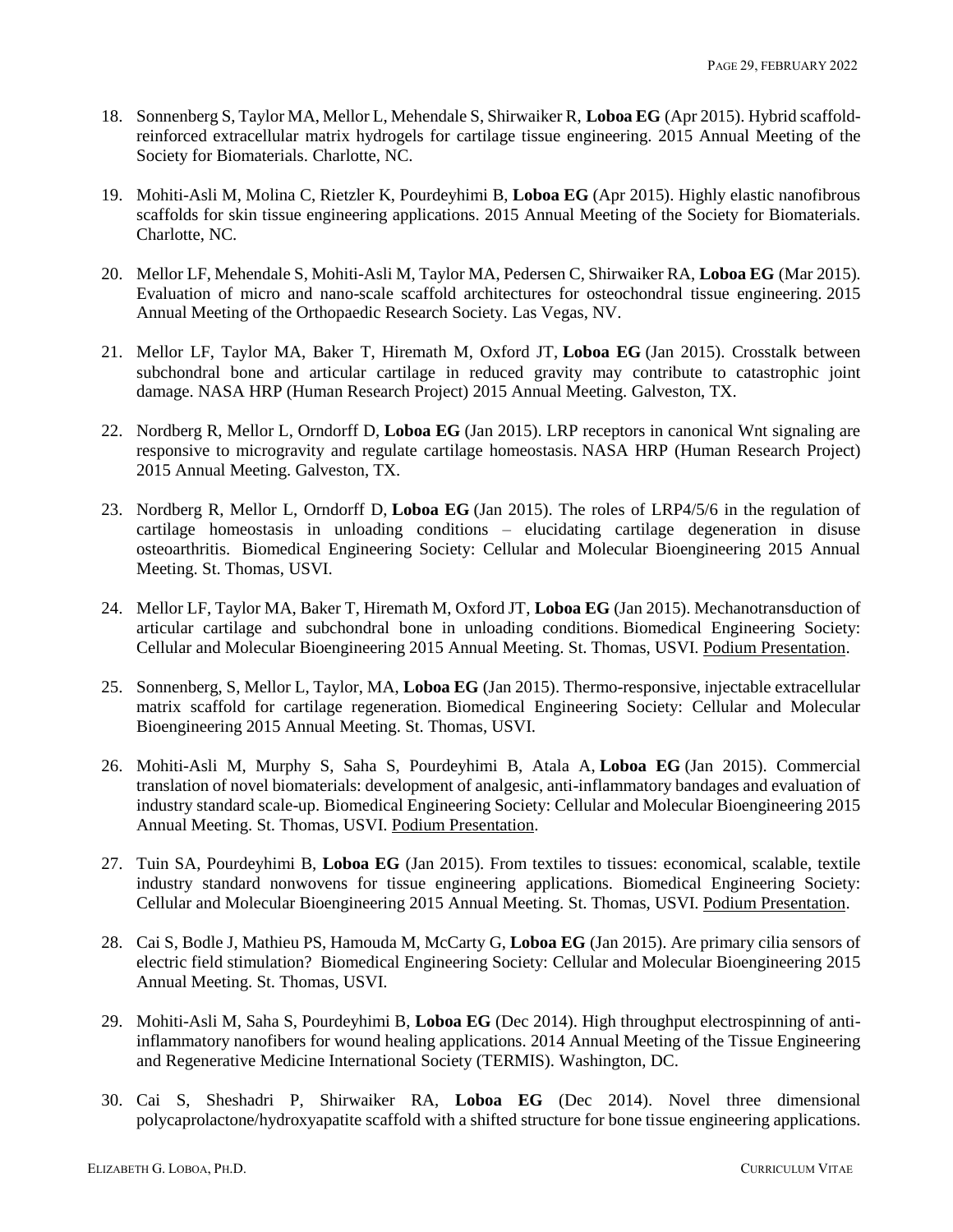- 18. Sonnenberg S, Taylor MA, Mellor L, Mehendale S, Shirwaiker R, **Loboa EG** (Apr 2015). Hybrid scaffoldreinforced extracellular matrix hydrogels for cartilage tissue engineering. 2015 Annual Meeting of the Society for Biomaterials. Charlotte, NC.
- 19. Mohiti-Asli M, Molina C, Rietzler K, Pourdeyhimi B, **Loboa EG** (Apr 2015). Highly elastic nanofibrous scaffolds for skin tissue engineering applications. 2015 Annual Meeting of the Society for Biomaterials. Charlotte, NC.
- 20. Mellor LF, Mehendale S, Mohiti-Asli M, Taylor MA, Pedersen C, Shirwaiker RA, **Loboa EG** (Mar 2015). Evaluation of micro and nano-scale scaffold architectures for osteochondral tissue engineering. 2015 Annual Meeting of the Orthopaedic Research Society. Las Vegas, NV.
- 21. Mellor LF, Taylor MA, Baker T, Hiremath M, Oxford JT, **Loboa EG** (Jan 2015). Crosstalk between subchondral bone and articular cartilage in reduced gravity may contribute to catastrophic joint damage. NASA HRP (Human Research Project) 2015 Annual Meeting. Galveston, TX.
- 22. Nordberg R, Mellor L, Orndorff D, **Loboa EG** (Jan 2015). LRP receptors in canonical Wnt signaling are responsive to microgravity and regulate cartilage homeostasis. NASA HRP (Human Research Project) 2015 Annual Meeting. Galveston, TX.
- 23. Nordberg R, Mellor L, Orndorff D, **Loboa EG** (Jan 2015). The roles of LRP4/5/6 in the regulation of cartilage homeostasis in unloading conditions – elucidating cartilage degeneration in disuse osteoarthritis. Biomedical Engineering Society: Cellular and Molecular Bioengineering 2015 Annual Meeting. St. Thomas, USVI.
- 24. Mellor LF, Taylor MA, Baker T, Hiremath M, Oxford JT, **Loboa EG** (Jan 2015). Mechanotransduction of articular cartilage and subchondral bone in unloading conditions. Biomedical Engineering Society: Cellular and Molecular Bioengineering 2015 Annual Meeting. St. Thomas, USVI. Podium Presentation.
- 25. Sonnenberg, S, Mellor L, Taylor, MA, **Loboa EG** (Jan 2015). Thermo-responsive, injectable extracellular matrix scaffold for cartilage regeneration. Biomedical Engineering Society: Cellular and Molecular Bioengineering 2015 Annual Meeting. St. Thomas, USVI.
- 26. Mohiti-Asli M, Murphy S, Saha S, Pourdeyhimi B, Atala A, **Loboa EG** (Jan 2015). Commercial translation of novel biomaterials: development of analgesic, anti-inflammatory bandages and evaluation of industry standard scale-up. Biomedical Engineering Society: Cellular and Molecular Bioengineering 2015 Annual Meeting. St. Thomas, USVI. Podium Presentation.
- 27. Tuin SA, Pourdeyhimi B, **Loboa EG** (Jan 2015). From textiles to tissues: economical, scalable, textile industry standard nonwovens for tissue engineering applications. Biomedical Engineering Society: Cellular and Molecular Bioengineering 2015 Annual Meeting. St. Thomas, USVI. Podium Presentation.
- 28. Cai S, Bodle J, Mathieu PS, Hamouda M, McCarty G, **Loboa EG** (Jan 2015). Are primary cilia sensors of electric field stimulation? Biomedical Engineering Society: Cellular and Molecular Bioengineering 2015 Annual Meeting. St. Thomas, USVI.
- 29. Mohiti-Asli M, Saha S, Pourdeyhimi B, **Loboa EG** (Dec 2014). High throughput electrospinning of antiinflammatory nanofibers for wound healing applications. 2014 Annual Meeting of the Tissue Engineering and Regenerative Medicine International Society (TERMIS). Washington, DC.
- 30. Cai S, Sheshadri P, Shirwaiker RA, **Loboa EG** (Dec 2014). Novel three dimensional polycaprolactone/hydroxyapatite scaffold with a shifted structure for bone tissue engineering applications.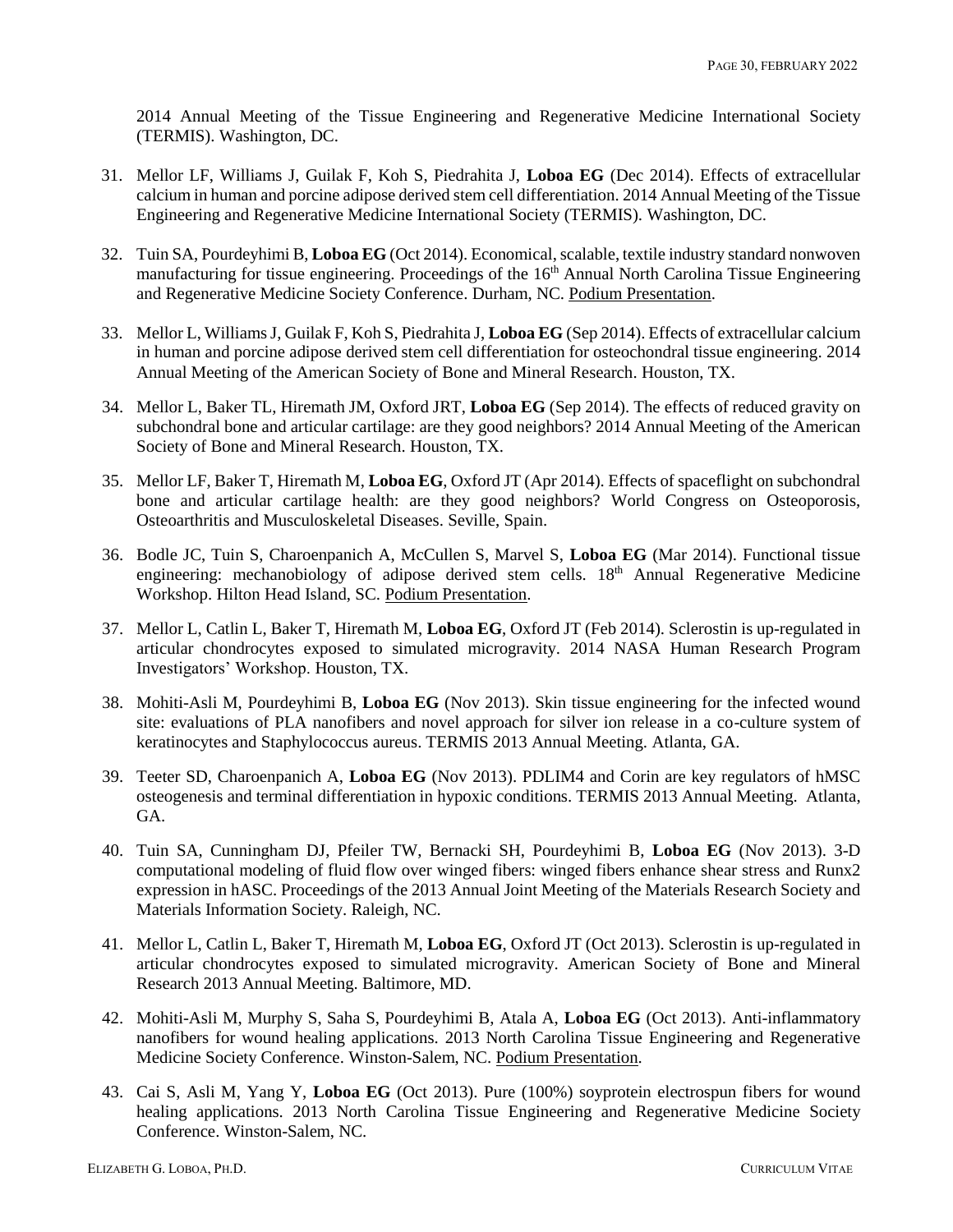2014 Annual Meeting of the Tissue Engineering and Regenerative Medicine International Society (TERMIS). Washington, DC.

- 31. Mellor LF, Williams J, Guilak F, Koh S, Piedrahita J, **Loboa EG** (Dec 2014). Effects of extracellular calcium in human and porcine adipose derived stem cell differentiation. 2014 Annual Meeting of the Tissue Engineering and Regenerative Medicine International Society (TERMIS). Washington, DC.
- 32. Tuin SA, Pourdeyhimi B, **Loboa EG** (Oct 2014). Economical, scalable, textile industry standard nonwoven manufacturing for tissue engineering. Proceedings of the 16<sup>th</sup> Annual North Carolina Tissue Engineering and Regenerative Medicine Society Conference. Durham, NC. Podium Presentation.
- 33. Mellor L, Williams J, Guilak F, Koh S, Piedrahita J, **Loboa EG** (Sep 2014). Effects of extracellular calcium in human and porcine adipose derived stem cell differentiation for osteochondral tissue engineering. 2014 Annual Meeting of the American Society of Bone and Mineral Research. Houston, TX.
- 34. Mellor L, Baker TL, Hiremath JM, Oxford JRT, **Loboa EG** (Sep 2014). The effects of reduced gravity on subchondral bone and articular cartilage: are they good neighbors? 2014 Annual Meeting of the American Society of Bone and Mineral Research. Houston, TX.
- 35. Mellor LF, Baker T, Hiremath M, **Loboa EG**, Oxford JT (Apr 2014). Effects of spaceflight on subchondral bone and articular cartilage health: are they good neighbors? World Congress on Osteoporosis, Osteoarthritis and Musculoskeletal Diseases. Seville, Spain.
- 36. Bodle JC, Tuin S, Charoenpanich A, McCullen S, Marvel S, **Loboa EG** (Mar 2014). Functional tissue engineering: mechanobiology of adipose derived stem cells. 18<sup>th</sup> Annual Regenerative Medicine Workshop. Hilton Head Island, SC. Podium Presentation.
- 37. Mellor L, Catlin L, Baker T, Hiremath M, **Loboa EG**, Oxford JT (Feb 2014). Sclerostin is up-regulated in articular chondrocytes exposed to simulated microgravity. 2014 NASA Human Research Program Investigators' Workshop. Houston, TX.
- 38. Mohiti-Asli M, Pourdeyhimi B, **Loboa EG** (Nov 2013). Skin tissue engineering for the infected wound site: evaluations of PLA nanofibers and novel approach for silver ion release in a co-culture system of keratinocytes and Staphylococcus aureus. TERMIS 2013 Annual Meeting. Atlanta, GA.
- 39. Teeter SD, Charoenpanich A, **Loboa EG** (Nov 2013). PDLIM4 and Corin are key regulators of hMSC osteogenesis and terminal differentiation in hypoxic conditions. TERMIS 2013 Annual Meeting. Atlanta, GA.
- 40. Tuin SA, Cunningham DJ, Pfeiler TW, Bernacki SH, Pourdeyhimi B, **Loboa EG** (Nov 2013). 3-D computational modeling of fluid flow over winged fibers: winged fibers enhance shear stress and Runx2 expression in hASC. Proceedings of the 2013 Annual Joint Meeting of the Materials Research Society and Materials Information Society. Raleigh, NC.
- 41. Mellor L, Catlin L, Baker T, Hiremath M, **Loboa EG**, Oxford JT (Oct 2013). Sclerostin is up-regulated in articular chondrocytes exposed to simulated microgravity. American Society of Bone and Mineral Research 2013 Annual Meeting. Baltimore, MD.
- 42. Mohiti-Asli M, Murphy S, Saha S, Pourdeyhimi B, Atala A, **Loboa EG** (Oct 2013). Anti-inflammatory nanofibers for wound healing applications. 2013 North Carolina Tissue Engineering and Regenerative Medicine Society Conference. Winston-Salem, NC. Podium Presentation.
- 43. Cai S, Asli M, Yang Y, **Loboa EG** (Oct 2013). Pure (100%) soyprotein electrospun fibers for wound healing applications. 2013 North Carolina Tissue Engineering and Regenerative Medicine Society Conference. Winston-Salem, NC.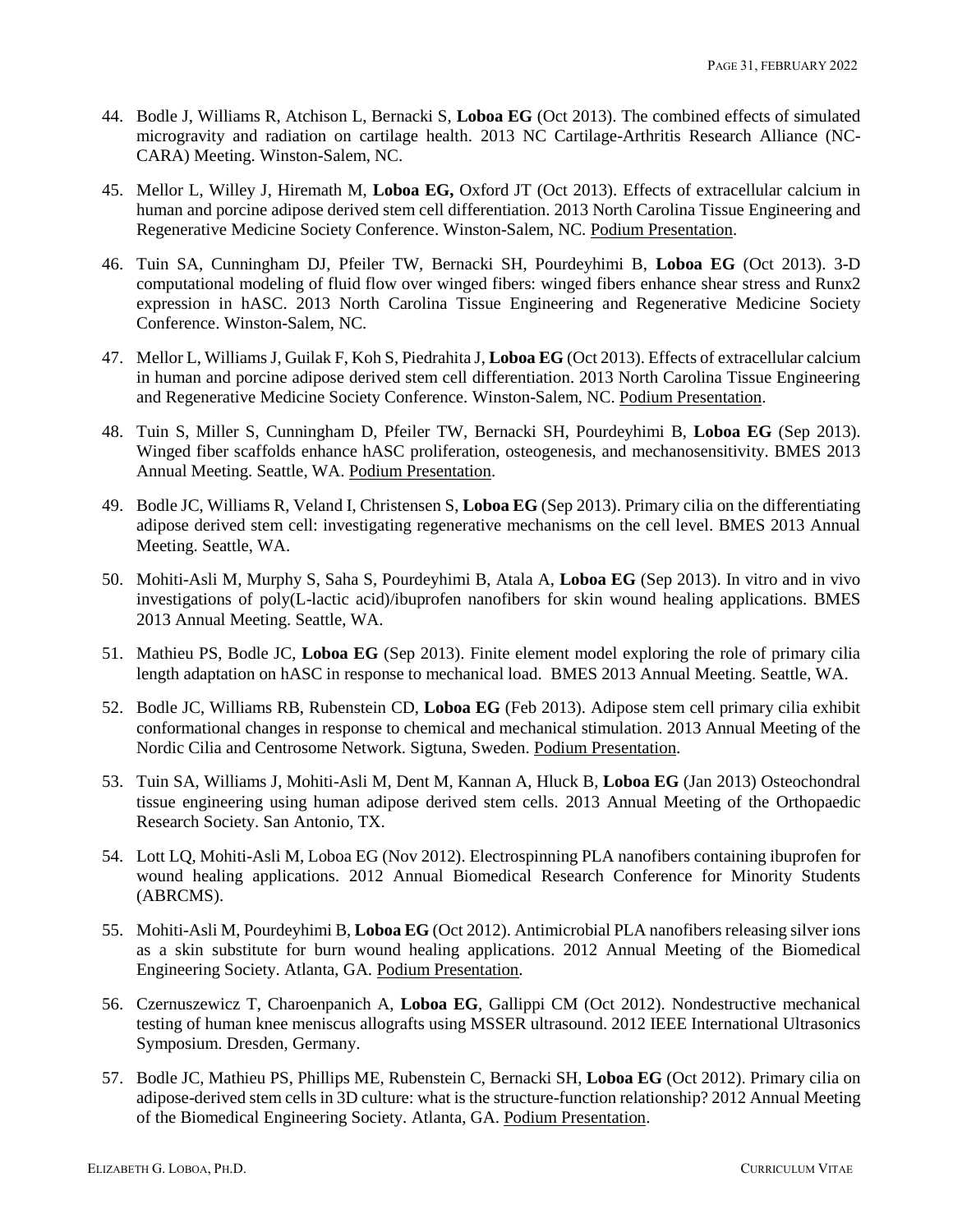- 44. Bodle J, Williams R, Atchison L, Bernacki S, **Loboa EG** (Oct 2013). The combined effects of simulated microgravity and radiation on cartilage health. 2013 NC Cartilage-Arthritis Research Alliance (NC-CARA) Meeting. Winston-Salem, NC.
- 45. Mellor L, Willey J, Hiremath M, **Loboa EG,** Oxford JT (Oct 2013). Effects of extracellular calcium in human and porcine adipose derived stem cell differentiation. 2013 North Carolina Tissue Engineering and Regenerative Medicine Society Conference. Winston-Salem, NC. Podium Presentation.
- 46. Tuin SA, Cunningham DJ, Pfeiler TW, Bernacki SH, Pourdeyhimi B, **Loboa EG** (Oct 2013). 3-D computational modeling of fluid flow over winged fibers: winged fibers enhance shear stress and Runx2 expression in hASC. 2013 North Carolina Tissue Engineering and Regenerative Medicine Society Conference. Winston-Salem, NC.
- 47. Mellor L, Williams J, Guilak F, Koh S, Piedrahita J, **Loboa EG** (Oct 2013). Effects of extracellular calcium in human and porcine adipose derived stem cell differentiation. 2013 North Carolina Tissue Engineering and Regenerative Medicine Society Conference. Winston-Salem, NC. Podium Presentation.
- 48. Tuin S, Miller S, Cunningham D, Pfeiler TW, Bernacki SH, Pourdeyhimi B, **Loboa EG** (Sep 2013). Winged fiber scaffolds enhance hASC proliferation, osteogenesis, and mechanosensitivity. BMES 2013 Annual Meeting. Seattle, WA. Podium Presentation.
- 49. Bodle JC, Williams R, Veland I, Christensen S, **Loboa EG** (Sep 2013). Primary cilia on the differentiating adipose derived stem cell: investigating regenerative mechanisms on the cell level. BMES 2013 Annual Meeting. Seattle, WA.
- 50. Mohiti-Asli M, Murphy S, Saha S, Pourdeyhimi B, Atala A, **Loboa EG** (Sep 2013). In vitro and in vivo investigations of poly(L-lactic acid)/ibuprofen nanofibers for skin wound healing applications. BMES 2013 Annual Meeting. Seattle, WA.
- 51. Mathieu PS, Bodle JC, **Loboa EG** (Sep 2013). Finite element model exploring the role of primary cilia length adaptation on hASC in response to mechanical load. BMES 2013 Annual Meeting. Seattle, WA.
- 52. Bodle JC, Williams RB, Rubenstein CD, **Loboa EG** (Feb 2013). Adipose stem cell primary cilia exhibit conformational changes in response to chemical and mechanical stimulation. 2013 Annual Meeting of the Nordic Cilia and Centrosome Network. Sigtuna, Sweden. Podium Presentation.
- 53. Tuin SA, Williams J, Mohiti-Asli M, Dent M, Kannan A, Hluck B, **Loboa EG** (Jan 2013) Osteochondral tissue engineering using human adipose derived stem cells. 2013 Annual Meeting of the Orthopaedic Research Society. San Antonio, TX.
- 54. Lott LQ, Mohiti-Asli M, Loboa EG (Nov 2012). Electrospinning PLA nanofibers containing ibuprofen for wound healing applications. 2012 Annual Biomedical Research Conference for Minority Students (ABRCMS).
- 55. Mohiti-Asli M, Pourdeyhimi B, **Loboa EG** (Oct 2012). Antimicrobial PLA nanofibers releasing silver ions as a skin substitute for burn wound healing applications. 2012 Annual Meeting of the Biomedical Engineering Society. Atlanta, GA. Podium Presentation.
- 56. Czernuszewicz T, Charoenpanich A, **Loboa EG**, Gallippi CM (Oct 2012). Nondestructive mechanical testing of human knee meniscus allografts using MSSER ultrasound. 2012 IEEE International Ultrasonics Symposium. Dresden, Germany.
- 57. Bodle JC, Mathieu PS, Phillips ME, Rubenstein C, Bernacki SH, **Loboa EG** (Oct 2012). Primary cilia on adipose-derived stem cells in 3D culture: what is the structure-function relationship? 2012 Annual Meeting of the Biomedical Engineering Society. Atlanta, GA. Podium Presentation.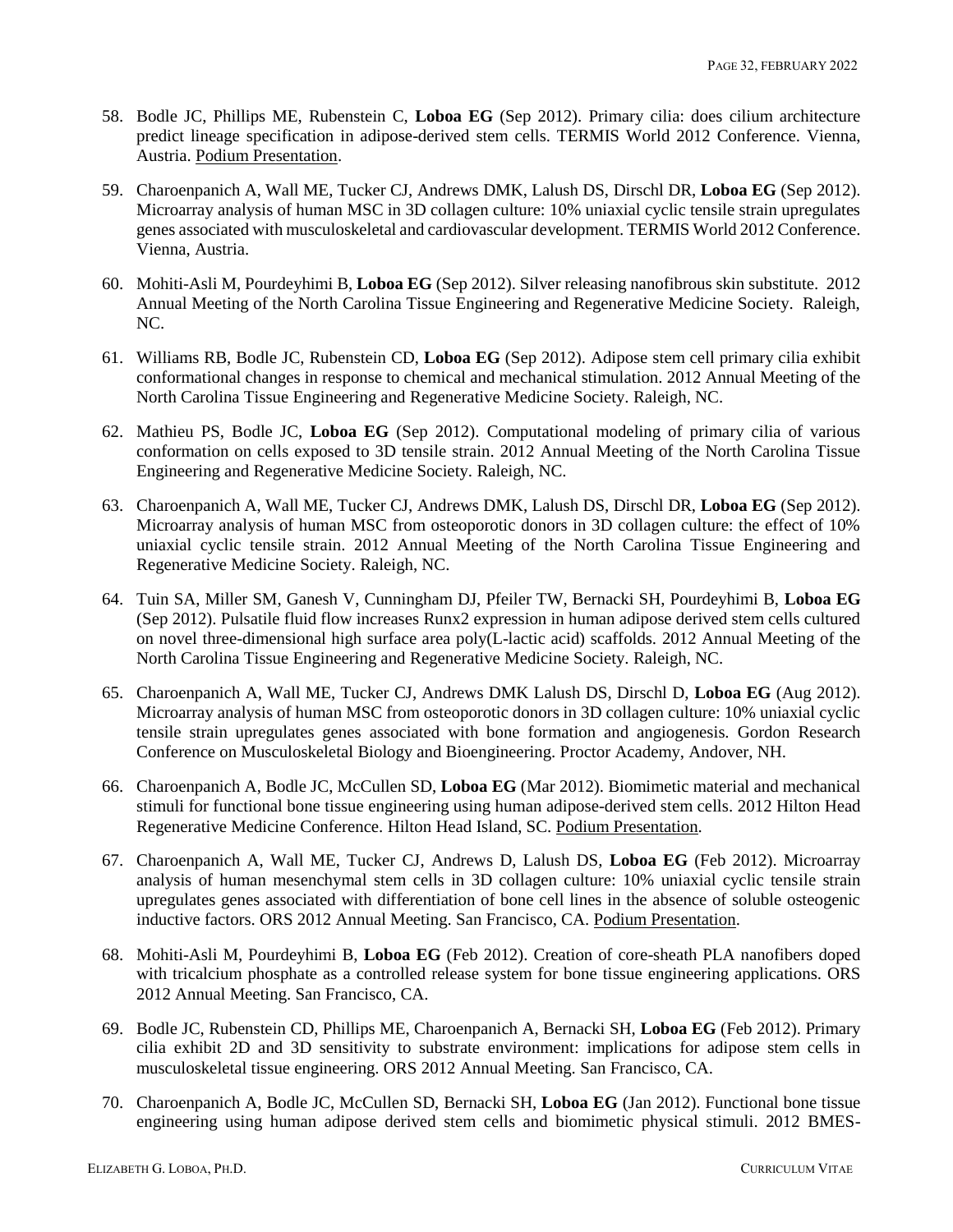- 58. Bodle JC, Phillips ME, Rubenstein C, **Loboa EG** (Sep 2012). Primary cilia: does cilium architecture predict lineage specification in adipose-derived stem cells. TERMIS World 2012 Conference. Vienna, Austria. Podium Presentation.
- 59. Charoenpanich A, Wall ME, Tucker CJ, Andrews DMK, Lalush DS, Dirschl DR, **Loboa EG** (Sep 2012). Microarray analysis of human MSC in 3D collagen culture: 10% uniaxial cyclic tensile strain upregulates genes associated with musculoskeletal and cardiovascular development. TERMIS World 2012 Conference. Vienna, Austria.
- 60. Mohiti-Asli M, Pourdeyhimi B, **Loboa EG** (Sep 2012). Silver releasing nanofibrous skin substitute. 2012 Annual Meeting of the North Carolina Tissue Engineering and Regenerative Medicine Society. Raleigh, NC.
- 61. Williams RB, Bodle JC, Rubenstein CD, **Loboa EG** (Sep 2012). Adipose stem cell primary cilia exhibit conformational changes in response to chemical and mechanical stimulation. 2012 Annual Meeting of the North Carolina Tissue Engineering and Regenerative Medicine Society. Raleigh, NC.
- 62. Mathieu PS, Bodle JC, **Loboa EG** (Sep 2012). Computational modeling of primary cilia of various conformation on cells exposed to 3D tensile strain. 2012 Annual Meeting of the North Carolina Tissue Engineering and Regenerative Medicine Society. Raleigh, NC.
- 63. Charoenpanich A, Wall ME, Tucker CJ, Andrews DMK, Lalush DS, Dirschl DR, **Loboa EG** (Sep 2012). Microarray analysis of human MSC from osteoporotic donors in 3D collagen culture: the effect of 10% uniaxial cyclic tensile strain. 2012 Annual Meeting of the North Carolina Tissue Engineering and Regenerative Medicine Society. Raleigh, NC.
- 64. Tuin SA, Miller SM, Ganesh V, Cunningham DJ, Pfeiler TW, Bernacki SH, Pourdeyhimi B, **Loboa EG** (Sep 2012). Pulsatile fluid flow increases Runx2 expression in human adipose derived stem cells cultured on novel three-dimensional high surface area poly(L-lactic acid) scaffolds. 2012 Annual Meeting of the North Carolina Tissue Engineering and Regenerative Medicine Society. Raleigh, NC.
- 65. Charoenpanich A, Wall ME, Tucker CJ, Andrews DMK Lalush DS, Dirschl D, **Loboa EG** (Aug 2012). Microarray analysis of human MSC from osteoporotic donors in 3D collagen culture: 10% uniaxial cyclic tensile strain upregulates genes associated with bone formation and angiogenesis. Gordon Research Conference on Musculoskeletal Biology and Bioengineering. Proctor Academy, Andover, NH.
- 66. Charoenpanich A, Bodle JC, McCullen SD, **Loboa EG** (Mar 2012). Biomimetic material and mechanical stimuli for functional bone tissue engineering using human adipose-derived stem cells. 2012 Hilton Head Regenerative Medicine Conference. Hilton Head Island, SC. Podium Presentation.
- 67. Charoenpanich A, Wall ME, Tucker CJ, Andrews D, Lalush DS, **Loboa EG** (Feb 2012). Microarray analysis of human mesenchymal stem cells in 3D collagen culture: 10% uniaxial cyclic tensile strain upregulates genes associated with differentiation of bone cell lines in the absence of soluble osteogenic inductive factors. ORS 2012 Annual Meeting. San Francisco, CA. Podium Presentation.
- 68. Mohiti-Asli M, Pourdeyhimi B, **Loboa EG** (Feb 2012). Creation of core-sheath PLA nanofibers doped with tricalcium phosphate as a controlled release system for bone tissue engineering applications. ORS 2012 Annual Meeting. San Francisco, CA.
- 69. Bodle JC, Rubenstein CD, Phillips ME, Charoenpanich A, Bernacki SH, **Loboa EG** (Feb 2012). Primary cilia exhibit 2D and 3D sensitivity to substrate environment: implications for adipose stem cells in musculoskeletal tissue engineering. ORS 2012 Annual Meeting. San Francisco, CA.
- 70. Charoenpanich A, Bodle JC, McCullen SD, Bernacki SH, **Loboa EG** (Jan 2012). Functional bone tissue engineering using human adipose derived stem cells and biomimetic physical stimuli. 2012 BMES-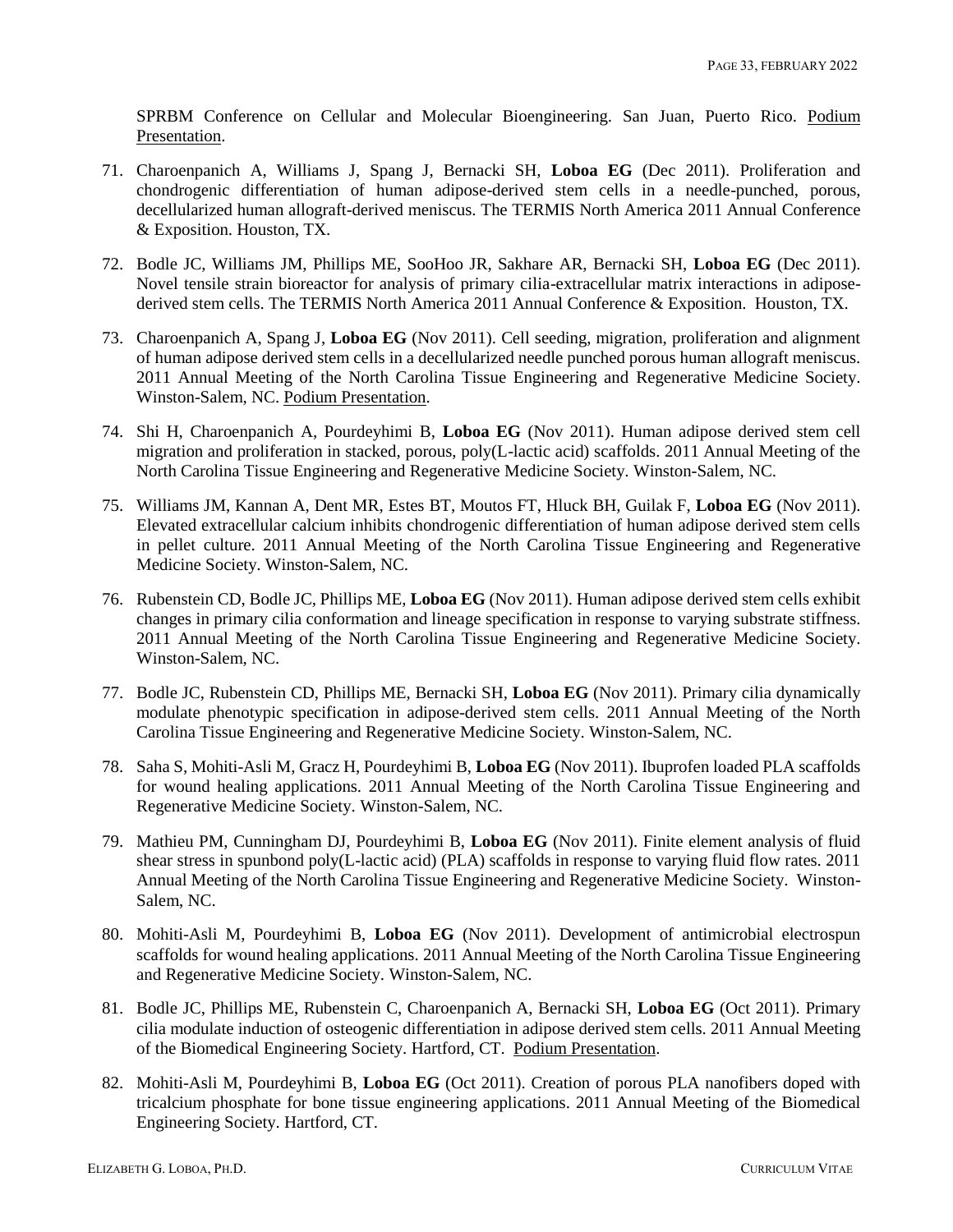SPRBM Conference on Cellular and Molecular Bioengineering. San Juan, Puerto Rico. Podium Presentation.

- 71. Charoenpanich A, Williams J, Spang J, Bernacki SH, **Loboa EG** (Dec 2011). Proliferation and chondrogenic differentiation of human adipose-derived stem cells in a needle-punched, porous, decellularized human allograft-derived meniscus. The TERMIS North America 2011 Annual Conference & Exposition. Houston, TX.
- 72. Bodle JC, Williams JM, Phillips ME, SooHoo JR, Sakhare AR, Bernacki SH, **Loboa EG** (Dec 2011). Novel tensile strain bioreactor for analysis of primary cilia-extracellular matrix interactions in adiposederived stem cells. The TERMIS North America 2011 Annual Conference & Exposition. Houston, TX.
- 73. Charoenpanich A, Spang J, **Loboa EG** (Nov 2011). Cell seeding, migration, proliferation and alignment of human adipose derived stem cells in a decellularized needle punched porous human allograft meniscus. 2011 Annual Meeting of the North Carolina Tissue Engineering and Regenerative Medicine Society. Winston-Salem, NC. Podium Presentation.
- 74. Shi H, Charoenpanich A, Pourdeyhimi B, **Loboa EG** (Nov 2011). Human adipose derived stem cell migration and proliferation in stacked, porous, poly(L-lactic acid) scaffolds. 2011 Annual Meeting of the North Carolina Tissue Engineering and Regenerative Medicine Society. Winston-Salem, NC.
- 75. Williams JM, Kannan A, Dent MR, Estes BT, Moutos FT, Hluck BH, Guilak F, **Loboa EG** (Nov 2011). Elevated extracellular calcium inhibits chondrogenic differentiation of human adipose derived stem cells in pellet culture. 2011 Annual Meeting of the North Carolina Tissue Engineering and Regenerative Medicine Society. Winston-Salem, NC.
- 76. Rubenstein CD, Bodle JC, Phillips ME, **Loboa EG** (Nov 2011). Human adipose derived stem cells exhibit changes in primary cilia conformation and lineage specification in response to varying substrate stiffness. 2011 Annual Meeting of the North Carolina Tissue Engineering and Regenerative Medicine Society. Winston-Salem, NC.
- 77. Bodle JC, Rubenstein CD, Phillips ME, Bernacki SH, **Loboa EG** (Nov 2011). Primary cilia dynamically modulate phenotypic specification in adipose-derived stem cells. 2011 Annual Meeting of the North Carolina Tissue Engineering and Regenerative Medicine Society. Winston-Salem, NC.
- 78. Saha S, Mohiti-Asli M, Gracz H, Pourdeyhimi B, **Loboa EG** (Nov 2011). Ibuprofen loaded PLA scaffolds for wound healing applications. 2011 Annual Meeting of the North Carolina Tissue Engineering and Regenerative Medicine Society. Winston-Salem, NC.
- 79. Mathieu PM, Cunningham DJ, Pourdeyhimi B, **Loboa EG** (Nov 2011). Finite element analysis of fluid shear stress in spunbond poly(L-lactic acid) (PLA) scaffolds in response to varying fluid flow rates. 2011 Annual Meeting of the North Carolina Tissue Engineering and Regenerative Medicine Society. Winston-Salem, NC.
- 80. Mohiti-Asli M, Pourdeyhimi B, **Loboa EG** (Nov 2011). Development of antimicrobial electrospun scaffolds for wound healing applications. 2011 Annual Meeting of the North Carolina Tissue Engineering and Regenerative Medicine Society. Winston-Salem, NC.
- 81. Bodle JC, Phillips ME, Rubenstein C, Charoenpanich A, Bernacki SH, **Loboa EG** (Oct 2011). Primary cilia modulate induction of osteogenic differentiation in adipose derived stem cells. 2011 Annual Meeting of the Biomedical Engineering Society. Hartford, CT. Podium Presentation.
- 82. Mohiti-Asli M, Pourdeyhimi B, **Loboa EG** (Oct 2011). Creation of porous PLA nanofibers doped with tricalcium phosphate for bone tissue engineering applications. 2011 Annual Meeting of the Biomedical Engineering Society. Hartford, CT.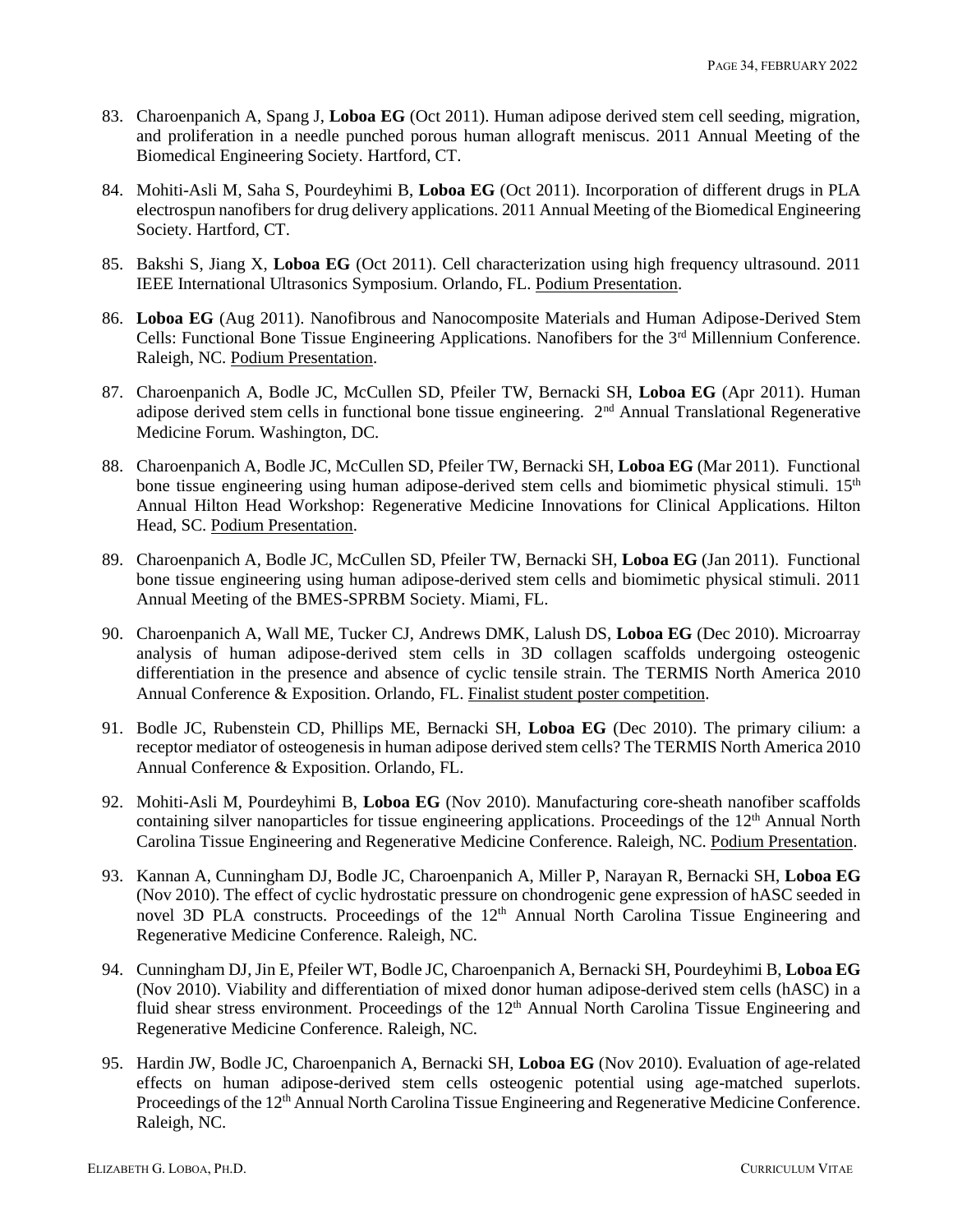- 83. Charoenpanich A, Spang J, **Loboa EG** (Oct 2011). Human adipose derived stem cell seeding, migration, and proliferation in a needle punched porous human allograft meniscus. 2011 Annual Meeting of the Biomedical Engineering Society. Hartford, CT.
- 84. Mohiti-Asli M, Saha S, Pourdeyhimi B, **Loboa EG** (Oct 2011). Incorporation of different drugs in PLA electrospun nanofibers for drug delivery applications. 2011 Annual Meeting of the Biomedical Engineering Society. Hartford, CT.
- 85. Bakshi S, Jiang X, **Loboa EG** (Oct 2011). Cell characterization using high frequency ultrasound. 2011 IEEE International Ultrasonics Symposium. Orlando, FL. Podium Presentation.
- 86. **Loboa EG** (Aug 2011). Nanofibrous and Nanocomposite Materials and Human Adipose-Derived Stem Cells: Functional Bone Tissue Engineering Applications. Nanofibers for the 3<sup>rd</sup> Millennium Conference. Raleigh, NC. Podium Presentation.
- 87. Charoenpanich A, Bodle JC, McCullen SD, Pfeiler TW, Bernacki SH, **Loboa EG** (Apr 2011). Human adipose derived stem cells in functional bone tissue engineering. 2<sup>nd</sup> Annual Translational Regenerative Medicine Forum. Washington, DC.
- 88. Charoenpanich A, Bodle JC, McCullen SD, Pfeiler TW, Bernacki SH, **Loboa EG** (Mar 2011). Functional bone tissue engineering using human adipose-derived stem cells and biomimetic physical stimuli. 15<sup>th</sup> Annual Hilton Head Workshop: Regenerative Medicine Innovations for Clinical Applications. Hilton Head, SC. Podium Presentation.
- 89. Charoenpanich A, Bodle JC, McCullen SD, Pfeiler TW, Bernacki SH, **Loboa EG** (Jan 2011). Functional bone tissue engineering using human adipose-derived stem cells and biomimetic physical stimuli. 2011 Annual Meeting of the BMES-SPRBM Society. Miami, FL.
- 90. Charoenpanich A, Wall ME, Tucker CJ, Andrews DMK, Lalush DS, **Loboa EG** (Dec 2010). Microarray analysis of human adipose-derived stem cells in 3D collagen scaffolds undergoing osteogenic differentiation in the presence and absence of cyclic tensile strain. The TERMIS North America 2010 Annual Conference & Exposition. Orlando, FL. Finalist student poster competition.
- 91. Bodle JC, Rubenstein CD, Phillips ME, Bernacki SH, **Loboa EG** (Dec 2010). The primary cilium: a receptor mediator of osteogenesis in human adipose derived stem cells? The TERMIS North America 2010 Annual Conference & Exposition. Orlando, FL.
- 92. Mohiti-Asli M, Pourdeyhimi B, **Loboa EG** (Nov 2010). Manufacturing core-sheath nanofiber scaffolds containing silver nanoparticles for tissue engineering applications. Proceedings of the 12<sup>th</sup> Annual North Carolina Tissue Engineering and Regenerative Medicine Conference. Raleigh, NC. Podium Presentation.
- 93. Kannan A, Cunningham DJ, Bodle JC, Charoenpanich A, Miller P, Narayan R, Bernacki SH, **Loboa EG** (Nov 2010). The effect of cyclic hydrostatic pressure on chondrogenic gene expression of hASC seeded in novel 3D PLA constructs. Proceedings of the 12<sup>th</sup> Annual North Carolina Tissue Engineering and Regenerative Medicine Conference. Raleigh, NC.
- 94. Cunningham DJ, Jin E, Pfeiler WT, Bodle JC, Charoenpanich A, Bernacki SH, Pourdeyhimi B, **Loboa EG** (Nov 2010). Viability and differentiation of mixed donor human adipose-derived stem cells (hASC) in a fluid shear stress environment. Proceedings of the 12<sup>th</sup> Annual North Carolina Tissue Engineering and Regenerative Medicine Conference. Raleigh, NC.
- 95. Hardin JW, Bodle JC, Charoenpanich A, Bernacki SH, **Loboa EG** (Nov 2010). Evaluation of age-related effects on human adipose-derived stem cells osteogenic potential using age-matched superlots. Proceedings of the 12<sup>th</sup> Annual North Carolina Tissue Engineering and Regenerative Medicine Conference. Raleigh, NC.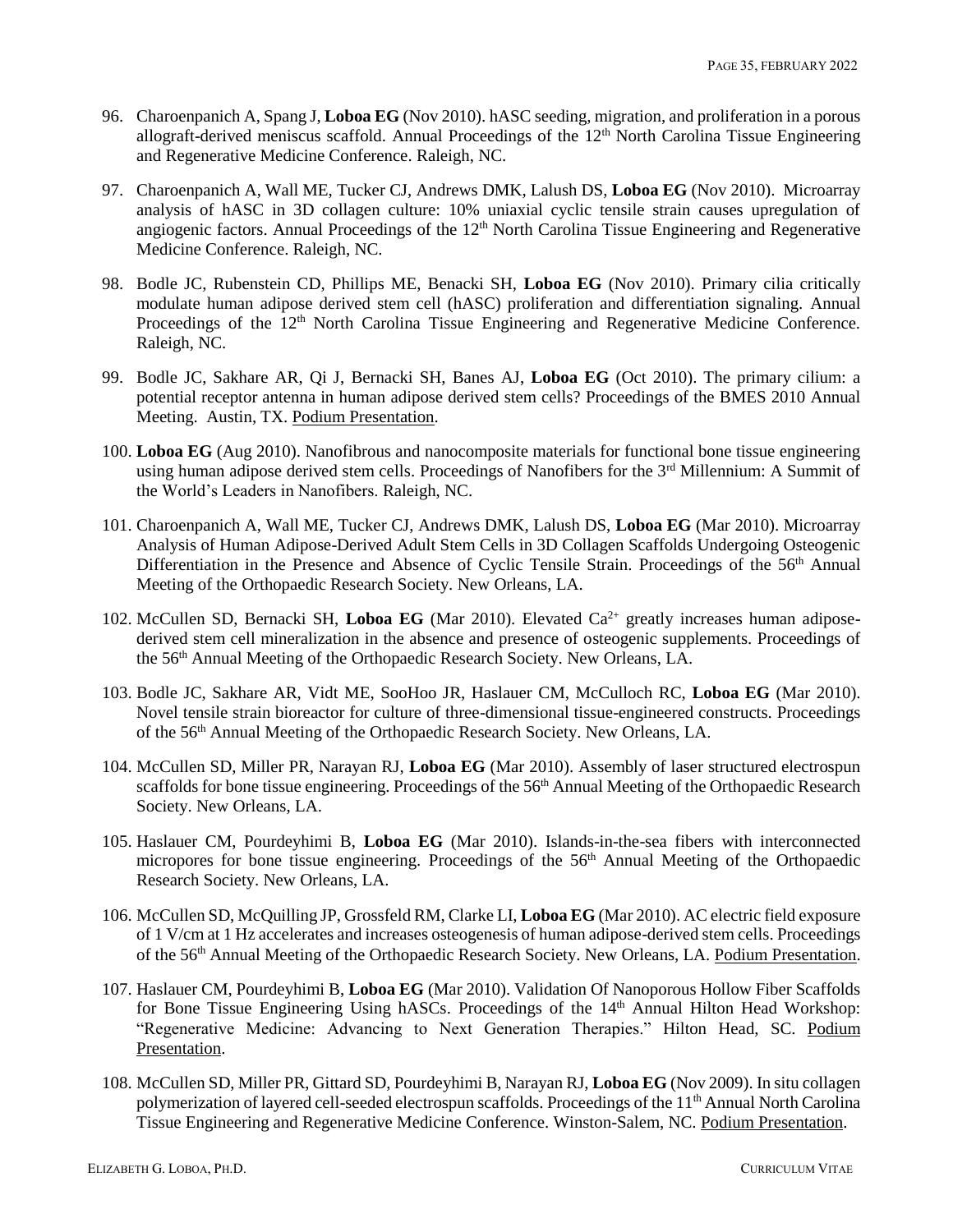- 96. Charoenpanich A, Spang J, **Loboa EG** (Nov 2010). hASC seeding, migration, and proliferation in a porous allograft-derived meniscus scaffold. Annual Proceedings of the 12<sup>th</sup> North Carolina Tissue Engineering and Regenerative Medicine Conference. Raleigh, NC.
- 97. Charoenpanich A, Wall ME, Tucker CJ, Andrews DMK, Lalush DS, **Loboa EG** (Nov 2010). Microarray analysis of hASC in 3D collagen culture: 10% uniaxial cyclic tensile strain causes upregulation of angiogenic factors. Annual Proceedings of the 12<sup>th</sup> North Carolina Tissue Engineering and Regenerative Medicine Conference. Raleigh, NC.
- 98. Bodle JC, Rubenstein CD, Phillips ME, Benacki SH, **Loboa EG** (Nov 2010). Primary cilia critically modulate human adipose derived stem cell (hASC) proliferation and differentiation signaling. Annual Proceedings of the 12<sup>th</sup> North Carolina Tissue Engineering and Regenerative Medicine Conference. Raleigh, NC.
- 99. Bodle JC, Sakhare AR, Qi J, Bernacki SH, Banes AJ, **Loboa EG** (Oct 2010). The primary cilium: a potential receptor antenna in human adipose derived stem cells? Proceedings of the BMES 2010 Annual Meeting. Austin, TX. Podium Presentation.
- 100. **Loboa EG** (Aug 2010). Nanofibrous and nanocomposite materials for functional bone tissue engineering using human adipose derived stem cells. Proceedings of Nanofibers for the 3<sup>rd</sup> Millennium: A Summit of the World's Leaders in Nanofibers. Raleigh, NC.
- 101. Charoenpanich A, Wall ME, Tucker CJ, Andrews DMK, Lalush DS, **Loboa EG** (Mar 2010). Microarray Analysis of Human Adipose-Derived Adult Stem Cells in 3D Collagen Scaffolds Undergoing Osteogenic Differentiation in the Presence and Absence of Cyclic Tensile Strain. Proceedings of the 56<sup>th</sup> Annual Meeting of the Orthopaedic Research Society. New Orleans, LA.
- 102. McCullen SD, Bernacki SH, Loboa EG (Mar 2010). Elevated Ca<sup>2+</sup> greatly increases human adiposederived stem cell mineralization in the absence and presence of osteogenic supplements. Proceedings of the 56<sup>th</sup> Annual Meeting of the Orthopaedic Research Society. New Orleans, LA.
- 103. Bodle JC, Sakhare AR, Vidt ME, SooHoo JR, Haslauer CM, McCulloch RC, **Loboa EG** (Mar 2010). Novel tensile strain bioreactor for culture of three-dimensional tissue-engineered constructs. Proceedings of the 56th Annual Meeting of the Orthopaedic Research Society. New Orleans, LA.
- 104. McCullen SD, Miller PR, Narayan RJ, **Loboa EG** (Mar 2010). Assembly of laser structured electrospun scaffolds for bone tissue engineering. Proceedings of the 56<sup>th</sup> Annual Meeting of the Orthopaedic Research Society. New Orleans, LA.
- 105. Haslauer CM, Pourdeyhimi B, **Loboa EG** (Mar 2010). Islands-in-the-sea fibers with interconnected micropores for bone tissue engineering. Proceedings of the 56<sup>th</sup> Annual Meeting of the Orthopaedic Research Society. New Orleans, LA.
- 106. McCullen SD, McQuilling JP, Grossfeld RM, Clarke LI, **Loboa EG** (Mar 2010). AC electric field exposure of 1 V/cm at 1 Hz accelerates and increases osteogenesis of human adipose-derived stem cells. Proceedings of the 56th Annual Meeting of the Orthopaedic Research Society. New Orleans, LA. Podium Presentation.
- 107. Haslauer CM, Pourdeyhimi B, **Loboa EG** (Mar 2010). Validation Of Nanoporous Hollow Fiber Scaffolds for Bone Tissue Engineering Using hASCs. Proceedings of the 14<sup>th</sup> Annual Hilton Head Workshop: "Regenerative Medicine: Advancing to Next Generation Therapies." Hilton Head, SC. Podium Presentation.
- 108. McCullen SD, Miller PR, Gittard SD, Pourdeyhimi B, Narayan RJ, **Loboa EG** (Nov 2009). In situ collagen polymerization of layered cell-seeded electrospun scaffolds. Proceedings of the 11<sup>th</sup> Annual North Carolina Tissue Engineering and Regenerative Medicine Conference. Winston-Salem, NC. Podium Presentation.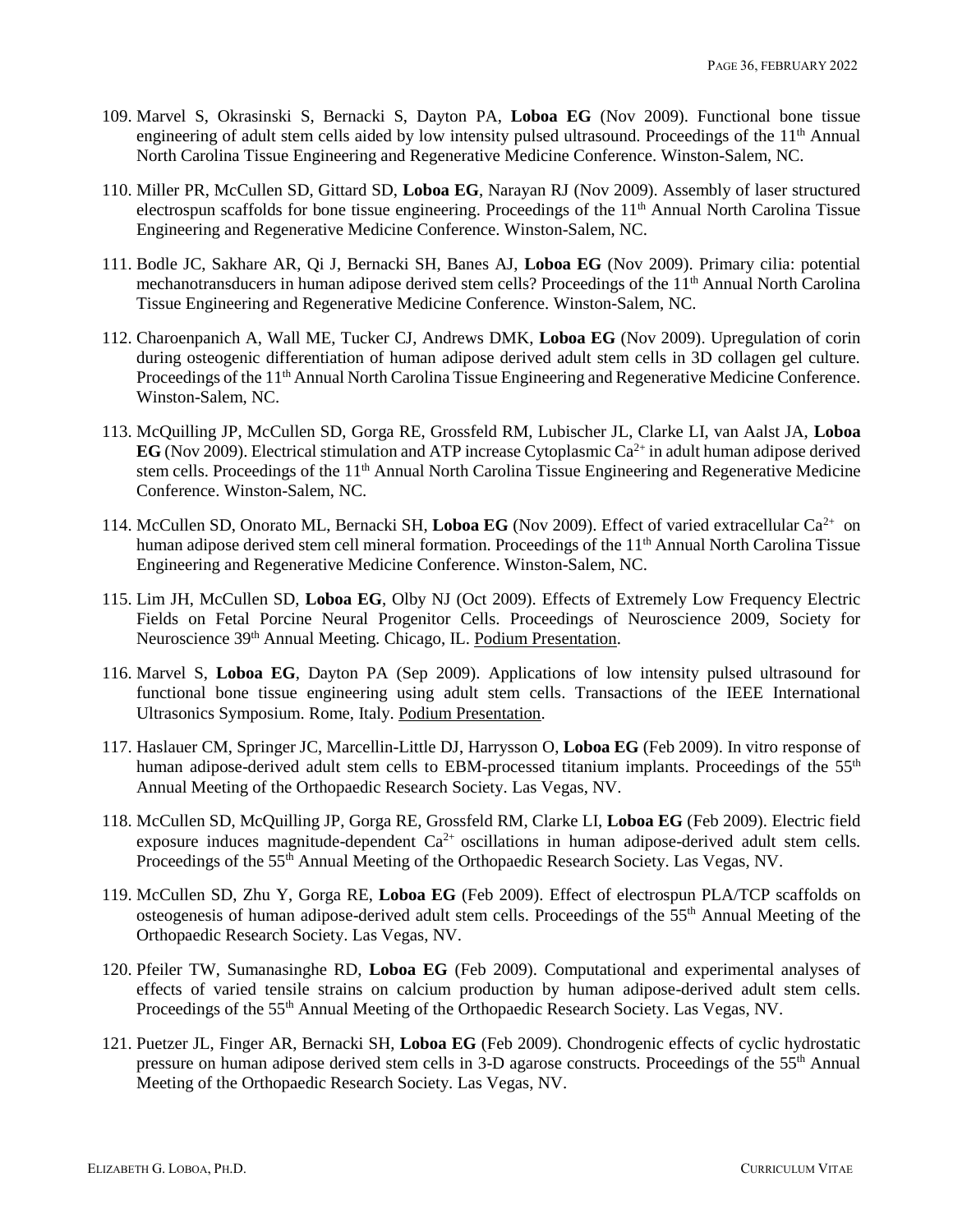- 109. Marvel S, Okrasinski S, Bernacki S, Dayton PA, **Loboa EG** (Nov 2009). Functional bone tissue engineering of adult stem cells aided by low intensity pulsed ultrasound. Proceedings of the 11<sup>th</sup> Annual North Carolina Tissue Engineering and Regenerative Medicine Conference. Winston-Salem, NC.
- 110. Miller PR, McCullen SD, Gittard SD, **Loboa EG**, Narayan RJ (Nov 2009). Assembly of laser structured electrospun scaffolds for bone tissue engineering. Proceedings of the  $11<sup>th</sup>$  Annual North Carolina Tissue Engineering and Regenerative Medicine Conference. Winston-Salem, NC.
- 111. Bodle JC, Sakhare AR, Qi J, Bernacki SH, Banes AJ, **Loboa EG** (Nov 2009). Primary cilia: potential mechanotransducers in human adipose derived stem cells? Proceedings of the 11<sup>th</sup> Annual North Carolina Tissue Engineering and Regenerative Medicine Conference. Winston-Salem, NC.
- 112. Charoenpanich A, Wall ME, Tucker CJ, Andrews DMK, **Loboa EG** (Nov 2009). Upregulation of corin during osteogenic differentiation of human adipose derived adult stem cells in 3D collagen gel culture. Proceedings of the 11<sup>th</sup> Annual North Carolina Tissue Engineering and Regenerative Medicine Conference. Winston-Salem, NC.
- 113. McQuilling JP, McCullen SD, Gorga RE, Grossfeld RM, Lubischer JL, Clarke LI, van Aalst JA, **Loboa EG** (Nov 2009). Electrical stimulation and ATP increase Cytoplasmic  $Ca^{2+}$  in adult human adipose derived stem cells. Proceedings of the 11<sup>th</sup> Annual North Carolina Tissue Engineering and Regenerative Medicine Conference. Winston-Salem, NC.
- 114. McCullen SD, Onorato ML, Bernacki SH, Loboa EG (Nov 2009). Effect of varied extracellular Ca<sup>2+</sup> on human adipose derived stem cell mineral formation. Proceedings of the 11<sup>th</sup> Annual North Carolina Tissue Engineering and Regenerative Medicine Conference. Winston-Salem, NC.
- 115. Lim JH, McCullen SD, **Loboa EG**, Olby NJ (Oct 2009). Effects of Extremely Low Frequency Electric Fields on Fetal Porcine Neural Progenitor Cells. Proceedings of Neuroscience 2009, Society for Neuroscience 39<sup>th</sup> Annual Meeting. Chicago, IL. Podium Presentation.
- 116. Marvel S, **Loboa EG**, Dayton PA (Sep 2009). Applications of low intensity pulsed ultrasound for functional bone tissue engineering using adult stem cells. Transactions of the IEEE International Ultrasonics Symposium. Rome, Italy. Podium Presentation.
- 117. Haslauer CM, Springer JC, Marcellin-Little DJ, Harrysson O, **Loboa EG** (Feb 2009). In vitro response of human adipose-derived adult stem cells to EBM-processed titanium implants. Proceedings of the 55<sup>th</sup> Annual Meeting of the Orthopaedic Research Society. Las Vegas, NV.
- 118. McCullen SD, McQuilling JP, Gorga RE, Grossfeld RM, Clarke LI, **Loboa EG** (Feb 2009). Electric field exposure induces magnitude-dependent  $Ca^{2+}$  oscillations in human adipose-derived adult stem cells. Proceedings of the 55<sup>th</sup> Annual Meeting of the Orthopaedic Research Society. Las Vegas, NV.
- 119. McCullen SD, Zhu Y, Gorga RE, **Loboa EG** (Feb 2009). Effect of electrospun PLA/TCP scaffolds on osteogenesis of human adipose-derived adult stem cells. Proceedings of the 55th Annual Meeting of the Orthopaedic Research Society. Las Vegas, NV.
- 120. Pfeiler TW, Sumanasinghe RD, **Loboa EG** (Feb 2009). Computational and experimental analyses of effects of varied tensile strains on calcium production by human adipose-derived adult stem cells. Proceedings of the 55<sup>th</sup> Annual Meeting of the Orthopaedic Research Society. Las Vegas, NV.
- 121. Puetzer JL, Finger AR, Bernacki SH, **Loboa EG** (Feb 2009). Chondrogenic effects of cyclic hydrostatic pressure on human adipose derived stem cells in 3-D agarose constructs. Proceedings of the 55<sup>th</sup> Annual Meeting of the Orthopaedic Research Society. Las Vegas, NV.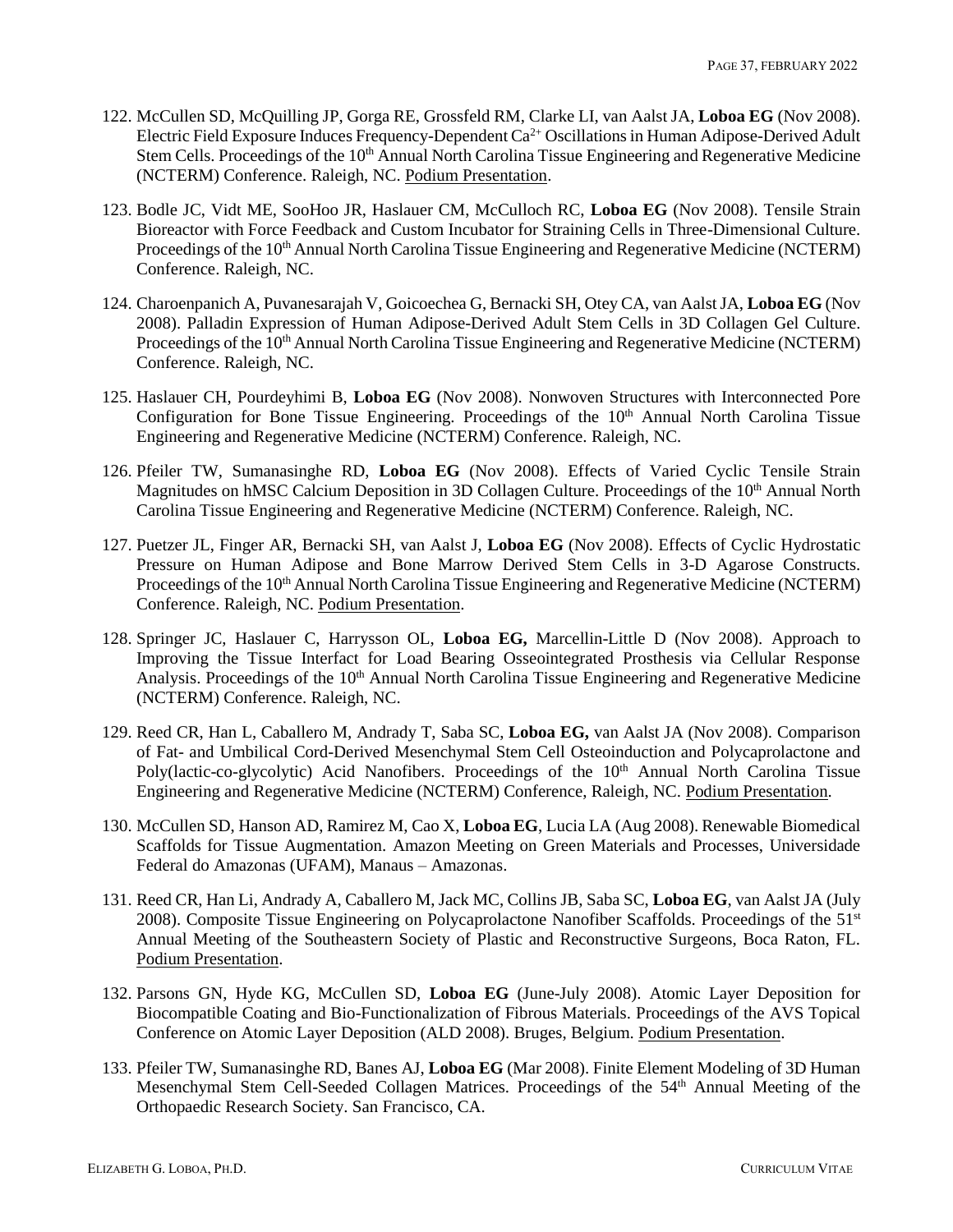- 122. McCullen SD, McQuilling JP, Gorga RE, Grossfeld RM, Clarke LI, van Aalst JA, **Loboa EG** (Nov 2008). Electric Field Exposure Induces Frequency-Dependent  $Ca^{2+}$  Oscillations in Human Adipose-Derived Adult Stem Cells. Proceedings of the 10<sup>th</sup> Annual North Carolina Tissue Engineering and Regenerative Medicine (NCTERM) Conference. Raleigh, NC. Podium Presentation.
- 123. Bodle JC, Vidt ME, SooHoo JR, Haslauer CM, McCulloch RC, **Loboa EG** (Nov 2008). Tensile Strain Bioreactor with Force Feedback and Custom Incubator for Straining Cells in Three-Dimensional Culture. Proceedings of the 10<sup>th</sup> Annual North Carolina Tissue Engineering and Regenerative Medicine (NCTERM) Conference. Raleigh, NC.
- 124. Charoenpanich A, Puvanesarajah V, Goicoechea G, Bernacki SH, Otey CA, van Aalst JA, **Loboa EG** (Nov 2008). Palladin Expression of Human Adipose-Derived Adult Stem Cells in 3D Collagen Gel Culture. Proceedings of the 10<sup>th</sup> Annual North Carolina Tissue Engineering and Regenerative Medicine (NCTERM) Conference. Raleigh, NC.
- 125. Haslauer CH, Pourdeyhimi B, **Loboa EG** (Nov 2008). Nonwoven Structures with Interconnected Pore Configuration for Bone Tissue Engineering. Proceedings of the  $10<sup>th</sup>$  Annual North Carolina Tissue Engineering and Regenerative Medicine (NCTERM) Conference. Raleigh, NC.
- 126. Pfeiler TW, Sumanasinghe RD, **Loboa EG** (Nov 2008). Effects of Varied Cyclic Tensile Strain Magnitudes on hMSC Calcium Deposition in 3D Collagen Culture. Proceedings of the 10<sup>th</sup> Annual North Carolina Tissue Engineering and Regenerative Medicine (NCTERM) Conference. Raleigh, NC.
- 127. Puetzer JL, Finger AR, Bernacki SH, van Aalst J, **Loboa EG** (Nov 2008). Effects of Cyclic Hydrostatic Pressure on Human Adipose and Bone Marrow Derived Stem Cells in 3-D Agarose Constructs. Proceedings of the 10<sup>th</sup> Annual North Carolina Tissue Engineering and Regenerative Medicine (NCTERM) Conference. Raleigh, NC. Podium Presentation.
- 128. Springer JC, Haslauer C, Harrysson OL, **Loboa EG,** Marcellin-Little D (Nov 2008). Approach to Improving the Tissue Interfact for Load Bearing Osseointegrated Prosthesis via Cellular Response Analysis. Proceedings of the 10<sup>th</sup> Annual North Carolina Tissue Engineering and Regenerative Medicine (NCTERM) Conference. Raleigh, NC.
- 129. Reed CR, Han L, Caballero M, Andrady T, Saba SC, **Loboa EG,** van Aalst JA (Nov 2008). Comparison of Fat- and Umbilical Cord-Derived Mesenchymal Stem Cell Osteoinduction and Polycaprolactone and Poly(lactic-co-glycolytic) Acid Nanofibers. Proceedings of the 10<sup>th</sup> Annual North Carolina Tissue Engineering and Regenerative Medicine (NCTERM) Conference, Raleigh, NC. Podium Presentation.
- 130. McCullen SD, Hanson AD, Ramirez M, Cao X, **Loboa EG**, Lucia LA (Aug 2008). Renewable Biomedical Scaffolds for Tissue Augmentation. Amazon Meeting on Green Materials and Processes, Universidade Federal do Amazonas (UFAM), Manaus – Amazonas.
- 131. Reed CR, Han Li, Andrady A, Caballero M, Jack MC, Collins JB, Saba SC, **Loboa EG**, van Aalst JA (July 2008). Composite Tissue Engineering on Polycaprolactone Nanofiber Scaffolds. Proceedings of the 51<sup>st</sup> Annual Meeting of the Southeastern Society of Plastic and Reconstructive Surgeons, Boca Raton, FL. Podium Presentation.
- 132. Parsons GN, Hyde KG, McCullen SD, **Loboa EG** (June-July 2008). Atomic Layer Deposition for Biocompatible Coating and Bio-Functionalization of Fibrous Materials. Proceedings of the AVS Topical Conference on Atomic Layer Deposition (ALD 2008). Bruges, Belgium. Podium Presentation.
- 133. Pfeiler TW, Sumanasinghe RD, Banes AJ, **Loboa EG** (Mar 2008). Finite Element Modeling of 3D Human Mesenchymal Stem Cell-Seeded Collagen Matrices. Proceedings of the 54<sup>th</sup> Annual Meeting of the Orthopaedic Research Society. San Francisco, CA.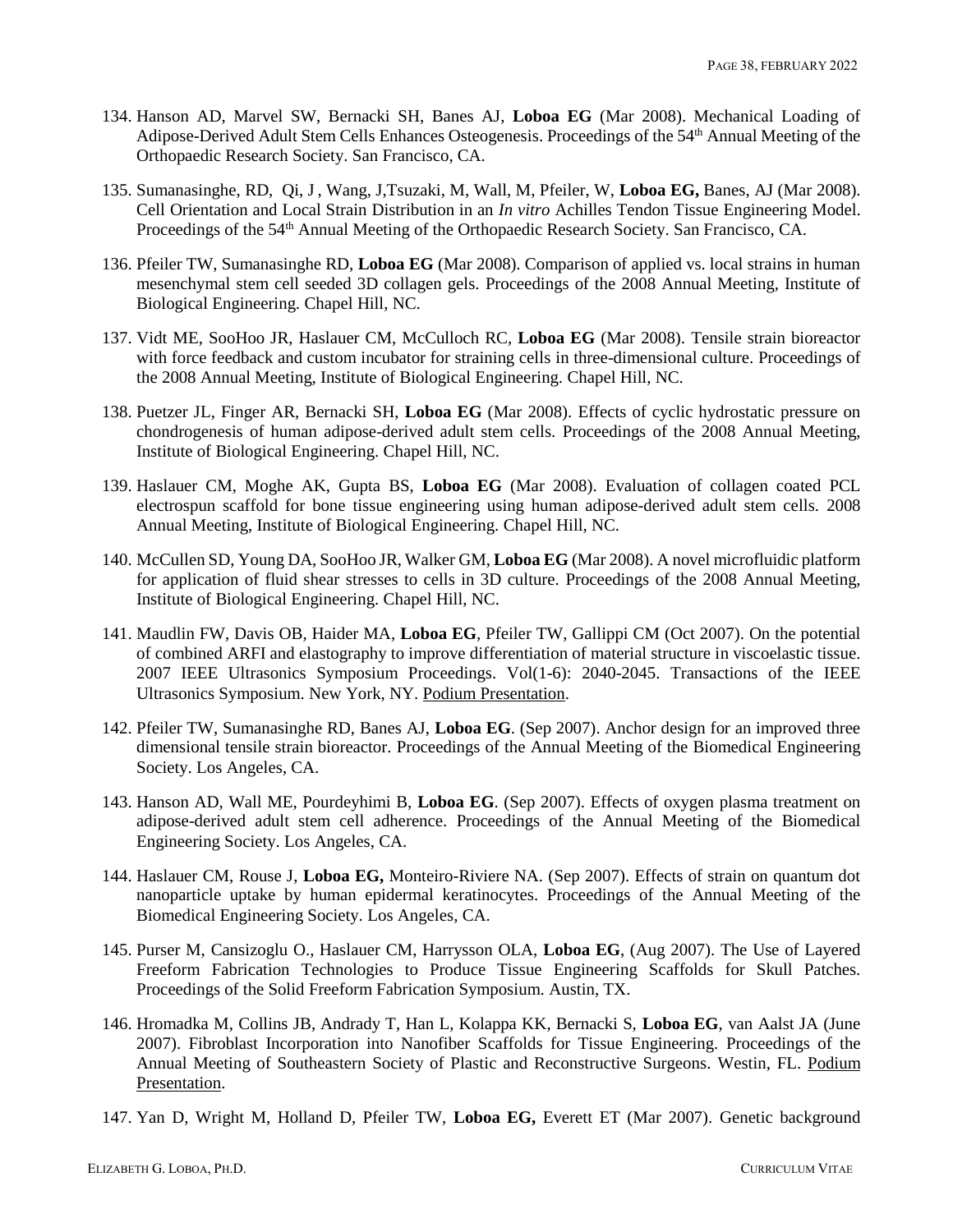- 134. Hanson AD, Marvel SW, Bernacki SH, Banes AJ, **Loboa EG** (Mar 2008). Mechanical Loading of Adipose-Derived Adult Stem Cells Enhances Osteogenesis. Proceedings of the 54<sup>th</sup> Annual Meeting of the Orthopaedic Research Society. San Francisco, CA.
- 135. Sumanasinghe, RD, Qi, J, Wang, J,Tsuzaki, M, Wall, M, Pfeiler, W, **Loboa EG,** Banes, AJ (Mar 2008). Cell Orientation and Local Strain Distribution in an *In vitro* Achilles Tendon Tissue Engineering Model. Proceedings of the 54<sup>th</sup> Annual Meeting of the Orthopaedic Research Society. San Francisco, CA.
- 136. Pfeiler TW, Sumanasinghe RD, **Loboa EG** (Mar 2008). Comparison of applied vs. local strains in human mesenchymal stem cell seeded 3D collagen gels. Proceedings of the 2008 Annual Meeting, Institute of Biological Engineering. Chapel Hill, NC.
- 137. Vidt ME, SooHoo JR, Haslauer CM, McCulloch RC, **Loboa EG** (Mar 2008). Tensile strain bioreactor with force feedback and custom incubator for straining cells in three-dimensional culture. Proceedings of the 2008 Annual Meeting, Institute of Biological Engineering. Chapel Hill, NC.
- 138. Puetzer JL, Finger AR, Bernacki SH, **Loboa EG** (Mar 2008). Effects of cyclic hydrostatic pressure on chondrogenesis of human adipose-derived adult stem cells. Proceedings of the 2008 Annual Meeting, Institute of Biological Engineering. Chapel Hill, NC.
- 139. Haslauer CM, Moghe AK, Gupta BS, **Loboa EG** (Mar 2008). Evaluation of collagen coated PCL electrospun scaffold for bone tissue engineering using human adipose-derived adult stem cells. 2008 Annual Meeting, Institute of Biological Engineering. Chapel Hill, NC.
- 140. McCullen SD, Young DA, SooHoo JR, Walker GM, **Loboa EG** (Mar 2008). A novel microfluidic platform for application of fluid shear stresses to cells in 3D culture. Proceedings of the 2008 Annual Meeting, Institute of Biological Engineering. Chapel Hill, NC.
- 141. Maudlin FW, Davis OB, Haider MA, **Loboa EG**, Pfeiler TW, Gallippi CM (Oct 2007). On the potential of combined ARFI and elastography to improve differentiation of material structure in viscoelastic tissue. 2007 IEEE Ultrasonics Symposium Proceedings. Vol(1-6): 2040-2045. Transactions of the IEEE Ultrasonics Symposium. New York, NY. Podium Presentation.
- 142. Pfeiler TW, Sumanasinghe RD, Banes AJ, **Loboa EG**. (Sep 2007). Anchor design for an improved three dimensional tensile strain bioreactor. Proceedings of the Annual Meeting of the Biomedical Engineering Society. Los Angeles, CA.
- 143. Hanson AD, Wall ME, Pourdeyhimi B, **Loboa EG**. (Sep 2007). Effects of oxygen plasma treatment on adipose-derived adult stem cell adherence. Proceedings of the Annual Meeting of the Biomedical Engineering Society. Los Angeles, CA.
- 144. Haslauer CM, Rouse J, **Loboa EG,** Monteiro-Riviere NA. (Sep 2007). Effects of strain on quantum dot nanoparticle uptake by human epidermal keratinocytes. Proceedings of the Annual Meeting of the Biomedical Engineering Society. Los Angeles, CA.
- 145. Purser M, Cansizoglu O., Haslauer CM, Harrysson OLA, **Loboa EG**, (Aug 2007). The Use of Layered Freeform Fabrication Technologies to Produce Tissue Engineering Scaffolds for Skull Patches. Proceedings of the Solid Freeform Fabrication Symposium. Austin, TX.
- 146. Hromadka M, Collins JB, Andrady T, Han L, Kolappa KK, Bernacki S, **Loboa EG**, van Aalst JA (June 2007). Fibroblast Incorporation into Nanofiber Scaffolds for Tissue Engineering. Proceedings of the Annual Meeting of Southeastern Society of Plastic and Reconstructive Surgeons. Westin, FL. Podium Presentation.
- 147. Yan D, Wright M, Holland D, Pfeiler TW, **Loboa EG,** Everett ET (Mar 2007). Genetic background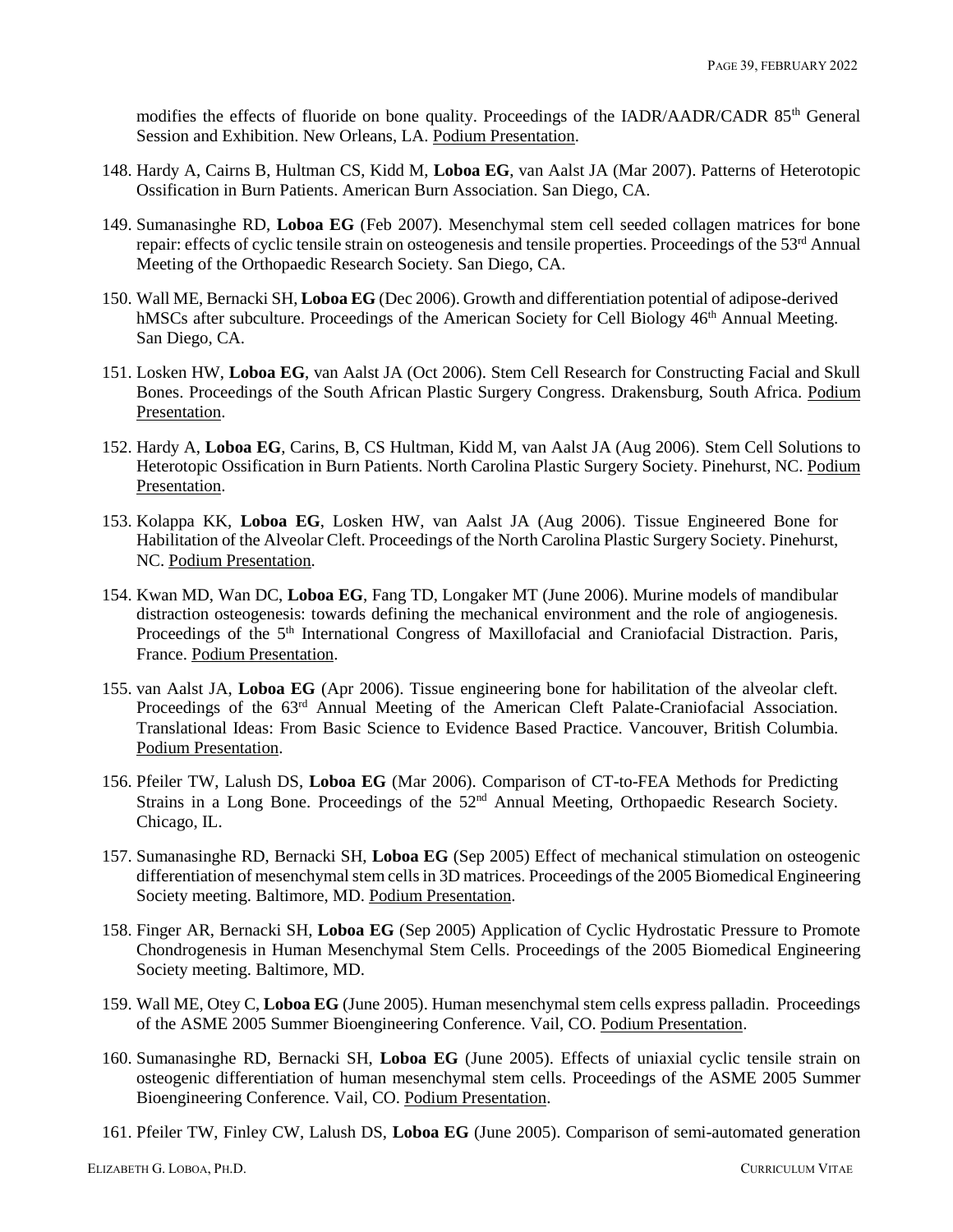modifies the effects of fluoride on bone quality. Proceedings of the IADR/AADR/CADR 85<sup>th</sup> General Session and Exhibition. New Orleans, LA. Podium Presentation.

- 148. Hardy A, Cairns B, Hultman CS, Kidd M, **Loboa EG**, van Aalst JA (Mar 2007). Patterns of Heterotopic Ossification in Burn Patients. American Burn Association. San Diego, CA.
- 149. Sumanasinghe RD, **Loboa EG** (Feb 2007). Mesenchymal stem cell seeded collagen matrices for bone repair: effects of cyclic tensile strain on osteogenesis and tensile properties. Proceedings of the 53<sup>rd</sup> Annual Meeting of the Orthopaedic Research Society. San Diego, CA.
- 150. Wall ME, Bernacki SH, **Loboa EG** (Dec 2006). Growth and differentiation potential of adipose-derived hMSCs after subculture. Proceedings of the American Society for Cell Biology 46<sup>th</sup> Annual Meeting. San Diego, CA.
- 151. Losken HW, **Loboa EG**, van Aalst JA (Oct 2006). Stem Cell Research for Constructing Facial and Skull Bones. Proceedings of the South African Plastic Surgery Congress. Drakensburg, South Africa. Podium Presentation.
- 152. Hardy A, **Loboa EG**, Carins, B, CS Hultman, Kidd M, van Aalst JA (Aug 2006). Stem Cell Solutions to Heterotopic Ossification in Burn Patients. North Carolina Plastic Surgery Society. Pinehurst, NC. Podium Presentation.
- 153. Kolappa KK, **Loboa EG**, Losken HW, van Aalst JA (Aug 2006). Tissue Engineered Bone for Habilitation of the Alveolar Cleft. Proceedings of the North Carolina Plastic Surgery Society. Pinehurst, NC. Podium Presentation.
- 154. Kwan MD, Wan DC, **Loboa EG**, Fang TD, Longaker MT (June 2006). Murine models of mandibular distraction osteogenesis: towards defining the mechanical environment and the role of angiogenesis. Proceedings of the 5<sup>th</sup> International Congress of Maxillofacial and Craniofacial Distraction. Paris, France. Podium Presentation.
- 155. van Aalst JA, **Loboa EG** (Apr 2006). Tissue engineering bone for habilitation of the alveolar cleft. Proceedings of the 63<sup>rd</sup> Annual Meeting of the American Cleft Palate-Craniofacial Association. Translational Ideas: From Basic Science to Evidence Based Practice. Vancouver, British Columbia. Podium Presentation.
- 156. Pfeiler TW, Lalush DS, **Loboa EG** (Mar 2006). Comparison of CT-to-FEA Methods for Predicting Strains in a Long Bone. Proceedings of the 52<sup>nd</sup> Annual Meeting, Orthopaedic Research Society. Chicago, IL.
- 157. Sumanasinghe RD, Bernacki SH, **Loboa EG** (Sep 2005) Effect of mechanical stimulation on osteogenic differentiation of mesenchymal stem cells in 3D matrices. Proceedings of the 2005 Biomedical Engineering Society meeting. Baltimore, MD. Podium Presentation.
- 158. Finger AR, Bernacki SH, **Loboa EG** (Sep 2005) Application of Cyclic Hydrostatic Pressure to Promote Chondrogenesis in Human Mesenchymal Stem Cells. Proceedings of the 2005 Biomedical Engineering Society meeting. Baltimore, MD.
- 159. Wall ME, Otey C, **Loboa EG** (June 2005). Human mesenchymal stem cells express palladin. Proceedings of the ASME 2005 Summer Bioengineering Conference. Vail, CO. Podium Presentation.
- 160. Sumanasinghe RD, Bernacki SH, **Loboa EG** (June 2005). Effects of uniaxial cyclic tensile strain on osteogenic differentiation of human mesenchymal stem cells. Proceedings of the ASME 2005 Summer Bioengineering Conference. Vail, CO. Podium Presentation.
- 161. Pfeiler TW, Finley CW, Lalush DS, **Loboa EG** (June 2005). Comparison of semi-automated generation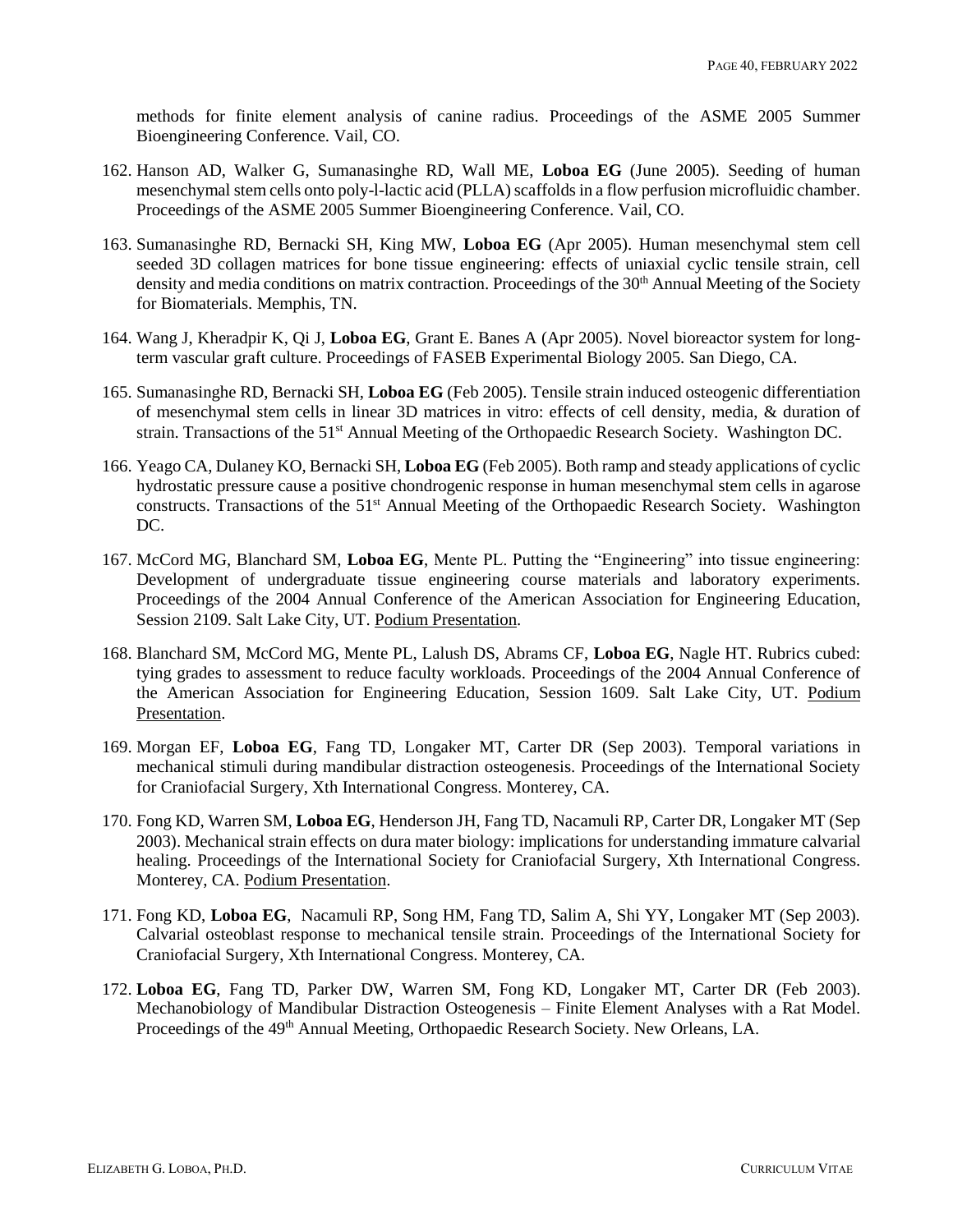methods for finite element analysis of canine radius. Proceedings of the ASME 2005 Summer Bioengineering Conference. Vail, CO.

- 162. Hanson AD, Walker G, Sumanasinghe RD, Wall ME, **Loboa EG** (June 2005). Seeding of human mesenchymal stem cells onto poly-l-lactic acid (PLLA) scaffolds in a flow perfusion microfluidic chamber. Proceedings of the ASME 2005 Summer Bioengineering Conference. Vail, CO.
- 163. Sumanasinghe RD, Bernacki SH, King MW, **Loboa EG** (Apr 2005). Human mesenchymal stem cell seeded 3D collagen matrices for bone tissue engineering: effects of uniaxial cyclic tensile strain, cell density and media conditions on matrix contraction. Proceedings of the 30<sup>th</sup> Annual Meeting of the Society for Biomaterials. Memphis, TN.
- 164. Wang J, Kheradpir K, Qi J, **Loboa EG**, Grant E. Banes A (Apr 2005). Novel bioreactor system for longterm vascular graft culture. Proceedings of FASEB Experimental Biology 2005. San Diego, CA.
- 165. Sumanasinghe RD, Bernacki SH, **Loboa EG** (Feb 2005). Tensile strain induced osteogenic differentiation of mesenchymal stem cells in linear 3D matrices in vitro: effects of cell density, media, & duration of strain. Transactions of the 51<sup>st</sup> Annual Meeting of the Orthopaedic Research Society. Washington DC.
- 166. Yeago CA, Dulaney KO, Bernacki SH, **Loboa EG** (Feb 2005). Both ramp and steady applications of cyclic hydrostatic pressure cause a positive chondrogenic response in human mesenchymal stem cells in agarose constructs. Transactions of the 51<sup>st</sup> Annual Meeting of the Orthopaedic Research Society. Washington DC.
- 167. McCord MG, Blanchard SM, **Loboa EG**, Mente PL. Putting the "Engineering" into tissue engineering: Development of undergraduate tissue engineering course materials and laboratory experiments. Proceedings of the 2004 Annual Conference of the American Association for Engineering Education, Session 2109. Salt Lake City, UT. Podium Presentation.
- 168. Blanchard SM, McCord MG, Mente PL, Lalush DS, Abrams CF, **Loboa EG**, Nagle HT. Rubrics cubed: tying grades to assessment to reduce faculty workloads. Proceedings of the 2004 Annual Conference of the American Association for Engineering Education, Session 1609. Salt Lake City, UT. Podium Presentation.
- 169. Morgan EF, **Loboa EG**, Fang TD, Longaker MT, Carter DR (Sep 2003). Temporal variations in mechanical stimuli during mandibular distraction osteogenesis. Proceedings of the International Society for Craniofacial Surgery, Xth International Congress. Monterey, CA.
- 170. Fong KD, Warren SM, **Loboa EG**, Henderson JH, Fang TD, Nacamuli RP, Carter DR, Longaker MT (Sep 2003). Mechanical strain effects on dura mater biology: implications for understanding immature calvarial healing. Proceedings of the International Society for Craniofacial Surgery, Xth International Congress. Monterey, CA. Podium Presentation.
- 171. Fong KD, **Loboa EG**, Nacamuli RP, Song HM, Fang TD, Salim A, Shi YY, Longaker MT (Sep 2003). Calvarial osteoblast response to mechanical tensile strain. Proceedings of the International Society for Craniofacial Surgery, Xth International Congress. Monterey, CA.
- 172. **Loboa EG**, Fang TD, Parker DW, Warren SM, Fong KD, Longaker MT, Carter DR (Feb 2003). Mechanobiology of Mandibular Distraction Osteogenesis – Finite Element Analyses with a Rat Model. Proceedings of the 49<sup>th</sup> Annual Meeting, Orthopaedic Research Society. New Orleans, LA.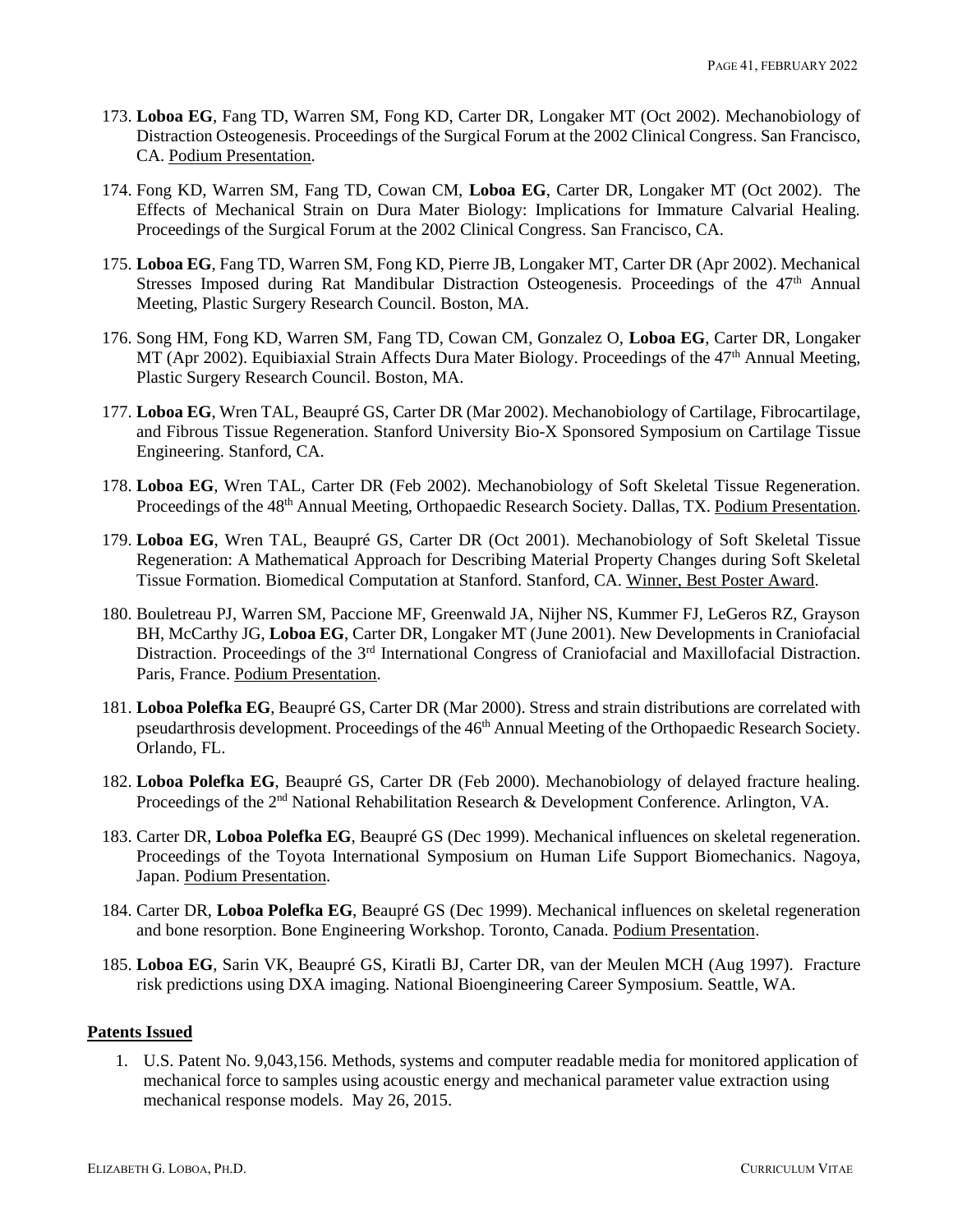- 173. **Loboa EG**, Fang TD, Warren SM, Fong KD, Carter DR, Longaker MT (Oct 2002). Mechanobiology of Distraction Osteogenesis. Proceedings of the Surgical Forum at the 2002 Clinical Congress. San Francisco, CA. Podium Presentation.
- 174. Fong KD, Warren SM, Fang TD, Cowan CM, **Loboa EG**, Carter DR, Longaker MT (Oct 2002). The Effects of Mechanical Strain on Dura Mater Biology: Implications for Immature Calvarial Healing. Proceedings of the Surgical Forum at the 2002 Clinical Congress. San Francisco, CA.
- 175. **Loboa EG**, Fang TD, Warren SM, Fong KD, Pierre JB, Longaker MT, Carter DR (Apr 2002). Mechanical Stresses Imposed during Rat Mandibular Distraction Osteogenesis. Proceedings of the 47<sup>th</sup> Annual Meeting, Plastic Surgery Research Council. Boston, MA.
- 176. Song HM, Fong KD, Warren SM, Fang TD, Cowan CM, Gonzalez O, **Loboa EG**, Carter DR, Longaker MT (Apr 2002). Equibiaxial Strain Affects Dura Mater Biology. Proceedings of the 47<sup>th</sup> Annual Meeting, Plastic Surgery Research Council. Boston, MA.
- 177. **Loboa EG**, Wren TAL, Beaupré GS, Carter DR (Mar 2002). Mechanobiology of Cartilage, Fibrocartilage, and Fibrous Tissue Regeneration. Stanford University Bio-X Sponsored Symposium on Cartilage Tissue Engineering. Stanford, CA.
- 178. **Loboa EG**, Wren TAL, Carter DR (Feb 2002). Mechanobiology of Soft Skeletal Tissue Regeneration. Proceedings of the 48<sup>th</sup> Annual Meeting, Orthopaedic Research Society. Dallas, TX. Podium Presentation.
- 179. **Loboa EG**, Wren TAL, Beaupré GS, Carter DR (Oct 2001). Mechanobiology of Soft Skeletal Tissue Regeneration: A Mathematical Approach for Describing Material Property Changes during Soft Skeletal Tissue Formation. Biomedical Computation at Stanford. Stanford, CA. Winner, Best Poster Award.
- 180. Bouletreau PJ, Warren SM, Paccione MF, Greenwald JA, Nijher NS, Kummer FJ, LeGeros RZ, Grayson BH, McCarthy JG, **Loboa EG**, Carter DR, Longaker MT (June 2001). New Developments in Craniofacial Distraction. Proceedings of the 3<sup>rd</sup> International Congress of Craniofacial and Maxillofacial Distraction. Paris, France. Podium Presentation.
- 181. **Loboa Polefka EG**, Beaupré GS, Carter DR (Mar 2000). Stress and strain distributions are correlated with pseudarthrosis development. Proceedings of the 46<sup>th</sup> Annual Meeting of the Orthopaedic Research Society. Orlando, FL.
- 182. **Loboa Polefka EG**, Beaupré GS, Carter DR (Feb 2000). Mechanobiology of delayed fracture healing. Proceedings of the 2<sup>nd</sup> National Rehabilitation Research & Development Conference. Arlington, VA.
- 183. Carter DR, **Loboa Polefka EG**, Beaupré GS (Dec 1999). Mechanical influences on skeletal regeneration. Proceedings of the Toyota International Symposium on Human Life Support Biomechanics. Nagoya, Japan. Podium Presentation.
- 184. Carter DR, **Loboa Polefka EG**, Beaupré GS (Dec 1999). Mechanical influences on skeletal regeneration and bone resorption. Bone Engineering Workshop. Toronto, Canada. Podium Presentation.
- 185. **Loboa EG**, Sarin VK, Beaupré GS, Kiratli BJ, Carter DR, van der Meulen MCH (Aug 1997). Fracture risk predictions using DXA imaging. National Bioengineering Career Symposium. Seattle, WA.

### **Patents Issued**

1. U.S. Patent No. 9,043,156. Methods, systems and computer readable media for monitored application of mechanical force to samples using acoustic energy and mechanical parameter value extraction using mechanical response models. May 26, 2015.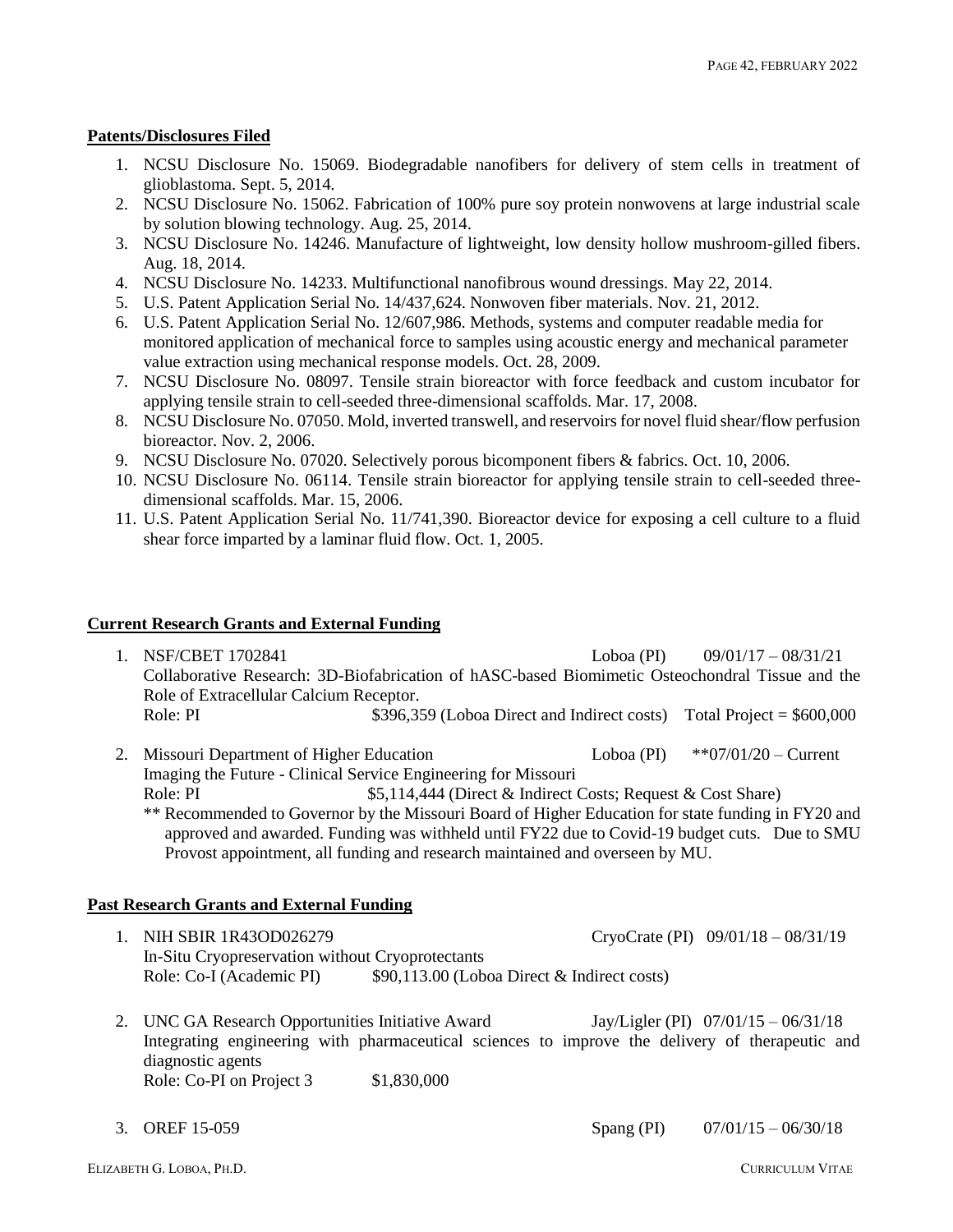# **Patents/Disclosures Filed**

- 1. NCSU Disclosure No. 15069. Biodegradable nanofibers for delivery of stem cells in treatment of glioblastoma. Sept. 5, 2014.
- 2. NCSU Disclosure No. 15062. Fabrication of 100% pure soy protein nonwovens at large industrial scale by solution blowing technology. Aug. 25, 2014.
- 3. NCSU Disclosure No. 14246. Manufacture of lightweight, low density hollow mushroom-gilled fibers. Aug. 18, 2014.
- 4. NCSU Disclosure No. 14233. Multifunctional nanofibrous wound dressings. May 22, 2014.
- 5. U.S. Patent Application Serial No. 14/437,624. Nonwoven fiber materials. Nov. 21, 2012.
- 6. U.S. Patent Application Serial No. 12/607,986. Methods, systems and computer readable media for monitored application of mechanical force to samples using acoustic energy and mechanical parameter value extraction using mechanical response models. Oct. 28, 2009.
- 7. NCSU Disclosure No. 08097. Tensile strain bioreactor with force feedback and custom incubator for applying tensile strain to cell-seeded three-dimensional scaffolds. Mar. 17, 2008.
- 8. NCSU Disclosure No. 07050. Mold, inverted transwell, and reservoirs for novel fluid shear/flow perfusion bioreactor. Nov. 2, 2006.
- 9. NCSU Disclosure No. 07020. Selectively porous bicomponent fibers & fabrics. Oct. 10, 2006.
- 10. NCSU Disclosure No. 06114. Tensile strain bioreactor for applying tensile strain to cell-seeded threedimensional scaffolds. Mar. 15, 2006.
- 11. U.S. Patent Application Serial No. 11/741,390. Bioreactor device for exposing a cell culture to a fluid shear force imparted by a laminar fluid flow. Oct. 1, 2005.

#### **Current Research Grants and External Funding**

- 1. NSF/CBET 1702841 Loboa (PI) 09/01/17 08/31/21 Collaborative Research: 3D-Biofabrication of hASC-based Biomimetic Osteochondral Tissue and the Role of Extracellular Calcium Receptor. Role: PI  $$396,359$  (Loboa Direct and Indirect costs) Total Project = \$600,000
- 2. Missouri Department of Higher Education Loboa (PI) \*\*07/01/20 Current Imaging the Future - Clinical Service Engineering for Missouri Role: PI  $$5,114,444$  (Direct & Indirect Costs; Request & Cost Share) \*\* Recommended to Governor by the Missouri Board of Higher Education for state funding in FY20 and approved and awarded. Funding was withheld until FY22 due to Covid-19 budget cuts. Due to SMU Provost appointment, all funding and research maintained and overseen by MU.

#### **Past Research Grants and External Funding**

- 1. NIH SBIR 1R43OD026279 CryoCrate (PI) 09/01/18 08/31/19 In-Situ Cryopreservation without Cryoprotectants Role: Co-I (Academic PI) \$90,113.00 (Loboa Direct & Indirect costs)
- 2. UNC GA Research Opportunities Initiative Award Jay/Ligler (PI) 07/01/15 06/31/18 Integrating engineering with pharmaceutical sciences to improve the delivery of therapeutic and diagnostic agents Role: Co-PI on Project 3  $$1,830,000$

3. OREF 15-059 Spang (PI) 07/01/15 – 06/30/18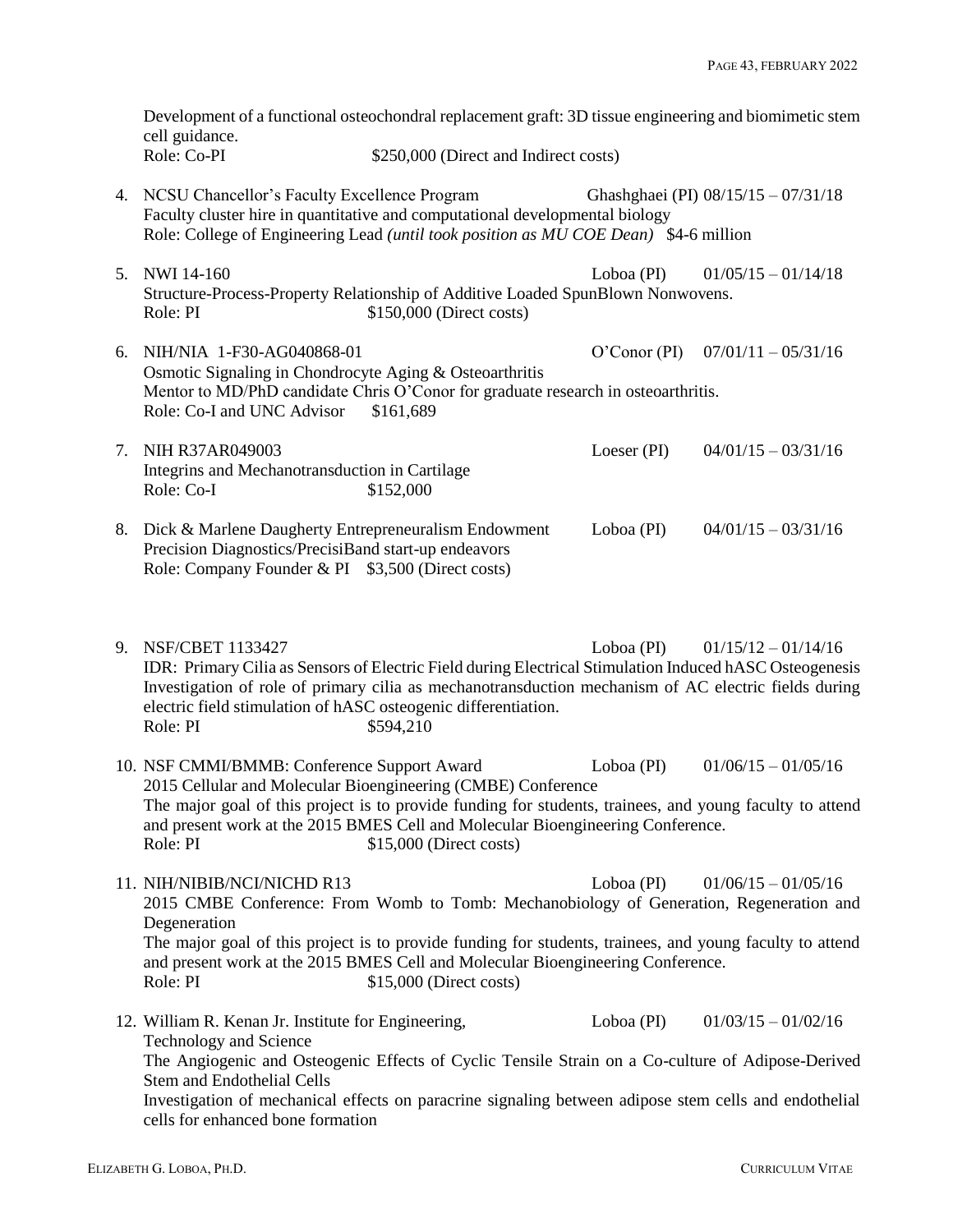Development of a functional osteochondral replacement graft: 3D tissue engineering and biomimetic stem cell guidance.<br>Role: Co-PI \$250,000 (Direct and Indirect costs)

- 4. NCSU Chancellor's Faculty Excellence Program Ghashghaei (PI) 08/15/15 07/31/18 Faculty cluster hire in quantitative and computational developmental biology Role: College of Engineering Lead *(until took position as MU COE Dean)* \$4-6 million
- 5. NWI 14-160 Loboa (PI) 01/05/15 01/14/18 Structure-Process-Property Relationship of Additive Loaded SpunBlown Nonwovens. Role: PI  $$150,000$  (Direct costs)
- 6. NIH/NIA 1-F30-AG040868-01 O'Conor (PI) 07/01/11 05/31/16 Osmotic Signaling in Chondrocyte Aging & Osteoarthritis Mentor to MD/PhD candidate Chris O'Conor for graduate research in osteoarthritis. Role: Co-I and UNC Advisor \$161,689
- 7. NIH R37AR049003 Loeser (PI) 04/01/15 03/31/16 Integrins and Mechanotransduction in Cartilage Role: Co-I \$152,000 8. Dick & Marlene Daugherty Entrepreneuralism Endowment Loboa (PI) 04/01/15 – 03/31/16 Precision Diagnostics/PrecisiBand start-up endeavors
	- Role: Company Founder & PI \$3,500 (Direct costs)
- 9. NSF/CBET 1133427 Loboa (PI) 01/15/12 01/14/16 IDR: Primary Cilia as Sensors of Electric Field during Electrical Stimulation Induced hASC Osteogenesis Investigation of role of primary cilia as mechanotransduction mechanism of AC electric fields during electric field stimulation of hASC osteogenic differentiation. Role: PI \$594,210
- 10. NSF CMMI/BMMB: Conference Support Award Loboa (PI) 01/06/15 01/05/16 2015 Cellular and Molecular Bioengineering (CMBE) Conference The major goal of this project is to provide funding for students, trainees, and young faculty to attend and present work at the 2015 BMES Cell and Molecular Bioengineering Conference. Role: PI  $$15,000$  (Direct costs)
- 11. NIH/NIBIB/NCI/NICHD R13 Loboa (PI) 01/06/15 01/05/16 2015 CMBE Conference: From Womb to Tomb: Mechanobiology of Generation, Regeneration and Degeneration The major goal of this project is to provide funding for students, trainees, and young faculty to attend and present work at the 2015 BMES Cell and Molecular Bioengineering Conference. Role: PI  $$15,000$  (Direct costs)
- 12. William R. Kenan Jr. Institute for Engineering, Loboa (PI) 01/03/15 01/02/16 Technology and Science The Angiogenic and Osteogenic Effects of Cyclic Tensile Strain on a Co-culture of Adipose-Derived Stem and Endothelial Cells Investigation of mechanical effects on paracrine signaling between adipose stem cells and endothelial cells for enhanced bone formation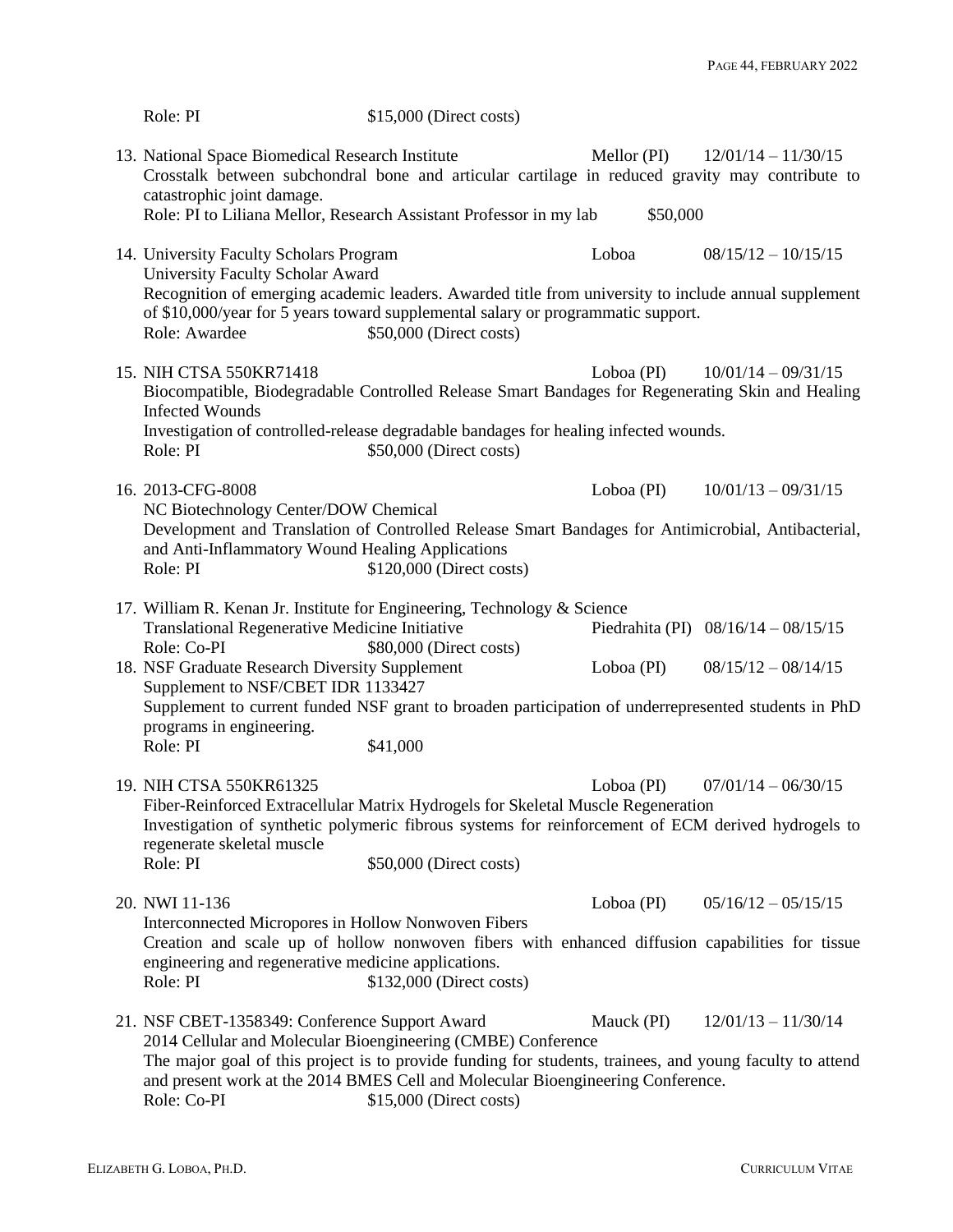| Role: PI                                                                                                                                                                                                                                                                                                                     | $$15,000$ (Direct costs)                                                                           |            |                                       |  |
|------------------------------------------------------------------------------------------------------------------------------------------------------------------------------------------------------------------------------------------------------------------------------------------------------------------------------|----------------------------------------------------------------------------------------------------|------------|---------------------------------------|--|
| 13. National Space Biomedical Research Institute<br>Crosstalk between subchondral bone and articular cartilage in reduced gravity may contribute to<br>catastrophic joint damage.                                                                                                                                            |                                                                                                    |            | Mellor (PI) $12/01/14 - 11/30/15$     |  |
| Role: PI to Liliana Mellor, Research Assistant Professor in my lab<br>\$50,000                                                                                                                                                                                                                                               |                                                                                                    |            |                                       |  |
| 14. University Faculty Scholars Program                                                                                                                                                                                                                                                                                      |                                                                                                    | Loboa      | $08/15/12 - 10/15/15$                 |  |
| University Faculty Scholar Award<br>Recognition of emerging academic leaders. Awarded title from university to include annual supplement<br>of \$10,000/year for 5 years toward supplemental salary or programmatic support.<br>Role: Awardee<br>\$50,000 (Direct costs)                                                     |                                                                                                    |            |                                       |  |
| 15. NIH CTSA 550KR71418<br>Biocompatible, Biodegradable Controlled Release Smart Bandages for Regenerating Skin and Healing<br><b>Infected Wounds</b>                                                                                                                                                                        |                                                                                                    | Loboa (PI) | $10/01/14 - 09/31/15$                 |  |
| Investigation of controlled-release degradable bandages for healing infected wounds.<br>Role: PI                                                                                                                                                                                                                             | \$50,000 (Direct costs)                                                                            |            |                                       |  |
| 16. 2013-CFG-8008<br>NC Biotechnology Center/DOW Chemical                                                                                                                                                                                                                                                                    |                                                                                                    | Loboa (PI) | $10/01/13 - 09/31/15$                 |  |
| Development and Translation of Controlled Release Smart Bandages for Antimicrobial, Antibacterial,<br>and Anti-Inflammatory Wound Healing Applications<br>\$120,000 (Direct costs)<br>Role: PI                                                                                                                               |                                                                                                    |            |                                       |  |
| 17. William R. Kenan Jr. Institute for Engineering, Technology & Science<br>Translational Regenerative Medicine Initiative<br>Role: Co-PI                                                                                                                                                                                    | \$80,000 (Direct costs)                                                                            |            | Piedrahita (PI) $08/16/14 - 08/15/15$ |  |
| 18. NSF Graduate Research Diversity Supplement                                                                                                                                                                                                                                                                               |                                                                                                    | Loboa (PI) | $08/15/12 - 08/14/15$                 |  |
| Supplement to NSF/CBET IDR 1133427<br>Supplement to current funded NSF grant to broaden participation of underrepresented students in PhD                                                                                                                                                                                    |                                                                                                    |            |                                       |  |
| programs in engineering.<br>Role: PI                                                                                                                                                                                                                                                                                         | \$41,000                                                                                           |            |                                       |  |
| 19. NIH CTSA 550KR61325<br>Fiber-Reinforced Extracellular Matrix Hydrogels for Skeletal Muscle Regeneration<br>regenerate skeletal muscle                                                                                                                                                                                    | Investigation of synthetic polymeric fibrous systems for reinforcement of ECM derived hydrogels to |            | Loboa (PI) $07/01/14 - 06/30/15$      |  |
| Role: PI                                                                                                                                                                                                                                                                                                                     | \$50,000 (Direct costs)                                                                            |            |                                       |  |
| 20. NWI 11-136<br>Interconnected Micropores in Hollow Nonwoven Fibers                                                                                                                                                                                                                                                        |                                                                                                    | Loboa (PI) | $05/16/12 - 05/15/15$                 |  |
| Creation and scale up of hollow nonwoven fibers with enhanced diffusion capabilities for tissue<br>engineering and regenerative medicine applications.<br>Role: PI                                                                                                                                                           | \$132,000 (Direct costs)                                                                           |            |                                       |  |
| 21. NSF CBET-1358349: Conference Support Award<br>2014 Cellular and Molecular Bioengineering (CMBE) Conference<br>The major goal of this project is to provide funding for students, trainees, and young faculty to attend<br>and present work at the 2014 BMES Cell and Molecular Bioengineering Conference.<br>Role: Co-PI | \$15,000 (Direct costs)                                                                            | Mauck (PI) | $12/01/13 - 11/30/14$                 |  |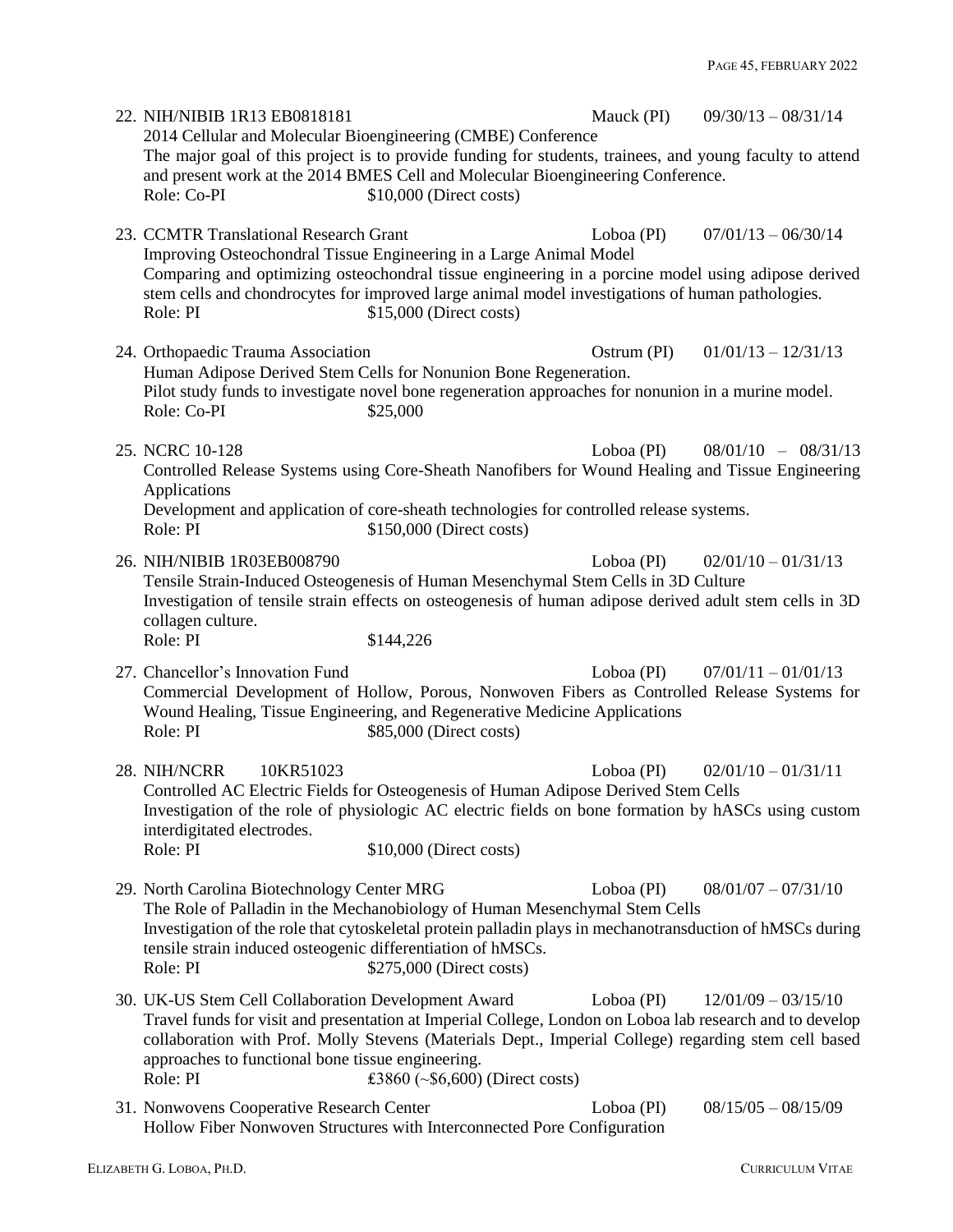| 22. NIH/NIBIB 1R13 EB0818181<br>Role: Co-PI                                                                                                                                                                                                                                                                                                                                                                           | 2014 Cellular and Molecular Bioengineering (CMBE) Conference<br>The major goal of this project is to provide funding for students, trainees, and young faculty to attend<br>and present work at the 2014 BMES Cell and Molecular Bioengineering Conference.<br>\$10,000 (Direct costs)                  |               | Mauck (PI) $09/30/13 - 08/31/14$ |  |
|-----------------------------------------------------------------------------------------------------------------------------------------------------------------------------------------------------------------------------------------------------------------------------------------------------------------------------------------------------------------------------------------------------------------------|---------------------------------------------------------------------------------------------------------------------------------------------------------------------------------------------------------------------------------------------------------------------------------------------------------|---------------|----------------------------------|--|
| 23. CCMTR Translational Research Grant<br>Role: PI                                                                                                                                                                                                                                                                                                                                                                    | Improving Osteochondral Tissue Engineering in a Large Animal Model<br>Comparing and optimizing osteochondral tissue engineering in a porcine model using adipose derived<br>stem cells and chondrocytes for improved large animal model investigations of human pathologies.<br>\$15,000 (Direct costs) | Loboa (PI)    | $07/01/13 - 06/30/14$            |  |
| 24. Orthopaedic Trauma Association<br>Role: Co-PI                                                                                                                                                                                                                                                                                                                                                                     | Human Adipose Derived Stem Cells for Nonunion Bone Regeneration.<br>Pilot study funds to investigate novel bone regeneration approaches for nonunion in a murine model.<br>\$25,000                                                                                                                     | $Ostrum$ (PI) | $01/01/13 - 12/31/13$            |  |
| 25. NCRC 10-128<br>Applications<br>Role: PI                                                                                                                                                                                                                                                                                                                                                                           | Controlled Release Systems using Core-Sheath Nanofibers for Wound Healing and Tissue Engineering<br>Development and application of core-sheath technologies for controlled release systems.<br>\$150,000 (Direct costs)                                                                                 | $Loboa$ (PI)  | $08/01/10 - 08/31/13$            |  |
| 26. NIH/NIBIB 1R03EB008790<br>collagen culture.<br>Role: PI                                                                                                                                                                                                                                                                                                                                                           | Tensile Strain-Induced Osteogenesis of Human Mesenchymal Stem Cells in 3D Culture<br>Investigation of tensile strain effects on osteogenesis of human adipose derived adult stem cells in 3D<br>\$144,226                                                                                               | Loboa (PI)    | $02/01/10 - 01/31/13$            |  |
| 27. Chancellor's Innovation Fund<br>Role: PI                                                                                                                                                                                                                                                                                                                                                                          | Commercial Development of Hollow, Porous, Nonwoven Fibers as Controlled Release Systems for<br>Wound Healing, Tissue Engineering, and Regenerative Medicine Applications<br>\$85,000 (Direct costs)                                                                                                     | $Loboa$ (PI)  | $07/01/11 - 01/01/13$            |  |
| 28. NIH/NCRR<br>10KR51023<br>interdigitated electrodes.<br>Role: PI                                                                                                                                                                                                                                                                                                                                                   | Controlled AC Electric Fields for Osteogenesis of Human Adipose Derived Stem Cells<br>Investigation of the role of physiologic AC electric fields on bone formation by hASCs using custom<br>$$10,000$ (Direct costs)                                                                                   | Loboa (PI)    | $02/01/10 - 01/31/11$            |  |
| 29. North Carolina Biotechnology Center MRG<br>Loboa (PI)<br>$08/01/07 - 07/31/10$<br>The Role of Palladin in the Mechanobiology of Human Mesenchymal Stem Cells<br>Investigation of the role that cytoskeletal protein palladin plays in mechanotransduction of hMSCs during<br>tensile strain induced osteogenic differentiation of hMSCs.<br>Role: PI<br>$$275,000$ (Direct costs)                                 |                                                                                                                                                                                                                                                                                                         |               |                                  |  |
| 30. UK-US Stem Cell Collaboration Development Award<br>Loboa (PI)<br>$12/01/09 - 03/15/10$<br>Travel funds for visit and presentation at Imperial College, London on Loboa lab research and to develop<br>collaboration with Prof. Molly Stevens (Materials Dept., Imperial College) regarding stem cell based<br>approaches to functional bone tissue engineering.<br>Role: PI<br>£3860 (~ $$6,600$ ) (Direct costs) |                                                                                                                                                                                                                                                                                                         |               |                                  |  |
| 31. Nonwovens Cooperative Research Center                                                                                                                                                                                                                                                                                                                                                                             | Hollow Fiber Nonwoven Structures with Interconnected Pore Configuration                                                                                                                                                                                                                                 | Loboa (PI)    | $08/15/05 - 08/15/09$            |  |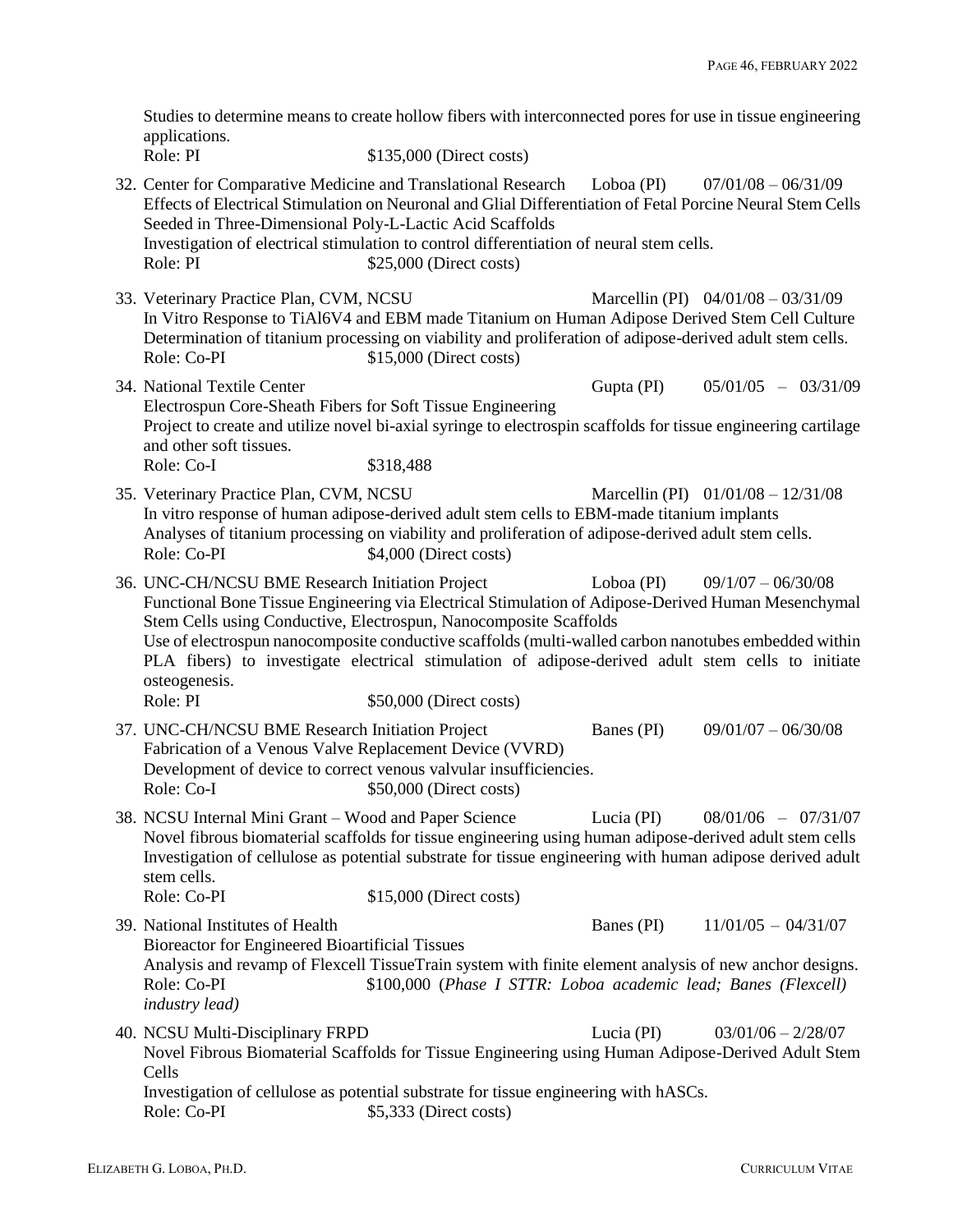Studies to determine means to create hollow fibers with interconnected pores for use in tissue engineering applications.<br>Role: PI \$135,000 (Direct costs)

32. Center for Comparative Medicine and Translational Research Loboa (PI) 07/01/08 – 06/31/09 Effects of Electrical Stimulation on Neuronal and Glial Differentiation of Fetal Porcine Neural Stem Cells Seeded in Three-Dimensional Poly-L-Lactic Acid Scaffolds Investigation of electrical stimulation to control differentiation of neural stem cells. Role: PI  $$25,000$  (Direct costs) 33. Veterinary Practice Plan, CVM, NCSU Marcellin (PI) 04/01/08 – 03/31/09 In Vitro Response to TiAl6V4 and EBM made Titanium on Human Adipose Derived Stem Cell Culture Determination of titanium processing on viability and proliferation of adipose-derived adult stem cells. Role: Co-PI  $$15,000$  (Direct costs) 34. National Textile Center Gupta (PI) 05/01/05 – 03/31/09 Electrospun Core-Sheath Fibers for Soft Tissue Engineering Project to create and utilize novel bi-axial syringe to electrospin scaffolds for tissue engineering cartilage and other soft tissues. Role: Co-I \$318,488 35. Veterinary Practice Plan, CVM, NCSU Marcellin (PI) 01/01/08 – 12/31/08 In vitro response of human adipose-derived adult stem cells to EBM-made titanium implants Analyses of titanium processing on viability and proliferation of adipose-derived adult stem cells. Role: Co-PI  $$4,000$  (Direct costs) 36. UNC-CH/NCSU BME Research Initiation Project Loboa (PI) 09/1/07 – 06/30/08 Functional Bone Tissue Engineering via Electrical Stimulation of Adipose-Derived Human Mesenchymal Stem Cells using Conductive, Electrospun, Nanocomposite Scaffolds Use of electrospun nanocomposite conductive scaffolds (multi-walled carbon nanotubes embedded within PLA fibers) to investigate electrical stimulation of adipose-derived adult stem cells to initiate osteogenesis. Role: PI  $$50,000$  (Direct costs) 37. UNC-CH/NCSU BME Research Initiation Project Banes (PI) 09/01/07 – 06/30/08 Fabrication of a Venous Valve Replacement Device (VVRD) Development of device to correct venous valvular insufficiencies. Role: Co-I  $$50,000$  (Direct costs) 38. NCSU Internal Mini Grant – Wood and Paper Science Lucia (PI) 08/01/06 – 07/31/07 Novel fibrous biomaterial scaffolds for tissue engineering using human adipose-derived adult stem cells Investigation of cellulose as potential substrate for tissue engineering with human adipose derived adult stem cells. Role: Co-PI  $$15,000$  (Direct costs) 39. National Institutes of Health Banes (PI)  $11/01/05 - 04/31/07$ Bioreactor for Engineered Bioartificial Tissues Analysis and revamp of Flexcell TissueTrain system with finite element analysis of new anchor designs. Role: Co-PI \$100,000 (*Phase I STTR: Loboa academic lead; Banes (Flexcell) industry lead)* 40. NCSU Multi-Disciplinary FRPD Lucia (PI) 03/01/06 – 2/28/07 Novel Fibrous Biomaterial Scaffolds for Tissue Engineering using Human Adipose-Derived Adult Stem Cells Investigation of cellulose as potential substrate for tissue engineering with hASCs. Role: Co-PI  $$5,333$  (Direct costs)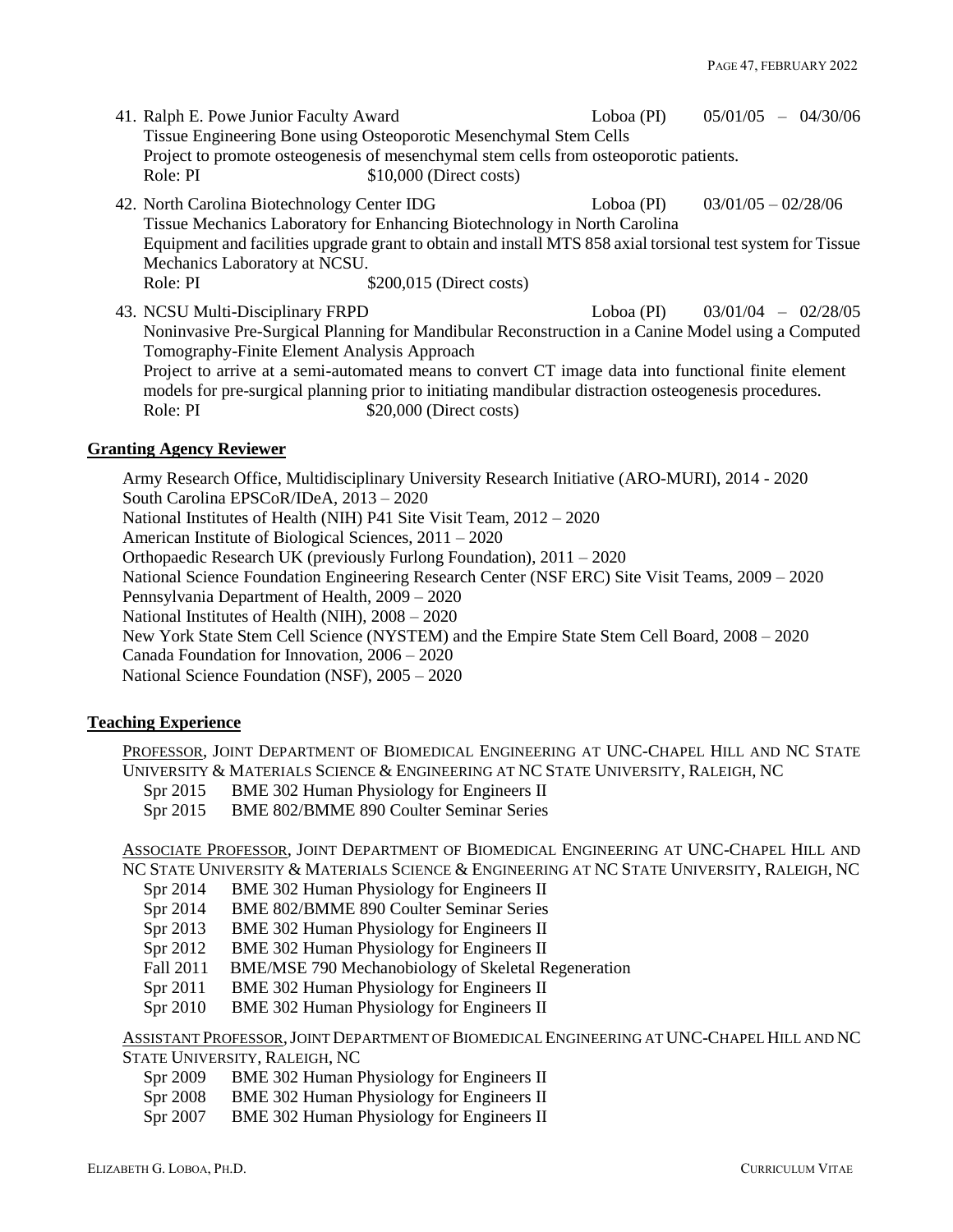- 41. Ralph E. Powe Junior Faculty Award Loboa (PI) 05/01/05 04/30/06 Tissue Engineering Bone using Osteoporotic Mesenchymal Stem Cells Project to promote osteogenesis of mesenchymal stem cells from osteoporotic patients. Role: PI  $$10,000$  (Direct costs)
- 42. North Carolina Biotechnology Center IDG Loboa (PI) 03/01/05 02/28/06 Tissue Mechanics Laboratory for Enhancing Biotechnology in North Carolina Equipment and facilities upgrade grant to obtain and install MTS 858 axial torsional test system for Tissue Mechanics Laboratory at NCSU. Role: PI  $$200,015$  (Direct costs)
- 43. NCSU Multi-Disciplinary FRPD Loboa (PI) 03/01/04 02/28/05 Noninvasive Pre-Surgical Planning for Mandibular Reconstruction in a Canine Model using a Computed Tomography-Finite Element Analysis Approach Project to arrive at a semi-automated means to convert CT image data into functional finite element models for pre-surgical planning prior to initiating mandibular distraction osteogenesis procedures. Role: PI  $$20,000$  (Direct costs)

### **Granting Agency Reviewer**

Army Research Office, Multidisciplinary University Research Initiative (ARO-MURI), 2014 - 2020 South Carolina EPSCoR/IDeA, 2013 – 2020 National Institutes of Health (NIH) P41 Site Visit Team, 2012 – 2020 American Institute of Biological Sciences, 2011 – 2020 Orthopaedic Research UK (previously Furlong Foundation), 2011 – 2020 National Science Foundation Engineering Research Center (NSF ERC) Site Visit Teams, 2009 – 2020 Pennsylvania Department of Health, 2009 – 2020 National Institutes of Health (NIH), 2008 – 2020 New York State Stem Cell Science (NYSTEM) and the Empire State Stem Cell Board, 2008 – 2020 Canada Foundation for Innovation, 2006 – 2020 National Science Foundation (NSF), 2005 – 2020

# **Teaching Experience**

PROFESSOR, JOINT DEPARTMENT OF BIOMEDICAL ENGINEERING AT UNC-CHAPEL HILL AND NC STATE UNIVERSITY & MATERIALS SCIENCE & ENGINEERING AT NC STATE UNIVERSITY, RALEIGH, NC

Spr 2015 BME 302 Human Physiology for Engineers II

Spr 2015 BME 802/BMME 890 Coulter Seminar Series

ASSOCIATE PROFESSOR, JOINT DEPARTMENT OF BIOMEDICAL ENGINEERING AT UNC-CHAPEL HILL AND NC STATE UNIVERSITY & MATERIALS SCIENCE & ENGINEERING AT NC STATE UNIVERSITY, RALEIGH, NC

- Spr 2014 BME 302 Human Physiology for Engineers II
- Spr 2014 BME 802/BMME 890 Coulter Seminar Series
- Spr 2013 BME 302 Human Physiology for Engineers II
- Spr 2012 BME 302 Human Physiology for Engineers II
- Fall 2011 BME/MSE 790 Mechanobiology of Skeletal Regeneration
- Spr 2011 BME 302 Human Physiology for Engineers II
- Spr 2010 BME 302 Human Physiology for Engineers II

ASSISTANT PROFESSOR,JOINT DEPARTMENT OF BIOMEDICAL ENGINEERING AT UNC-CHAPEL HILL AND NC STATE UNIVERSITY, RALEIGH, NC

- Spr 2009 BME 302 Human Physiology for Engineers II
- Spr 2008 BME 302 Human Physiology for Engineers II
- Spr 2007 BME 302 Human Physiology for Engineers II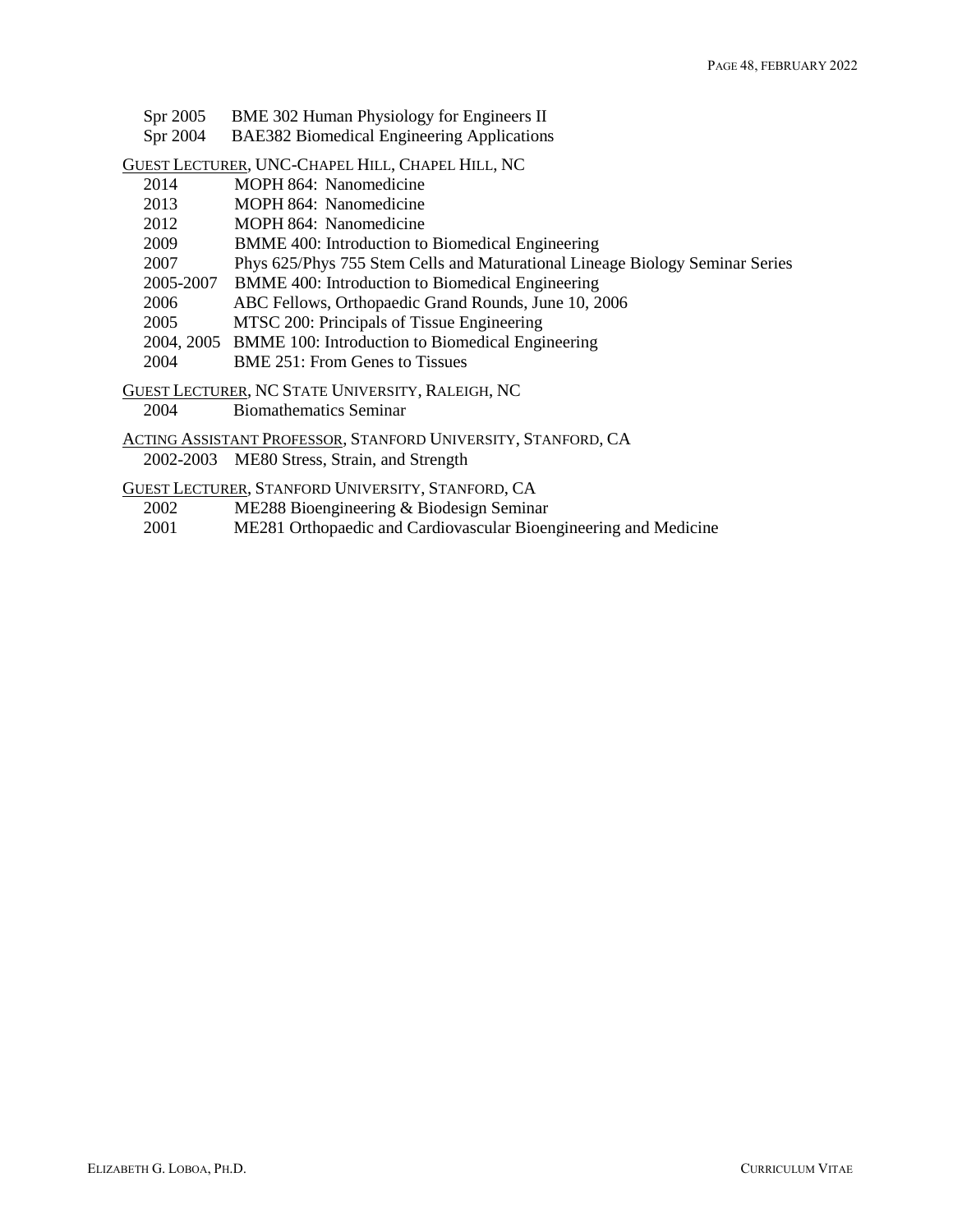- Spr 2005 BME 302 Human Physiology for Engineers II
- Spr 2004 BAE382 Biomedical Engineering Applications

GUEST LECTURER, UNC-CHAPEL HILL, CHAPEL HILL, NC

- 2014 MOPH 864: Nanomedicine
- 2013 MOPH 864: Nanomedicine
- 2012 MOPH 864: Nanomedicine
- 2009 BMME 400: Introduction to Biomedical Engineering
- 2007 Phys 625/Phys 755 Stem Cells and Maturational Lineage Biology Seminar Series
- 2005-2007 BMME 400: Introduction to Biomedical Engineering
- 2006 ABC Fellows, Orthopaedic Grand Rounds, June 10, 2006
- 2005 MTSC 200: Principals of Tissue Engineering
- 2004, 2005 BMME 100: Introduction to Biomedical Engineering
- 2004 BME 251: From Genes to Tissues

GUEST LECTURER, NC STATE UNIVERSITY, RALEIGH, NC

2004 Biomathematics Seminar

ACTING ASSISTANT PROFESSOR, STANFORD UNIVERSITY, STANFORD, CA 2002-2003 ME80 Stress, Strain, and Strength

GUEST LECTURER, STANFORD UNIVERSITY, STANFORD, CA

- 2002 ME288 Bioengineering & Biodesign Seminar
- 2001 ME281 Orthopaedic and Cardiovascular Bioengineering and Medicine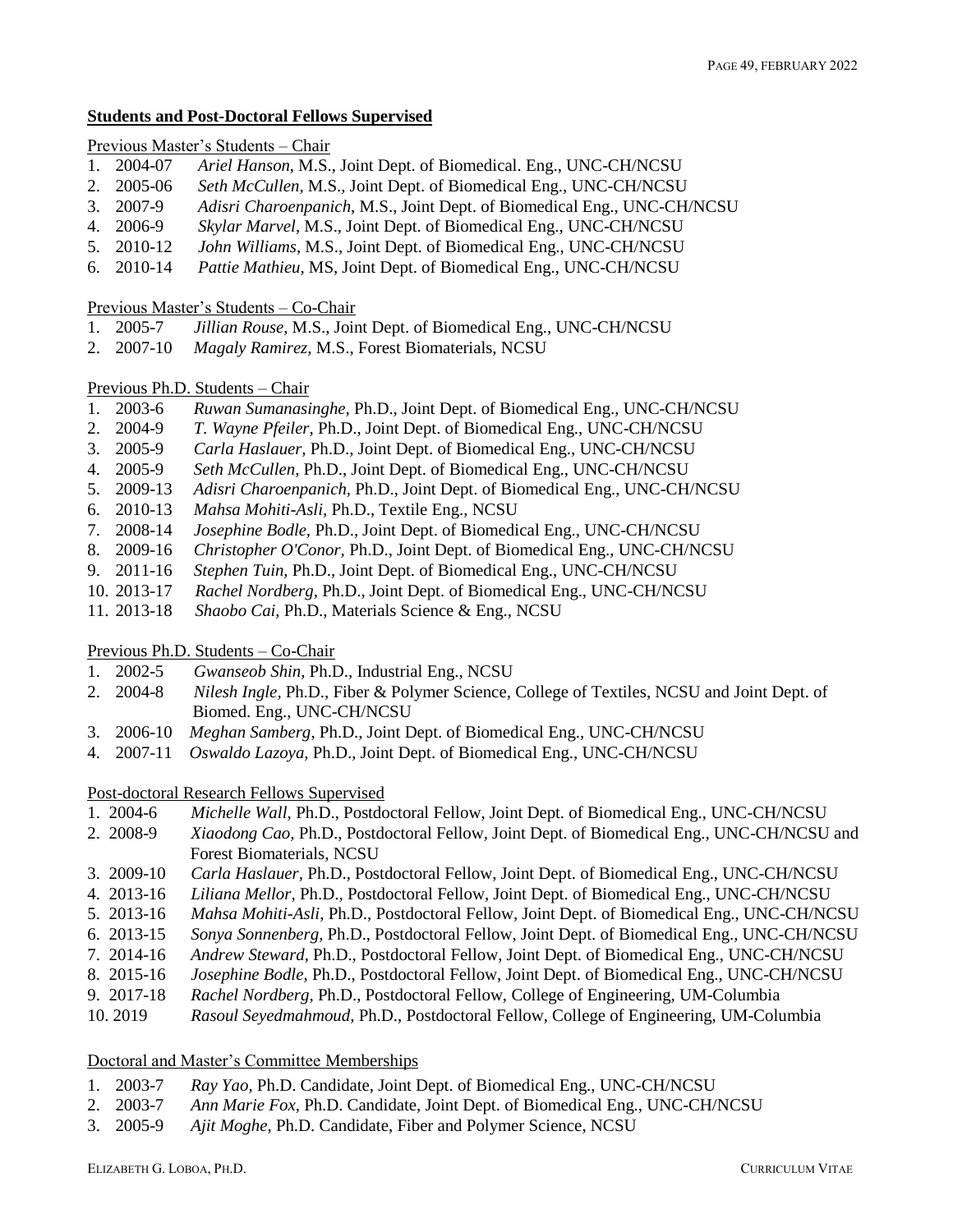### **Students and Post-Doctoral Fellows Supervised**

# Previous Master's Students – Chair

- 1. 2004-07 *Ariel Hanson*, M.S., Joint Dept. of Biomedical. Eng., UNC-CH/NCSU
- 2. 2005-06 *Seth McCullen*, M.S., Joint Dept. of Biomedical Eng., UNC-CH/NCSU
- 3. 2007-9 *Adisri Charoenpanich*, M.S., Joint Dept. of Biomedical Eng., UNC-CH/NCSU
- 4. 2006-9 *Skylar Marvel*, M.S., Joint Dept. of Biomedical Eng., UNC-CH/NCSU
- 5. 2010-12 *John Williams*, M.S., Joint Dept. of Biomedical Eng., UNC-CH/NCSU
- 6. 2010-14 *Pattie Mathieu*, MS, Joint Dept. of Biomedical Eng., UNC-CH/NCSU

## Previous Master's Students – Co-Chair

- 1. 2005-7 *Jillian Rouse*, M.S., Joint Dept. of Biomedical Eng., UNC-CH/NCSU
- 2. 2007-10 *Magaly Ramirez*, M.S., Forest Biomaterials, NCSU

# Previous Ph.D. Students – Chair

- 1. 2003-6 *Ruwan Sumanasinghe,* Ph.D., Joint Dept. of Biomedical Eng., UNC-CH/NCSU
- 2. 2004-9 *T. Wayne Pfeiler,* Ph.D., Joint Dept. of Biomedical Eng., UNC-CH/NCSU
- 3. 2005-9 *Carla Haslauer,* Ph.D., Joint Dept. of Biomedical Eng., UNC-CH/NCSU
- 4. 2005-9 *Seth McCullen,* Ph.D., Joint Dept. of Biomedical Eng., UNC-CH/NCSU
- 5. 2009-13 *Adisri Charoenpanich,* Ph.D., Joint Dept. of Biomedical Eng., UNC-CH/NCSU
- 6. 2010-13 *Mahsa Mohiti-Asli,* Ph.D., Textile Eng., NCSU
- 7. 2008-14 *Josephine Bodle,* Ph.D., Joint Dept. of Biomedical Eng., UNC-CH/NCSU
- 8. 2009-16 *Christopher O'Conor,* Ph.D., Joint Dept. of Biomedical Eng., UNC-CH/NCSU
- 9. 2011-16 *Stephen Tuin,* Ph.D., Joint Dept. of Biomedical Eng., UNC-CH/NCSU
- 10. 2013-17 *Rachel Nordberg,* Ph.D., Joint Dept. of Biomedical Eng., UNC-CH/NCSU
- 11. 2013-18 *Shaobo Cai,* Ph.D., Materials Science & Eng., NCSU

# Previous Ph.D. Students – Co-Chair

- 1. 2002-5 *Gwanseob Shin,* Ph.D., Industrial Eng., NCSU
- 2. 2004-8 *Nilesh Ingle,* Ph.D., Fiber & Polymer Science, College of Textiles, NCSU and Joint Dept. of Biomed. Eng., UNC-CH/NCSU
- 3. 2006-10 *Meghan Samberg*, Ph.D., Joint Dept. of Biomedical Eng., UNC-CH/NCSU
- 4. 2007-11 *Oswaldo Lazoya,* Ph.D., Joint Dept. of Biomedical Eng., UNC-CH/NCSU

# Post-doctoral Research Fellows Supervised

- 1. 2004-6 *Michelle Wall,* Ph.D., Postdoctoral Fellow, Joint Dept. of Biomedical Eng., UNC-CH/NCSU
- 2. 2008-9 *Xiaodong Cao,* Ph.D., Postdoctoral Fellow, Joint Dept. of Biomedical Eng., UNC-CH/NCSU and Forest Biomaterials, NCSU
- 3. 2009-10 *Carla Haslauer,* Ph.D., Postdoctoral Fellow, Joint Dept. of Biomedical Eng., UNC-CH/NCSU
- 4. 2013-16 *Liliana Mellor,* Ph.D., Postdoctoral Fellow, Joint Dept. of Biomedical Eng., UNC-CH/NCSU
- 5. 2013-16 *Mahsa Mohiti-Asli*, Ph.D., Postdoctoral Fellow, Joint Dept. of Biomedical Eng., UNC-CH/NCSU
- 6. 2013-15 *Sonya Sonnenberg*, Ph.D., Postdoctoral Fellow, Joint Dept. of Biomedical Eng., UNC-CH/NCSU
- 7. 2014-16 *Andrew Steward*, Ph.D., Postdoctoral Fellow, Joint Dept. of Biomedical Eng., UNC-CH/NCSU
- 8. 2015-16 *Josephine Bodle,* Ph.D., Postdoctoral Fellow, Joint Dept. of Biomedical Eng., UNC-CH/NCSU
- 9. 2017-18 *Rachel Nordberg,* Ph.D., Postdoctoral Fellow, College of Engineering, UM-Columbia
- 10. 2019 *Rasoul Seyedmahmoud,* Ph.D., Postdoctoral Fellow, College of Engineering, UM-Columbia

### Doctoral and Master's Committee Memberships

- 1. 2003-7 *Ray Yao,* Ph.D. Candidate, Joint Dept. of Biomedical Eng., UNC-CH/NCSU
- 2. 2003-7 *Ann Marie Fox*, Ph.D. Candidate, Joint Dept. of Biomedical Eng., UNC-CH/NCSU
- 3. 2005-9 *Ajit Moghe*, Ph.D. Candidate, Fiber and Polymer Science, NCSU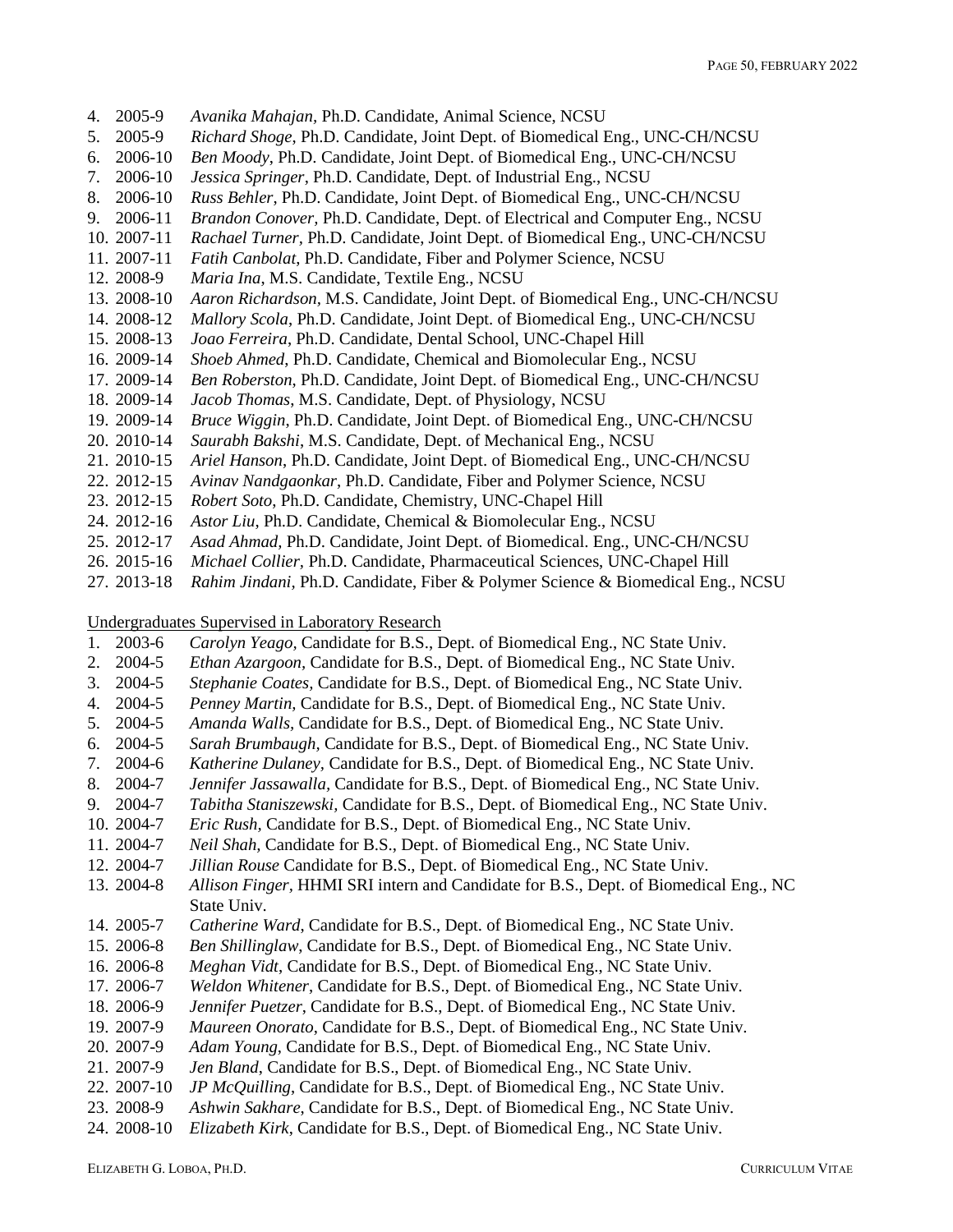- 4. 2005-9 *Avanika Mahajan,* Ph.D. Candidate, Animal Science, NCSU
- 5. 2005-9 *Richard Shoge*, Ph.D. Candidate, Joint Dept. of Biomedical Eng., UNC-CH/NCSU
- 6. 2006-10 *Ben Moody*, Ph.D. Candidate, Joint Dept. of Biomedical Eng., UNC-CH/NCSU
- 7. 2006-10 *Jessica Springer*, Ph.D. Candidate, Dept. of Industrial Eng., NCSU
- 8. 2006-10 *Russ Behler*, Ph.D. Candidate, Joint Dept. of Biomedical Eng., UNC-CH/NCSU
- 9. 2006-11 *Brandon Conover,* Ph.D. Candidate, Dept. of Electrical and Computer Eng., NCSU
- 10. 2007-11 *Rachael Turner,* Ph.D. Candidate, Joint Dept. of Biomedical Eng., UNC-CH/NCSU
- 11. 2007-11 *Fatih Canbolat*, Ph.D. Candidate, Fiber and Polymer Science, NCSU
- 12. 2008-9 *Maria Ina*, M.S. Candidate, Textile Eng., NCSU
- 13. 2008-10 *Aaron Richardson,* M.S. Candidate, Joint Dept. of Biomedical Eng., UNC-CH/NCSU
- 14. 2008-12 *Mallory Scola*, Ph.D. Candidate, Joint Dept. of Biomedical Eng., UNC-CH/NCSU
- 15. 2008-13 *Joao Ferreira*, Ph.D. Candidate, Dental School, UNC-Chapel Hill
- 16. 2009-14 *Shoeb Ahmed*, Ph.D. Candidate, Chemical and Biomolecular Eng., NCSU
- 17. 2009-14 *Ben Roberston*, Ph.D. Candidate, Joint Dept. of Biomedical Eng., UNC-CH/NCSU
- 18. 2009-14 *Jacob Thomas*, M.S. Candidate, Dept. of Physiology, NCSU
- 19. 2009-14 *Bruce Wiggin*, Ph.D. Candidate, Joint Dept. of Biomedical Eng., UNC-CH/NCSU
- 20. 2010-14 *Saurabh Bakshi*, M.S. Candidate, Dept. of Mechanical Eng., NCSU
- 21. 2010-15 *Ariel Hanson*, Ph.D. Candidate, Joint Dept. of Biomedical Eng., UNC-CH/NCSU
- 22. 2012-15 *Avinav Nandgaonkar*, Ph.D. Candidate, Fiber and Polymer Science, NCSU
- 23. 2012-15 *Robert Soto*, Ph.D. Candidate, Chemistry, UNC-Chapel Hill
- 24. 2012-16 *Astor Liu*, Ph.D. Candidate, Chemical & Biomolecular Eng., NCSU
- 25. 2012-17 *Asad Ahmad,* Ph.D. Candidate, Joint Dept. of Biomedical. Eng., UNC-CH/NCSU
- 26. 2015-16 *Michael Collier,* Ph.D. Candidate, Pharmaceutical Sciences, UNC-Chapel Hill
- 27. 2013-18 *Rahim Jindani,* Ph.D. Candidate, Fiber & Polymer Science & Biomedical Eng., NCSU

Undergraduates Supervised in Laboratory Research

- 1. 2003-6 *Carolyn Yeago,* Candidate for B.S., Dept. of Biomedical Eng., NC State Univ.
- 2. 2004-5 *Ethan Azargoon,* Candidate for B.S., Dept. of Biomedical Eng., NC State Univ.
- 3. 2004-5 *Stephanie Coates,* Candidate for B.S., Dept. of Biomedical Eng., NC State Univ.
- 4. 2004-5 *Penney Martin,* Candidate for B.S., Dept. of Biomedical Eng., NC State Univ.
- 5. 2004-5 *Amanda Walls,* Candidate for B.S., Dept. of Biomedical Eng., NC State Univ.
- 6. 2004-5 *Sarah Brumbaugh,* Candidate for B.S., Dept. of Biomedical Eng., NC State Univ.
- 7. 2004-6 *Katherine Dulaney,* Candidate for B.S., Dept. of Biomedical Eng., NC State Univ.
- 8. 2004-7 *Jennifer Jassawalla,* Candidate for B.S., Dept. of Biomedical Eng., NC State Univ.
- 9. 2004-7 *Tabitha Staniszewski,* Candidate for B.S., Dept. of Biomedical Eng., NC State Univ.
- 10. 2004-7 *Eric Rush,* Candidate for B.S., Dept. of Biomedical Eng., NC State Univ.
- 11. 2004-7 *Neil Shah,* Candidate for B.S., Dept. of Biomedical Eng., NC State Univ.
- 12. 2004-7 *Jillian Rouse* Candidate for B.S., Dept. of Biomedical Eng., NC State Univ.
- 13. 2004-8 *Allison Finger,* HHMI SRI intern and Candidate for B.S., Dept. of Biomedical Eng., NC State Univ.
- 14. 2005-7 *Catherine Ward*, Candidate for B.S., Dept. of Biomedical Eng., NC State Univ.
- 15. 2006-8 *Ben Shillinglaw*, Candidate for B.S., Dept. of Biomedical Eng., NC State Univ.
- 16. 2006-8 *Meghan Vidt*, Candidate for B.S., Dept. of Biomedical Eng., NC State Univ.
- 17. 2006-7 *Weldon Whitener*, Candidate for B.S., Dept. of Biomedical Eng., NC State Univ.
- 18. 2006-9 *Jennifer Puetzer*, Candidate for B.S., Dept. of Biomedical Eng., NC State Univ.
- 19. 2007-9 *Maureen Onorato*, Candidate for B.S., Dept. of Biomedical Eng., NC State Univ.
- 20. 2007-9 *Adam Young*, Candidate for B.S., Dept. of Biomedical Eng., NC State Univ.
- 21. 2007-9 *Jen Bland*, Candidate for B.S., Dept. of Biomedical Eng., NC State Univ.
- 22. 2007-10 *JP McQuilling*, Candidate for B.S., Dept. of Biomedical Eng., NC State Univ.
- 23. 2008-9 *Ashwin Sakhare*, Candidate for B.S., Dept. of Biomedical Eng., NC State Univ.
- 24. 2008-10 *Elizabeth Kirk*, Candidate for B.S., Dept. of Biomedical Eng., NC State Univ.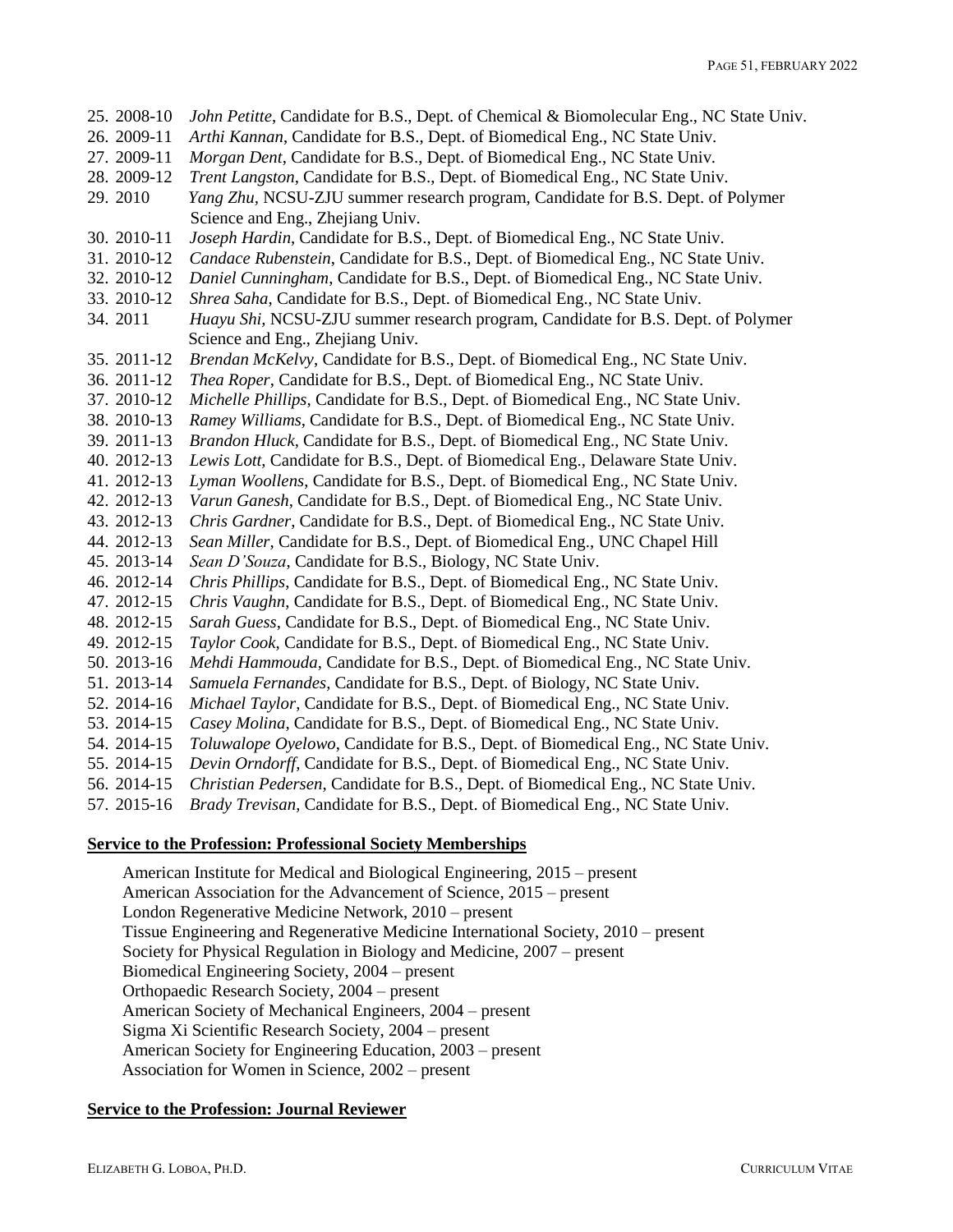| 25. 2008-10 | John Petitte, Candidate for B.S., Dept. of Chemical & Biomolecular Eng., NC State Univ. |
|-------------|-----------------------------------------------------------------------------------------|
| 26. 2009-11 | Arthi Kannan, Candidate for B.S., Dept. of Biomedical Eng., NC State Univ.              |
| 27. 2009-11 | Morgan Dent, Candidate for B.S., Dept. of Biomedical Eng., NC State Univ.               |
| 28. 2009-12 | Trent Langston, Candidate for B.S., Dept. of Biomedical Eng., NC State Univ.            |
| 29.2010     | Yang Zhu, NCSU-ZJU summer research program, Candidate for B.S. Dept. of Polymer         |
|             | Science and Eng., Zhejiang Univ.                                                        |
| 30. 2010-11 | Joseph Hardin, Candidate for B.S., Dept. of Biomedical Eng., NC State Univ.             |
| 31. 2010-12 | Candace Rubenstein, Candidate for B.S., Dept. of Biomedical Eng., NC State Univ.        |
| 32. 2010-12 | Daniel Cunningham, Candidate for B.S., Dept. of Biomedical Eng., NC State Univ.         |
| 33. 2010-12 | Shrea Saha, Candidate for B.S., Dept. of Biomedical Eng., NC State Univ.                |
| 34.2011     | Huayu Shi, NCSU-ZJU summer research program, Candidate for B.S. Dept. of Polymer        |
|             | Science and Eng., Zhejiang Univ.                                                        |
| 35. 2011-12 | Brendan McKelvy, Candidate for B.S., Dept. of Biomedical Eng., NC State Univ.           |
| 36. 2011-12 | Thea Roper, Candidate for B.S., Dept. of Biomedical Eng., NC State Univ.                |
| 37. 2010-12 | Michelle Phillips, Candidate for B.S., Dept. of Biomedical Eng., NC State Univ.         |
| 38. 2010-13 | Ramey Williams, Candidate for B.S., Dept. of Biomedical Eng., NC State Univ.            |
| 39. 2011-13 | Brandon Hluck, Candidate for B.S., Dept. of Biomedical Eng., NC State Univ.             |
| 40. 2012-13 | Lewis Lott, Candidate for B.S., Dept. of Biomedical Eng., Delaware State Univ.          |
| 41. 2012-13 | Lyman Woollens, Candidate for B.S., Dept. of Biomedical Eng., NC State Univ.            |
| 42. 2012-13 | Varun Ganesh, Candidate for B.S., Dept. of Biomedical Eng., NC State Univ.              |
| 43. 2012-13 | Chris Gardner, Candidate for B.S., Dept. of Biomedical Eng., NC State Univ.             |
| 44. 2012-13 | Sean Miller, Candidate for B.S., Dept. of Biomedical Eng., UNC Chapel Hill              |
| 45. 2013-14 | Sean D'Souza, Candidate for B.S., Biology, NC State Univ.                               |
| 46. 2012-14 | Chris Phillips, Candidate for B.S., Dept. of Biomedical Eng., NC State Univ.            |
| 47. 2012-15 | Chris Vaughn, Candidate for B.S., Dept. of Biomedical Eng., NC State Univ.              |
| 48. 2012-15 | Sarah Guess, Candidate for B.S., Dept. of Biomedical Eng., NC State Univ.               |
| 49. 2012-15 | Taylor Cook, Candidate for B.S., Dept. of Biomedical Eng., NC State Univ.               |
| 50. 2013-16 | Mehdi Hammouda, Candidate for B.S., Dept. of Biomedical Eng., NC State Univ.            |
| 51. 2013-14 | Samuela Fernandes, Candidate for B.S., Dept. of Biology, NC State Univ.                 |
| 52. 2014-16 | Michael Taylor, Candidate for B.S., Dept. of Biomedical Eng., NC State Univ.            |
| 53. 2014-15 | Casey Molina, Candidate for B.S., Dept. of Biomedical Eng., NC State Univ.              |
| 54. 2014-15 | Toluwalope Oyelowo, Candidate for B.S., Dept. of Biomedical Eng., NC State Univ.        |
| 55. 2014-15 | Devin Orndorff, Candidate for B.S., Dept. of Biomedical Eng., NC State Univ.            |
| 56. 2014-15 | Christian Pedersen, Candidate for B.S., Dept. of Biomedical Eng., NC State Univ.        |
| 57. 2015-16 | Brady Trevisan, Candidate for B.S., Dept. of Biomedical Eng., NC State Univ.            |

### **Service to the Profession: Professional Society Memberships**

American Institute for Medical and Biological Engineering, 2015 – present American Association for the Advancement of Science, 2015 – present London Regenerative Medicine Network, 2010 – present Tissue Engineering and Regenerative Medicine International Society, 2010 – present Society for Physical Regulation in Biology and Medicine, 2007 – present Biomedical Engineering Society, 2004 – present Orthopaedic Research Society, 2004 – present American Society of Mechanical Engineers, 2004 – present Sigma Xi Scientific Research Society, 2004 – present American Society for Engineering Education, 2003 – present Association for Women in Science, 2002 – present

### **Service to the Profession: Journal Reviewer**